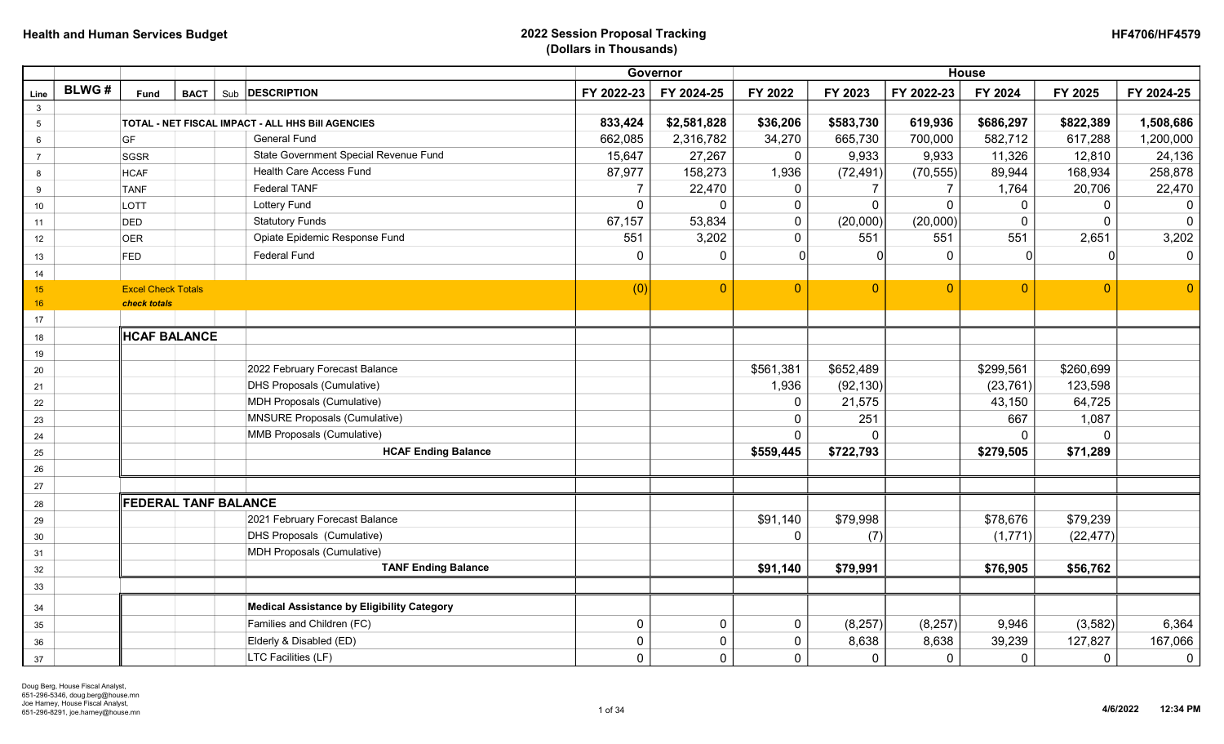|                 |              |                           |                                                   |                | Governor       |           | <b>House</b>   |                |                |                |                |
|-----------------|--------------|---------------------------|---------------------------------------------------|----------------|----------------|-----------|----------------|----------------|----------------|----------------|----------------|
| Line            | <b>BLWG#</b> | Fund                      | Sub <b>DESCRIPTION</b><br><b>BACT</b>             | FY 2022-23     | FY 2024-25     | FY 2022   | FY 2023        | FY 2022-23     | FY 2024        | FY 2025        | FY 2024-25     |
| $\mathbf{3}$    |              |                           |                                                   | 833,424        |                |           |                |                |                |                |                |
| $5\phantom{.0}$ |              |                           | TOTAL - NET FISCAL IMPACT - ALL HHS Bill AGENCIES |                | \$2,581,828    | \$36,206  | \$583,730      | 619,936        | \$686,297      | \$822,389      | 1,508,686      |
| $6\phantom{1}6$ |              | GF                        | <b>General Fund</b>                               | 662,085        | 2,316,782      | 34,270    | 665,730        | 700,000        | 582,712        | 617,288        | 1,200,000      |
| $\overline{7}$  |              | SGSR                      | State Government Special Revenue Fund             | 15,647         | 27,267         | 0         | 9,933          | 9,933          | 11,326         | 12,810         | 24,136         |
| 8               |              | <b>HCAF</b>               | <b>Health Care Access Fund</b>                    | 87,977         | 158,273        | 1,936     | (72, 491)      | (70, 555)      | 89,944         | 168,934        | 258,878        |
| 9               |              | <b>TANF</b>               | <b>Federal TANF</b>                               | 7              | 22,470         | 0         | $\overline{7}$ | 7              | 1,764          | 20,706         | 22,470         |
| 10              |              | LOTT                      | <b>Lottery Fund</b>                               | $\overline{0}$ | $\mathbf 0$    | 0         | $\mathbf 0$    | $\mathbf 0$    | $\overline{0}$ | 0              |                |
| 11              |              | DED                       | <b>Statutory Funds</b>                            | 67,157         | 53,834         | $\pmb{0}$ | (20,000)       | (20,000)       | $\Omega$       | 0              | $\Omega$       |
| 12              |              | <b>OER</b>                | Opiate Epidemic Response Fund                     | 551            | 3,202          | 0         | 551            | 551            | 551            | 2,651          | 3,202          |
| 13              |              | FED                       | <b>Federal Fund</b>                               | $\overline{0}$ | $\mathbf 0$    | $\Omega$  | $\Omega$       | $\mathbf 0$    | $\Omega$       | $\Omega$       | $\overline{0}$ |
| 14              |              |                           |                                                   |                |                |           |                |                |                |                |                |
| 15              |              | <b>Excel Check Totals</b> |                                                   | (0)            | $\overline{0}$ | $\Omega$  | $\mathbf{0}$   | $\overline{0}$ | $\Omega$       | $\overline{0}$ | $\overline{0}$ |
| 16              |              | check totals              |                                                   |                |                |           |                |                |                |                |                |
| 17              |              |                           |                                                   |                |                |           |                |                |                |                |                |
| 18              |              | <b>HCAF BALANCE</b>       |                                                   |                |                |           |                |                |                |                |                |
| 19              |              |                           |                                                   |                |                |           |                |                |                |                |                |
| 20              |              |                           | 2022 February Forecast Balance                    |                |                | \$561,381 | \$652,489      |                | \$299,561      | \$260,699      |                |
| 21              |              |                           | <b>DHS Proposals (Cumulative)</b>                 |                |                | 1,936     | (92, 130)      |                | (23, 761)      | 123,598        |                |
| 22              |              |                           | <b>MDH Proposals (Cumulative)</b>                 |                |                | 0         | 21,575         |                | 43,150         | 64,725         |                |
| 23              |              |                           | <b>MNSURE Proposals (Cumulative)</b>              |                |                | 0         | 251            |                | 667            | 1,087          |                |
| 24              |              |                           | MMB Proposals (Cumulative)                        |                |                | 0         | $\Omega$       |                | $\Omega$       | $\Omega$       |                |
| 25              |              |                           | <b>HCAF Ending Balance</b>                        |                |                | \$559,445 | \$722,793      |                | \$279,505      | \$71,289       |                |
| 26              |              |                           |                                                   |                |                |           |                |                |                |                |                |
| 27              |              |                           |                                                   |                |                |           |                |                |                |                |                |
| 28              |              |                           | <b>FEDERAL TANF BALANCE</b>                       |                |                |           |                |                |                |                |                |
| 29              |              |                           | 2021 February Forecast Balance                    |                |                | \$91,140  | \$79,998       |                | \$78,676       | \$79,239       |                |
| 30              |              |                           | DHS Proposals (Cumulative)                        |                |                | $\Omega$  | (7)            |                | (1,771)        | (22, 477)      |                |
| 31              |              |                           | MDH Proposals (Cumulative)                        |                |                |           |                |                |                |                |                |
| 32              |              |                           | <b>TANF Ending Balance</b>                        |                |                | \$91,140  | \$79,991       |                | \$76,905       | \$56,762       |                |
| 33              |              |                           |                                                   |                |                |           |                |                |                |                |                |
| 34              |              |                           | <b>Medical Assistance by Eligibility Category</b> |                |                |           |                |                |                |                |                |
| 35              |              |                           | Families and Children (FC)                        | $\overline{0}$ | $\mathbf 0$    | 0         | (8, 257)       | (8, 257)       | 9,946          | (3, 582)       | 6,364          |
| $36\,$          |              |                           | Elderly & Disabled (ED)                           | $\Omega$       | $\mathbf 0$    | 0         | 8,638          | 8,638          | 39,239         | 127,827        | 167,066        |
| 37              |              |                           | LTC Facilities (LF)                               | 0              | $\mathbf 0$    | 0         | $\mathbf 0$    | $\mathbf 0$    | $\mathbf 0$    | $\mathbf 0$    | $\mathbf 0$    |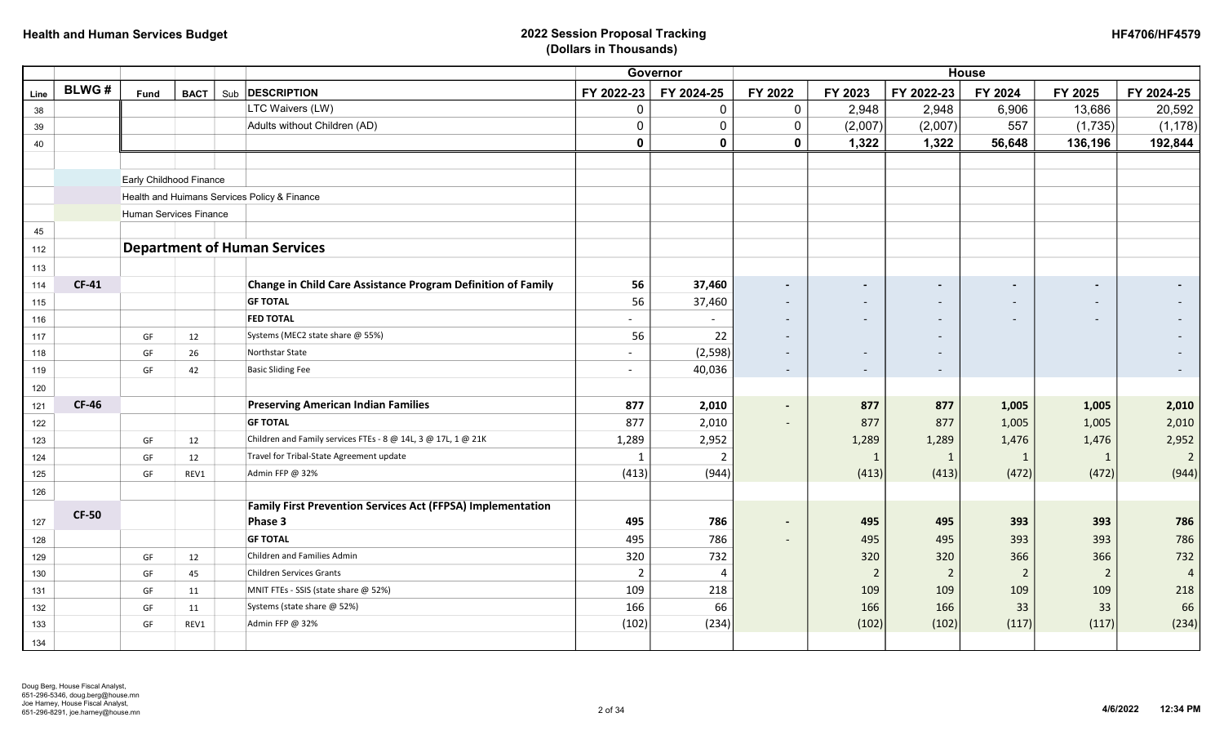|      |              |                         |             |                                                                     |                          | Governor       |                          |                |                          | <b>House</b>             |                          |                |
|------|--------------|-------------------------|-------------|---------------------------------------------------------------------|--------------------------|----------------|--------------------------|----------------|--------------------------|--------------------------|--------------------------|----------------|
| Line | <b>BLWG#</b> | <b>Fund</b>             | <b>BACT</b> | Sub <b>DESCRIPTION</b>                                              | FY 2022-23               | FY 2024-25     | FY 2022                  | FY 2023        | FY 2022-23               | FY 2024                  | FY 2025                  | FY 2024-25     |
| 38   |              |                         |             | LTC Waivers (LW)                                                    | 0                        | $\mathbf 0$    | 0                        | 2,948          | 2,948                    | 6,906                    | 13,686                   | 20,592         |
| 39   |              |                         |             | Adults without Children (AD)                                        | 0                        | $\mathbf 0$    | 0                        | (2,007)        | (2,007)                  | 557                      | (1,735)                  | (1, 178)       |
| 40   |              |                         |             |                                                                     | $\mathbf 0$              | 0              | 0                        | 1,322          | 1,322                    | 56,648                   | 136,196                  | 192,844        |
|      |              |                         |             |                                                                     |                          |                |                          |                |                          |                          |                          |                |
|      |              | Early Childhood Finance |             |                                                                     |                          |                |                          |                |                          |                          |                          |                |
|      |              |                         |             | Health and Huimans Services Policy & Finance                        |                          |                |                          |                |                          |                          |                          |                |
|      |              | Human Services Finance  |             |                                                                     |                          |                |                          |                |                          |                          |                          |                |
| 45   |              |                         |             |                                                                     |                          |                |                          |                |                          |                          |                          |                |
| 112  |              |                         |             | <b>Department of Human Services</b>                                 |                          |                |                          |                |                          |                          |                          |                |
| 113  |              |                         |             |                                                                     |                          |                |                          |                |                          |                          |                          |                |
| 114  | <b>CF-41</b> |                         |             | Change in Child Care Assistance Program Definition of Family        | 56                       | 37,460         | $\sim$                   | $\blacksquare$ | $\overline{\phantom{a}}$ | $\overline{\phantom{a}}$ |                          |                |
| 115  |              |                         |             | <b>GF TOTAL</b>                                                     | 56                       | 37,460         |                          |                |                          |                          |                          |                |
| 116  |              |                         |             | <b>FED TOTAL</b>                                                    | $\overline{\phantom{a}}$ |                | $\overline{\phantom{a}}$ | $\overline{a}$ | $\overline{\phantom{0}}$ | $\overline{\phantom{a}}$ | $\overline{\phantom{a}}$ |                |
| 117  |              | GF                      | 12          | Systems (MEC2 state share @ 55%)                                    | 56                       | 22             | $\overline{\phantom{a}}$ |                |                          |                          |                          |                |
| 118  |              | GF                      | 26          | Northstar State                                                     | $\overline{\phantom{a}}$ | (2, 598)       |                          |                |                          |                          |                          |                |
| 119  |              | GF                      | 42          | <b>Basic Sliding Fee</b>                                            | $\overline{\phantom{a}}$ | 40,036         | $\sim$                   |                | $\overline{\phantom{a}}$ |                          |                          |                |
| 120  |              |                         |             |                                                                     |                          |                |                          |                |                          |                          |                          |                |
| 121  | <b>CF-46</b> |                         |             | <b>Preserving American Indian Families</b>                          | 877                      | 2,010          | $\sim$                   | 877            | 877                      | 1,005                    | 1,005                    | 2,010          |
| 122  |              |                         |             | <b>GF TOTAL</b>                                                     | 877                      | 2,010          | $\overline{\phantom{0}}$ | 877            | 877                      | 1,005                    | 1,005                    | 2,010          |
| 123  |              | GF                      | 12          | Children and Family services FTEs - 8 @ 14L, 3 @ 17L, 1 @ 21K       | 1,289                    | 2,952          |                          | 1,289          | 1,289                    | 1,476                    | 1,476                    | 2,952          |
| 124  |              | GF                      | 12          | Travel for Tribal-State Agreement update                            | $\mathbf 1$              | $\overline{2}$ |                          | $\mathbf{1}$   | $\mathbf{1}$             | 1                        | $\mathbf{1}$             | $\overline{2}$ |
| 125  |              | GF                      | REV1        | Admin FFP @ 32%                                                     | (413)                    | (944)          |                          | (413)          | (413)                    | (472)                    | (472)                    | (944)          |
| 126  |              |                         |             |                                                                     |                          |                |                          |                |                          |                          |                          |                |
|      | <b>CF-50</b> |                         |             | Family First Prevention Services Act (FFPSA) Implementation         |                          |                |                          |                |                          |                          |                          |                |
| 127  |              |                         |             | Phase 3                                                             | 495                      | 786            | $\overline{\phantom{a}}$ | 495            | 495                      | 393                      | 393                      | 786            |
| 128  |              |                         |             | <b>GF TOTAL</b>                                                     | 495                      | 786            | $\overline{\phantom{a}}$ | 495            | 495                      | 393                      | 393                      | 786            |
| 129  |              | GF                      | 12          | Children and Families Admin                                         | 320                      | 732            |                          | 320            | 320                      | 366                      | 366                      | 732            |
| 130  |              | GF                      | 45          | <b>Children Services Grants</b>                                     | $\overline{2}$<br>109    | 4<br>218       |                          | $\overline{2}$ | $\overline{2}$<br>109    | $\overline{2}$<br>109    | $\overline{2}$<br>109    | $\overline{4}$ |
| 131  |              | GF                      | 11          | MNIT FTEs - SSIS (state share @ 52%)<br>Systems (state share @ 52%) | 166                      | 66             |                          | 109            |                          |                          |                          | 218<br>66      |
| 132  |              | GF                      | 11          | Admin FFP @ 32%                                                     |                          |                |                          | 166            | 166                      | 33                       | 33                       |                |
| 133  |              | GF                      | REV1        |                                                                     | (102)                    | (234)          |                          | (102)          | (102)                    | (117)                    | (117)                    | (234)          |
| 134  |              |                         |             |                                                                     |                          |                |                          |                |                          |                          |                          |                |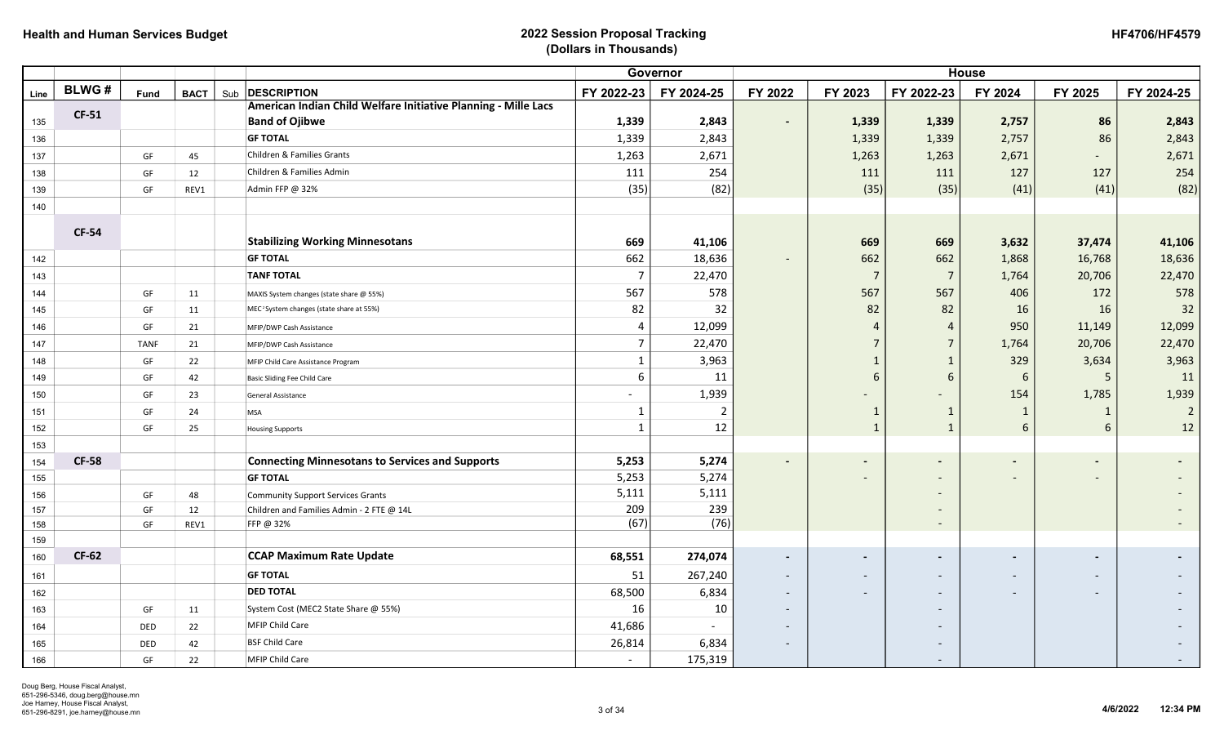|      |              |             |             |                                                                |                          | Governor   |                          |                       |                          | <b>House</b>             |                          |                |
|------|--------------|-------------|-------------|----------------------------------------------------------------|--------------------------|------------|--------------------------|-----------------------|--------------------------|--------------------------|--------------------------|----------------|
| Line | <b>BLWG#</b> | Fund        | <b>BACT</b> | Sub <b>DESCRIPTION</b>                                         | FY 2022-23               | FY 2024-25 | FY 2022                  | FY 2023               | FY 2022-23               | FY 2024                  | FY 2025                  | FY 2024-25     |
|      | <b>CF-51</b> |             |             | American Indian Child Welfare Initiative Planning - Mille Lacs |                          |            |                          |                       |                          |                          |                          |                |
| 135  |              |             |             | <b>Band of Ojibwe</b>                                          | 1,339                    | 2,843      | $\overline{\phantom{a}}$ | 1,339                 | 1,339                    | 2,757                    | 86                       | 2,843          |
| 136  |              |             |             | <b>GF TOTAL</b>                                                | 1,339                    | 2,843      |                          | 1,339                 | 1,339                    | 2,757                    | 86                       | 2,843          |
| 137  |              | GF          | 45          | Children & Families Grants                                     | 1,263                    | 2,671      |                          | 1,263                 | 1,263                    | 2,671                    |                          | 2,671          |
| 138  |              | GF          | 12          | Children & Families Admin                                      | 111                      | 254        |                          | 111                   | 111                      | 127                      | 127                      | 254            |
| 139  |              | GF          | REV1        | Admin FFP @ 32%                                                | (35)                     | (82)       |                          | (35)                  | (35)                     | (41)                     | (41)                     | (82)           |
| 140  |              |             |             |                                                                |                          |            |                          |                       |                          |                          |                          |                |
|      |              |             |             |                                                                |                          |            |                          |                       |                          |                          |                          |                |
|      | <b>CF-54</b> |             |             | <b>Stabilizing Working Minnesotans</b>                         | 669                      | 41,106     |                          | 669                   | 669                      | 3,632                    | 37,474                   | 41,106         |
| 142  |              |             |             | <b>GF TOTAL</b>                                                | 662                      | 18,636     |                          | 662                   | 662                      | 1,868                    | 16,768                   | 18,636         |
| 143  |              |             |             | <b>TANF TOTAL</b>                                              | $\overline{7}$           | 22,470     |                          | $\overline{7}$        | $\overline{7}$           | 1,764                    | 20,706                   | 22,470         |
| 144  |              | GF          | 11          | MAXIS System changes (state share @ 55%)                       | 567                      | 578        |                          | 567                   | 567                      | 406                      | 172                      | 578            |
| 145  |              | GF          | 11          | MEC <sup>2</sup> System changes (state share at 55%)           | 82                       | 32         |                          | 82                    | 82                       | 16                       | 16                       | 32             |
| 146  |              | GF          | 21          | MFIP/DWP Cash Assistance                                       | $\Delta$                 | 12,099     |                          | $\boldsymbol{\Delta}$ | 4                        | 950                      | 11,149                   | 12,099         |
| 147  |              | <b>TANF</b> | 21          | MFIP/DWP Cash Assistance                                       | 7                        | 22,470     |                          | $\overline{7}$        | $\overline{7}$           | 1,764                    | 20,706                   | 22,470         |
| 148  |              | GF          | 22          | MFIP Child Care Assistance Program                             | -1                       | 3,963      |                          | $\mathbf{1}$          | 1                        | 329                      | 3,634                    | 3,963          |
| 149  |              | GF          | 42          | Basic Sliding Fee Child Care                                   | 6                        | 11         |                          | 6                     | 6                        | 6                        | 5                        | 11             |
| 150  |              | GF          | 23          | General Assistance                                             | $\overline{\phantom{a}}$ | 1,939      |                          |                       | $\overline{\phantom{a}}$ | 154                      | 1,785                    | 1,939          |
| 151  |              | GF          | 24          | <b>MSA</b>                                                     | 1                        | 2          |                          | $\mathbf{1}$          | $\mathbf{1}$             | $\overline{1}$           | 1                        | $\overline{2}$ |
| 152  |              | GF          | 25          | <b>Housing Supports</b>                                        | $\mathbf{1}$             | 12         |                          | $\mathbf{1}$          | $\mathbf{1}$             | 6                        | 6                        | 12             |
| 153  |              |             |             |                                                                |                          |            |                          |                       |                          |                          |                          |                |
| 154  | <b>CF-58</b> |             |             | <b>Connecting Minnesotans to Services and Supports</b>         | 5,253                    | 5,274      | $\blacksquare$           | $\blacksquare$        |                          | $\blacksquare$           |                          |                |
| 155  |              |             |             | <b>GF TOTAL</b>                                                | 5,253                    | 5,274      |                          |                       |                          |                          |                          |                |
| 156  |              | GF          | 48          | <b>Community Support Services Grants</b>                       | 5,111                    | 5,111      |                          |                       |                          |                          |                          |                |
| 157  |              | GF          | 12          | Children and Families Admin - 2 FTE @ 14L                      | 209                      | 239        |                          |                       |                          |                          |                          |                |
| 158  |              | GF          | REV1        | FFP @ 32%                                                      | (67)                     | (76)       |                          |                       |                          |                          |                          |                |
| 159  |              |             |             |                                                                |                          |            |                          |                       |                          |                          |                          |                |
| 160  | <b>CF-62</b> |             |             | <b>CCAP Maximum Rate Update</b>                                | 68,551                   | 274,074    | $\overline{\phantom{a}}$ | $\blacksquare$        | $\overline{\phantom{a}}$ | $\overline{\phantom{a}}$ |                          |                |
| 161  |              |             |             | <b>GF TOTAL</b>                                                | 51                       | 267,240    | $\overline{\phantom{a}}$ |                       | $\overline{\phantom{0}}$ |                          | $\overline{\phantom{a}}$ |                |
| 162  |              |             |             | <b>DED TOTAL</b>                                               | 68,500                   | 6,834      |                          |                       | $\overline{\phantom{a}}$ |                          | $\overline{\phantom{a}}$ |                |
| 163  |              | GF          | 11          | System Cost (MEC2 State Share @ 55%)                           | 16                       | 10         | $\overline{\phantom{a}}$ |                       |                          |                          |                          |                |
| 164  |              | DED         | 22          | MFIP Child Care                                                | 41,686                   |            |                          |                       |                          |                          |                          |                |
| 165  |              | DED         | 42          | <b>BSF Child Care</b>                                          | 26,814                   | 6,834      |                          |                       |                          |                          |                          |                |
| 166  |              | GF          | 22          | <b>MFIP Child Care</b>                                         |                          | 175,319    |                          |                       |                          |                          |                          |                |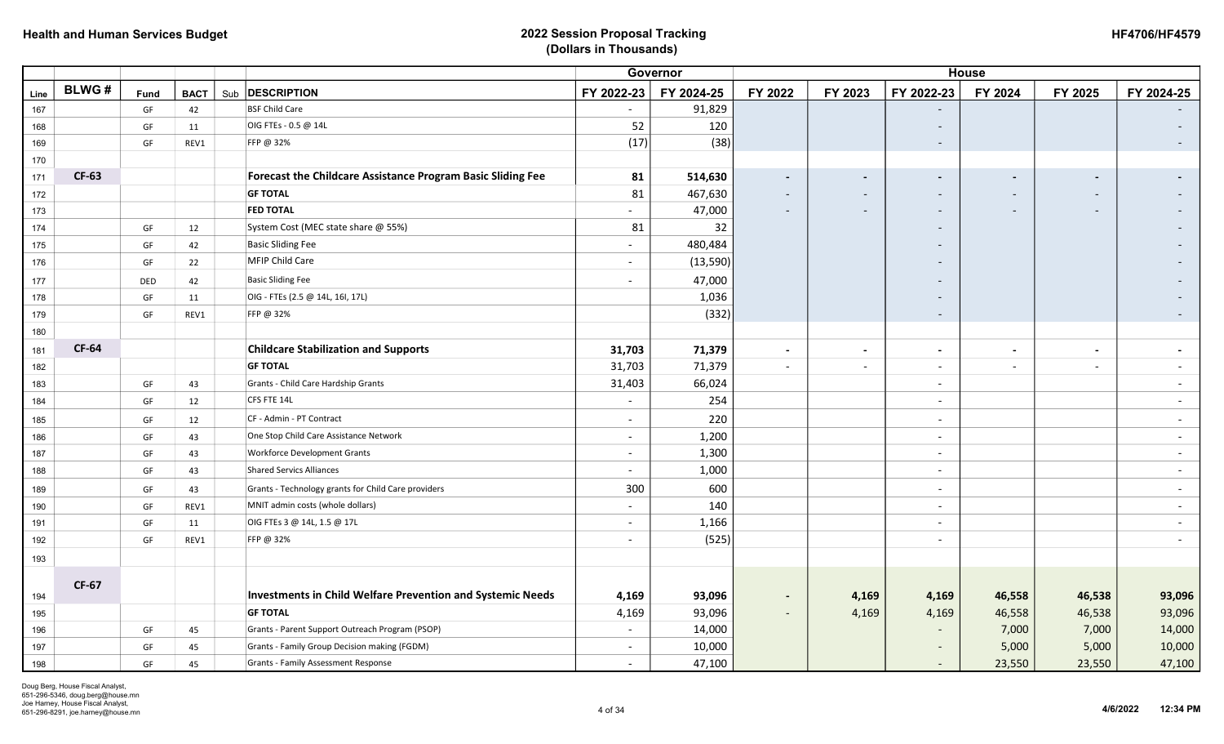|      |              |      |             |                                                                   |                          | Governor   |                          |                          |                          | <b>House</b>             |                              |                          |
|------|--------------|------|-------------|-------------------------------------------------------------------|--------------------------|------------|--------------------------|--------------------------|--------------------------|--------------------------|------------------------------|--------------------------|
| Line | <b>BLWG#</b> | Fund | <b>BACT</b> | Sub <b>DESCRIPTION</b>                                            | FY 2022-23               | FY 2024-25 | FY 2022                  | FY 2023                  | FY 2022-23               | FY 2024                  | FY 2025                      | FY 2024-25               |
| 167  |              | GF   | 42          | <b>BSF Child Care</b>                                             | $ \,$                    | 91,829     |                          |                          |                          |                          |                              |                          |
| 168  |              | GF   | 11          | OIG FTEs - 0.5 @ 14L                                              | 52                       | 120        |                          |                          |                          |                          |                              |                          |
| 169  |              | GF   | REV1        | FFP @ 32%                                                         | (17)                     | (38)       |                          |                          | $\overline{\phantom{a}}$ |                          |                              |                          |
| 170  |              |      |             |                                                                   |                          |            |                          |                          |                          |                          |                              |                          |
| 171  | <b>CF-63</b> |      |             | Forecast the Childcare Assistance Program Basic Sliding Fee       | 81                       | 514,630    | $\sim$                   | $\blacksquare$           | $\blacksquare$           | $\blacksquare$           | $\blacksquare$               |                          |
| 172  |              |      |             | <b>GF TOTAL</b>                                                   | 81                       | 467,630    | $\overline{\phantom{0}}$ | $\sim$                   | $\overline{\phantom{a}}$ | $\overline{\phantom{a}}$ | $\overline{\phantom{a}}$     |                          |
| 173  |              |      |             | <b>FED TOTAL</b>                                                  | $\blacksquare$           | 47,000     | $\overline{\phantom{0}}$ | $\sim$                   |                          | $\overline{\phantom{a}}$ |                              |                          |
| 174  |              | GF   | 12          | System Cost (MEC state share @ 55%)                               | 81                       | 32         |                          |                          |                          |                          |                              |                          |
| 175  |              | GF   | 42          | <b>Basic Sliding Fee</b>                                          | $\overline{\phantom{a}}$ | 480,484    |                          |                          |                          |                          |                              |                          |
| 176  |              | GF   | 22          | <b>MFIP Child Care</b>                                            | $\blacksquare$           | (13,590)   |                          |                          |                          |                          |                              |                          |
| 177  |              | DED  | 42          | <b>Basic Sliding Fee</b>                                          | $\sim$                   | 47,000     |                          |                          |                          |                          |                              |                          |
| 178  |              | GF   | 11          | OIG - FTEs (2.5 @ 14L, 16I, 17L)                                  |                          | 1,036      |                          |                          |                          |                          |                              |                          |
| 179  |              | GF   | REV1        | FFP @ 32%                                                         |                          | (332)      |                          |                          |                          |                          |                              |                          |
| 180  |              |      |             |                                                                   |                          |            |                          |                          |                          |                          |                              |                          |
| 181  | <b>CF-64</b> |      |             | <b>Childcare Stabilization and Supports</b>                       | 31,703                   | 71,379     | $\sim$                   | $\blacksquare$           | $\blacksquare$           | $\overline{\phantom{a}}$ | $\qquad \qquad \blacksquare$ | $\overline{\phantom{a}}$ |
| 182  |              |      |             | <b>GF TOTAL</b>                                                   | 31,703                   | 71,379     | $\sim$                   | $\overline{\phantom{a}}$ |                          | $\overline{\phantom{a}}$ | $\overline{\phantom{a}}$     | $\overline{\phantom{a}}$ |
| 183  |              | GF   | 43          | Grants - Child Care Hardship Grants                               | 31,403                   | 66,024     |                          |                          | $\overline{\phantom{a}}$ |                          |                              | $\overline{\phantom{a}}$ |
| 184  |              | GF   | 12          | CFS FTE 14L                                                       | $\blacksquare$           | 254        |                          |                          | $\overline{\phantom{a}}$ |                          |                              | $\sim$                   |
| 185  |              | GF   | 12          | CF - Admin - PT Contract                                          | $\sim$                   | 220        |                          |                          | $\blacksquare$           |                          |                              | $\sim$                   |
| 186  |              | GF   | 43          | One Stop Child Care Assistance Network                            | $\sim$                   | 1,200      |                          |                          | $\overline{\phantom{a}}$ |                          |                              | $\overline{\phantom{a}}$ |
| 187  |              | GF   | 43          | <b>Workforce Development Grants</b>                               | $\sim$                   | 1,300      |                          |                          | $\overline{a}$           |                          |                              | $\sim$                   |
| 188  |              | GF   | 43          | <b>Shared Servics Alliances</b>                                   | $\overline{\phantom{a}}$ | 1,000      |                          |                          |                          |                          |                              | $\blacksquare$           |
| 189  |              | GF   | 43          | Grants - Technology grants for Child Care providers               | 300                      | 600        |                          |                          | $\overline{\phantom{a}}$ |                          |                              | $\overline{\phantom{a}}$ |
| 190  |              | GF   | REV1        | MNIT admin costs (whole dollars)                                  | $\overline{\phantom{a}}$ | 140        |                          |                          | $\overline{\phantom{a}}$ |                          |                              | $\overline{\phantom{a}}$ |
| 191  |              | GF   | 11          | OIG FTEs 3 @ 14L, 1.5 @ 17L                                       | $\sim$                   | 1,166      |                          |                          | $\blacksquare$           |                          |                              |                          |
| 192  |              | GF   | REV1        | FFP @ 32%                                                         | $\overline{\phantom{a}}$ | (525)      |                          |                          | $\overline{\phantom{a}}$ |                          |                              |                          |
| 193  |              |      |             |                                                                   |                          |            |                          |                          |                          |                          |                              |                          |
|      |              |      |             |                                                                   |                          |            |                          |                          |                          |                          |                              |                          |
| 194  | <b>CF-67</b> |      |             | <b>Investments in Child Welfare Prevention and Systemic Needs</b> | 4,169                    | 93,096     | $\sim$                   | 4,169                    | 4,169                    | 46,558                   | 46,538                       | 93,096                   |
| 195  |              |      |             | <b>GF TOTAL</b>                                                   | 4,169                    | 93,096     | $\sim$                   | 4,169                    | 4,169                    | 46,558                   | 46,538                       | 93,096                   |
| 196  |              | GF   | 45          | Grants - Parent Support Outreach Program (PSOP)                   | $\overline{a}$           | 14,000     |                          |                          |                          | 7,000                    | 7,000                        | 14,000                   |
| 197  |              | GF   | 45          | Grants - Family Group Decision making (FGDM)                      | $\overline{\phantom{a}}$ | 10,000     |                          |                          |                          | 5,000                    | 5,000                        | 10,000                   |
| 198  |              | GF   | 45          | Grants - Family Assessment Response                               | $\blacksquare$           | 47,100     |                          |                          |                          | 23,550                   | 23,550                       | 47,100                   |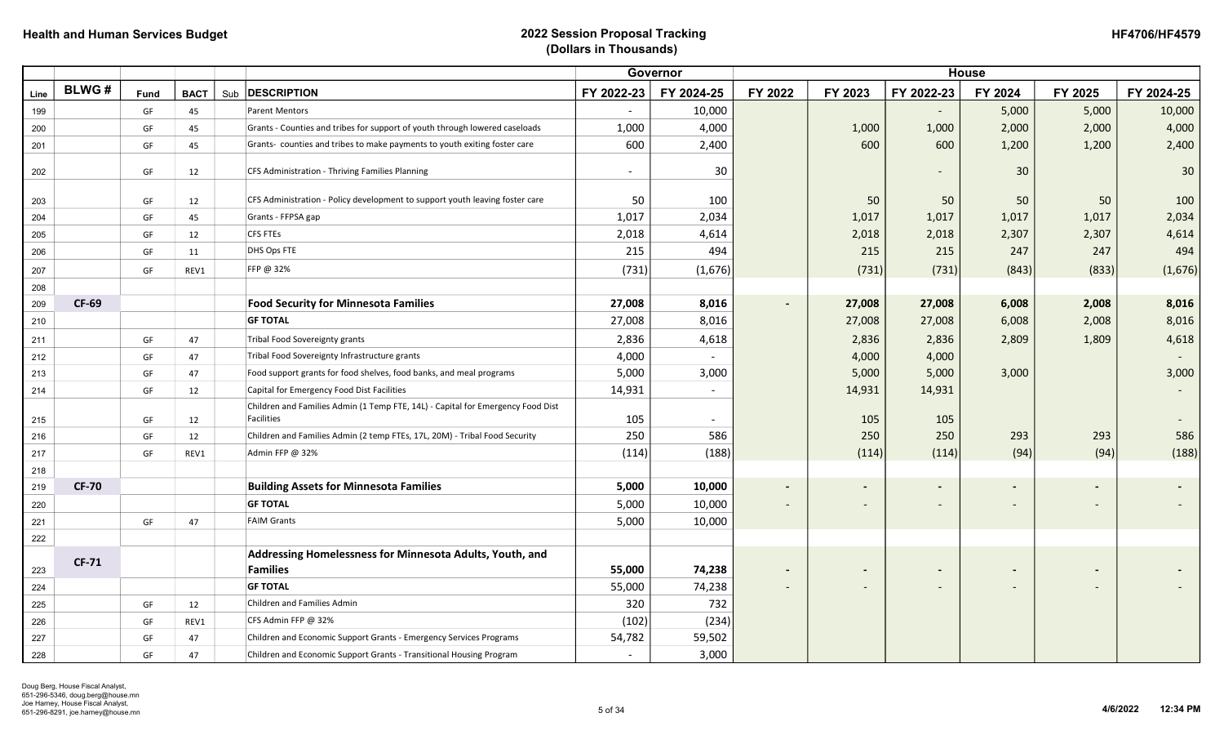| <b>HF4706/HF4579</b> |
|----------------------|
|----------------------|

|      |              |             |             |                                                                                                      |                          | Governor     |                          |         |            | <b>House</b>             |                          |                          |
|------|--------------|-------------|-------------|------------------------------------------------------------------------------------------------------|--------------------------|--------------|--------------------------|---------|------------|--------------------------|--------------------------|--------------------------|
| Line | <b>BLWG#</b> | <b>Fund</b> | <b>BACT</b> | Sub <b>DESCRIPTION</b>                                                                               | FY 2022-23               | FY 2024-25   | FY 2022                  | FY 2023 | FY 2022-23 | FY 2024                  | FY 2025                  | FY 2024-25               |
| 199  |              | GF          | 45          | <b>Parent Mentors</b>                                                                                | $\overline{\phantom{a}}$ | 10,000       |                          |         |            | 5,000                    | 5,000                    | 10,000                   |
| 200  |              | GF          | 45          | Grants - Counties and tribes for support of youth through lowered caseloads                          | 1,000                    | 4,000        |                          | 1,000   | 1,000      | 2,000                    | 2,000                    | 4,000                    |
| 201  |              | GF          | 45          | Grants- counties and tribes to make payments to youth exiting foster care                            | 600                      | 2,400        |                          | 600     | 600        | 1,200                    | 1,200                    | 2,400                    |
| 202  |              | GF          | 12          | CFS Administration - Thriving Families Planning                                                      | $\overline{\phantom{a}}$ | 30           |                          |         |            | 30                       |                          | 30                       |
| 203  |              | GF          | 12          | CFS Administration - Policy development to support youth leaving foster care                         | 50                       | 100          |                          | 50      | 50         | 50                       | 50                       | 100                      |
| 204  |              | GF          | 45          | Grants - FFPSA gap                                                                                   | 1,017                    | 2,034        |                          | 1,017   | 1,017      | 1,017                    | 1,017                    | 2,034                    |
| 205  |              | GF          | 12          | <b>CFS FTEs</b>                                                                                      | 2,018                    | 4,614        |                          | 2,018   | 2,018      | 2,307                    | 2,307                    | 4,614                    |
| 206  |              | GF          | 11          | DHS Ops FTE                                                                                          | 215                      | 494          |                          | 215     | 215        | 247                      | 247                      | 494                      |
| 207  |              | GF          | REV1        | FFP @ 32%                                                                                            | (731)                    | (1,676)      |                          | (731)   | (731)      | (843)                    | (833)                    | (1,676)                  |
| 208  |              |             |             |                                                                                                      |                          |              |                          |         |            |                          |                          |                          |
| 209  | <b>CF-69</b> |             |             | <b>Food Security for Minnesota Families</b>                                                          | 27,008                   | 8,016        | $\blacksquare$           | 27,008  | 27,008     | 6,008                    | 2,008                    | 8,016                    |
| 210  |              |             |             | <b>GF TOTAL</b>                                                                                      | 27,008                   | 8,016        |                          | 27,008  | 27,008     | 6,008                    | 2,008                    | 8,016                    |
| 211  |              | GF          | 47          | Tribal Food Sovereignty grants                                                                       | 2,836                    | 4,618        |                          | 2,836   | 2,836      | 2,809                    | 1,809                    | 4,618                    |
| 212  |              | GF          | 47          | Tribal Food Sovereignty Infrastructure grants                                                        | 4,000                    | $\mathbf{r}$ |                          | 4,000   | 4,000      |                          |                          |                          |
| 213  |              | GF          | 47          | Food support grants for food shelves, food banks, and meal programs                                  | 5,000                    | 3,000        |                          | 5,000   | 5,000      | 3,000                    |                          | 3,000                    |
| 214  |              | GF          | 12          | Capital for Emergency Food Dist Facilities                                                           | 14,931                   |              |                          | 14,931  | 14,931     |                          |                          |                          |
| 215  |              | GF          | 12          | Children and Families Admin (1 Temp FTE, 14L) - Capital for Emergency Food Dist<br><b>Facilities</b> | 105                      |              |                          | 105     | 105        |                          |                          | $\overline{\phantom{a}}$ |
| 216  |              | GF          | 12          | Children and Families Admin (2 temp FTEs, 17L, 20M) - Tribal Food Security                           | 250                      | 586          |                          | 250     | 250        | 293                      | 293                      | 586                      |
| 217  |              | GF          | REV1        | Admin FFP @ 32%                                                                                      | (114)                    | (188)        |                          | (114)   | (114)      | (94)                     | (94)                     | (188)                    |
| 218  |              |             |             |                                                                                                      |                          |              |                          |         |            |                          |                          |                          |
| 219  | <b>CF-70</b> |             |             | <b>Building Assets for Minnesota Families</b>                                                        | 5,000                    | 10,000       | $\blacksquare$           |         |            |                          | $\overline{\phantom{0}}$ |                          |
| 220  |              |             |             | <b>GF TOTAL</b>                                                                                      | 5,000                    | 10,000       | $\overline{\phantom{a}}$ |         |            |                          |                          |                          |
| 221  |              | GF          | 47          | <b>FAIM Grants</b>                                                                                   | 5,000                    | 10,000       |                          |         |            |                          |                          |                          |
| 222  |              |             |             |                                                                                                      |                          |              |                          |         |            |                          |                          |                          |
|      | <b>CF-71</b> |             |             | Addressing Homelessness for Minnesota Adults, Youth, and                                             |                          |              |                          |         |            |                          |                          |                          |
| 223  |              |             |             | <b>Families</b>                                                                                      | 55,000                   | 74,238       | $\blacksquare$           |         |            | $\overline{\phantom{a}}$ | $\overline{\phantom{a}}$ |                          |
| 224  |              |             |             | <b>GF TOTAL</b>                                                                                      | 55,000                   | 74,238       | $\overline{\phantom{a}}$ |         |            |                          | $\qquad \qquad -$        |                          |
| 225  |              | GF          | 12          | Children and Families Admin                                                                          | 320                      | 732          |                          |         |            |                          |                          |                          |
| 226  |              | GF          | REV1        | CFS Admin FFP @ 32%                                                                                  | (102)                    | (234)        |                          |         |            |                          |                          |                          |
| 227  |              | GF          | 47          | Children and Economic Support Grants - Emergency Services Programs                                   | 54,782                   | 59,502       |                          |         |            |                          |                          |                          |
| 228  |              | GF          | 47          | Children and Economic Support Grants - Transitional Housing Program                                  | $\overline{\phantom{a}}$ | 3,000        |                          |         |            |                          |                          |                          |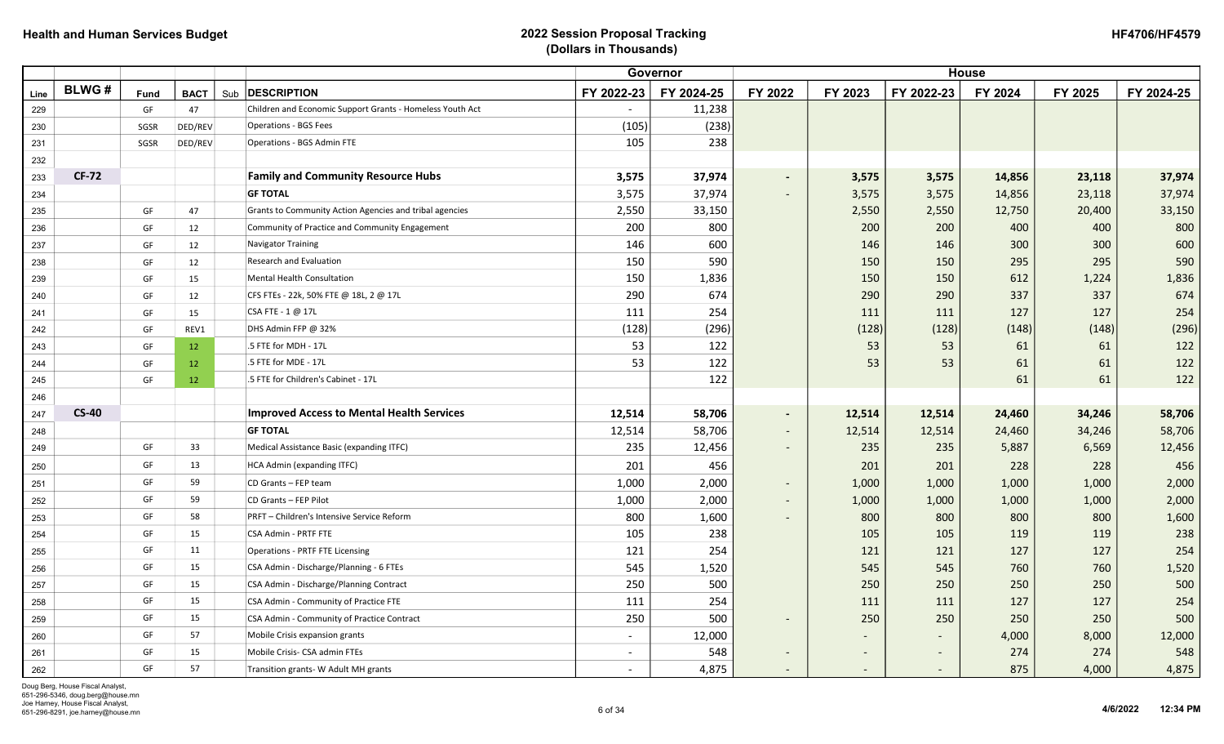|      |              |             |             |                                                           |                          | Governor   |                          |                          |                          | <b>House</b> |         |            |
|------|--------------|-------------|-------------|-----------------------------------------------------------|--------------------------|------------|--------------------------|--------------------------|--------------------------|--------------|---------|------------|
| Line | <b>BLWG#</b> | <b>Fund</b> | <b>BACT</b> | Sub <b>DESCRIPTION</b>                                    | FY 2022-23               | FY 2024-25 | FY 2022                  | FY 2023                  | FY 2022-23               | FY 2024      | FY 2025 | FY 2024-25 |
| 229  |              | GF          | 47          | Children and Economic Support Grants - Homeless Youth Act | $\sim$                   | 11,238     |                          |                          |                          |              |         |            |
| 230  |              | SGSR        | DED/REV     | <b>Operations - BGS Fees</b>                              | (105)                    | (238)      |                          |                          |                          |              |         |            |
| 231  |              | SGSR        | DED/REV     | <b>Operations - BGS Admin FTE</b>                         | 105                      | 238        |                          |                          |                          |              |         |            |
| 232  |              |             |             |                                                           |                          |            |                          |                          |                          |              |         |            |
| 233  | <b>CF-72</b> |             |             | <b>Family and Community Resource Hubs</b>                 | 3,575                    | 37,974     | $\sim$                   | 3,575                    | 3,575                    | 14,856       | 23,118  | 37,974     |
| 234  |              |             |             | <b>GF TOTAL</b>                                           | 3,575                    | 37,974     | $\sim$                   | 3,575                    | 3,575                    | 14,856       | 23,118  | 37,974     |
| 235  |              | GF          | 47          | Grants to Community Action Agencies and tribal agencies   | 2,550                    | 33,150     |                          | 2,550                    | 2,550                    | 12,750       | 20,400  | 33,150     |
| 236  |              | GF          | 12          | Community of Practice and Community Engagement            | 200                      | 800        |                          | 200                      | 200                      | 400          | 400     | 800        |
| 237  |              | GF          | 12          | Navigator Training                                        | 146                      | 600        |                          | 146                      | 146                      | 300          | 300     | 600        |
| 238  |              | GF          | 12          | <b>Research and Evaluation</b>                            | 150                      | 590        |                          | 150                      | 150                      | 295          | 295     | 590        |
| 239  |              | GF          | 15          | Mental Health Consultation                                | 150                      | 1,836      |                          | 150                      | 150                      | 612          | 1,224   | 1,836      |
| 240  |              | GF          | 12          | CFS FTEs - 22k, 50% FTE @ 18L, 2 @ 17L                    | 290                      | 674        |                          | 290                      | 290                      | 337          | 337     | 674        |
| 241  |              | GF          | 15          | CSA FTE - 1 @ 17L                                         | 111                      | 254        |                          | 111                      | 111                      | 127          | 127     | 254        |
| 242  |              | GF          | REV1        | DHS Admin FFP @ 32%                                       | (128)                    | (296)      |                          | (128)                    | (128)                    | (148)        | (148)   | (296)      |
| 243  |              | GF          | 12          | .5 FTE for MDH - 17L                                      | 53                       | 122        |                          | 53                       | 53                       | 61           | 61      | 122        |
| 244  |              | GF          | 12          | .5 FTE for MDE - 17L                                      | 53                       | 122        |                          | 53                       | 53                       | 61           | 61      | 122        |
| 245  |              | GF          | 12          | .5 FTE for Children's Cabinet - 17L                       |                          | 122        |                          |                          |                          | 61           | 61      | 122        |
| 246  |              |             |             |                                                           |                          |            |                          |                          |                          |              |         |            |
| 247  | <b>CS-40</b> |             |             | <b>Improved Access to Mental Health Services</b>          | 12,514                   | 58,706     | $\sim$                   | 12,514                   | 12,514                   | 24,460       | 34,246  | 58,706     |
| 248  |              |             |             | <b>GF TOTAL</b>                                           | 12,514                   | 58,706     | $\sim$                   | 12,514                   | 12,514                   | 24,460       | 34,246  | 58,706     |
| 249  |              | GF          | 33          | Medical Assistance Basic (expanding ITFC)                 | 235                      | 12,456     | $\sim$                   | 235                      | 235                      | 5,887        | 6,569   | 12,456     |
| 250  |              | GF          | 13          | HCA Admin (expanding ITFC)                                | 201                      | 456        |                          | 201                      | 201                      | 228          | 228     | 456        |
| 251  |              | GF          | 59          | CD Grants - FEP team                                      | 1,000                    | 2,000      | $\sim$                   | 1,000                    | 1,000                    | 1,000        | 1,000   | 2,000      |
| 252  |              | GF          | 59          | CD Grants - FEP Pilot                                     | 1,000                    | 2,000      | $\sim$                   | 1,000                    | 1,000                    | 1,000        | 1,000   | 2,000      |
| 253  |              | GF          | 58          | PRFT - Children's Intensive Service Reform                | 800                      | 1,600      | $\sim$                   | 800                      | 800                      | 800          | 800     | 1,600      |
| 254  |              | GF          | 15          | <b>CSA Admin - PRTF FTE</b>                               | 105                      | 238        |                          | 105                      | 105                      | 119          | 119     | 238        |
| 255  |              | GF          | 11          | <b>Operations - PRTF FTE Licensing</b>                    | 121                      | 254        |                          | 121                      | 121                      | 127          | 127     | 254        |
| 256  |              | GF          | 15          | CSA Admin - Discharge/Planning - 6 FTEs                   | 545                      | 1,520      |                          | 545                      | 545                      | 760          | 760     | 1,520      |
| 257  |              | GF          | 15          | CSA Admin - Discharge/Planning Contract                   | 250                      | 500        |                          | 250                      | 250                      | 250          | 250     | 500        |
| 258  |              | GF          | 15          | CSA Admin - Community of Practice FTE                     | 111                      | 254        |                          | 111                      | 111                      | 127          | 127     | 254        |
| 259  |              | GF          | 15          | CSA Admin - Community of Practice Contract                | 250                      | 500        | $\sim$                   | 250                      | 250                      | 250          | 250     | 500        |
| 260  |              | GF          | 57          | Mobile Crisis expansion grants                            | $\overline{\phantom{0}}$ | 12,000     |                          | $\overline{\phantom{0}}$ | $\overline{\phantom{0}}$ | 4,000        | 8,000   | 12,000     |
| 261  |              | GF          | 15          | Mobile Crisis- CSA admin FTEs                             |                          | 548        |                          | $\overline{\phantom{a}}$ |                          | 274          | 274     | 548        |
| 262  |              | GF          | 57          | Transition grants- W Adult MH grants                      |                          | 4,875      | $\overline{\phantom{a}}$ | $\overline{\phantom{a}}$ |                          | 875          | 4,000   | 4,875      |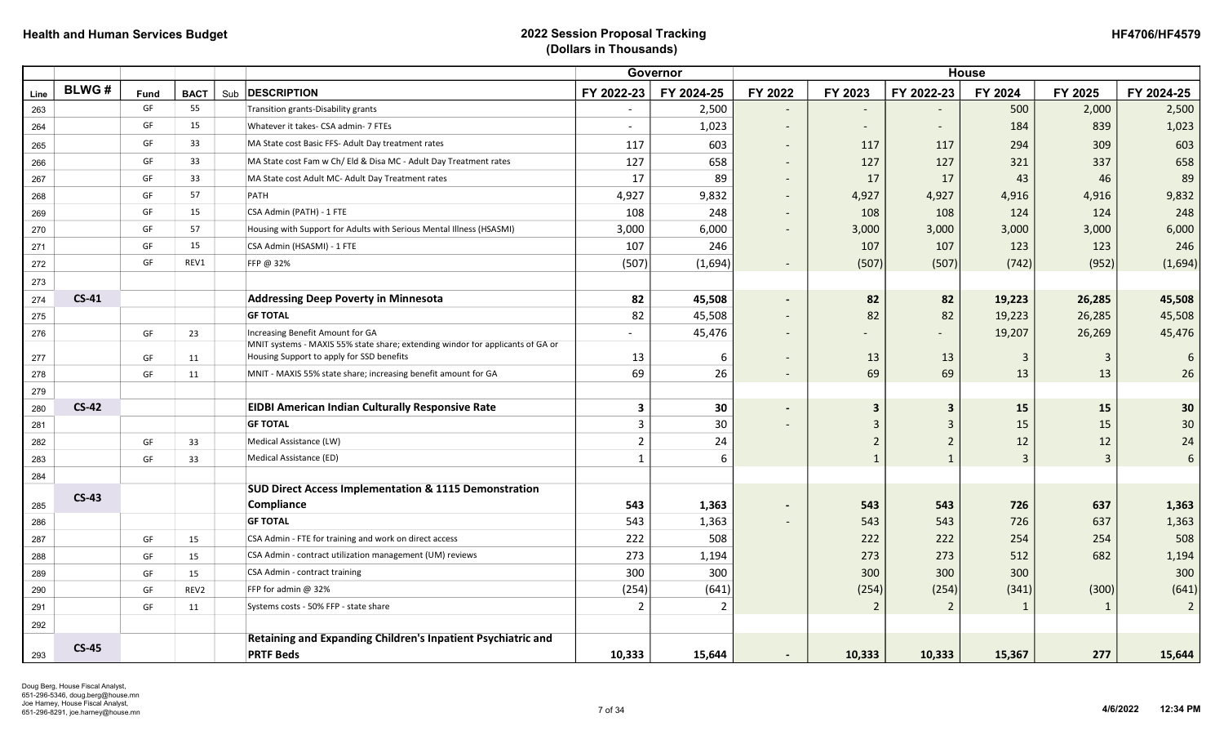| <b>HF4706/HF4579</b> |
|----------------------|
|----------------------|

|      |              |      |             |                                                                                                                             |                          | Governor       |                              | <b>House</b>   |                          |                |                |                |
|------|--------------|------|-------------|-----------------------------------------------------------------------------------------------------------------------------|--------------------------|----------------|------------------------------|----------------|--------------------------|----------------|----------------|----------------|
| Line | <b>BLWG#</b> | Fund | <b>BACT</b> | Sub <b>DESCRIPTION</b>                                                                                                      | FY 2022-23               | FY 2024-25     | FY 2022                      | FY 2023        | FY 2022-23               | FY 2024        | FY 2025        | FY 2024-25     |
| 263  |              | GF   | 55          | Transition grants-Disability grants                                                                                         | $\overline{\phantom{a}}$ | 2,500          | $\overline{\phantom{0}}$     |                |                          | 500            | 2,000          | 2,500          |
| 264  |              | GF   | 15          | Whatever it takes- CSA admin- 7 FTEs                                                                                        | $\overline{a}$           | 1,023          | $\overline{\phantom{a}}$     | $\overline{a}$ | $\overline{\phantom{0}}$ | 184            | 839            | 1,023          |
| 265  |              | GF   | 33          | MA State cost Basic FFS- Adult Day treatment rates                                                                          | 117                      | 603            | $\overline{\phantom{a}}$     | 117            | 117                      | 294            | 309            | 603            |
| 266  |              | GF   | 33          | MA State cost Fam w Ch/ Eld & Disa MC - Adult Day Treatment rates                                                           | 127                      | 658            | $\overline{\phantom{a}}$     | 127            | 127                      | 321            | 337            | 658            |
| 267  |              | GF   | 33          | MA State cost Adult MC- Adult Day Treatment rates                                                                           | 17                       | 89             | $\overline{\phantom{a}}$     | 17             | 17                       | 43             | 46             | 89             |
| 268  |              | GF   | 57          | PATH                                                                                                                        | 4,927                    | 9,832          | $\sim$                       | 4,927          | 4,927                    | 4,916          | 4,916          | 9,832          |
| 269  |              | GF   | 15          | CSA Admin (PATH) - 1 FTE                                                                                                    | 108                      | 248            | $\overline{\phantom{a}}$     | 108            | 108                      | 124            | 124            | 248            |
| 270  |              | GF   | 57          | Housing with Support for Adults with Serious Mental Illness (HSASMI)                                                        | 3,000                    | 6,000          | $\overline{\phantom{a}}$     | 3,000          | 3,000                    | 3,000          | 3,000          | 6,000          |
| 271  |              | GF   | 15          | CSA Admin (HSASMI) - 1 FTE                                                                                                  | 107                      | 246            |                              | 107            | 107                      | 123            | 123            | 246            |
| 272  |              | GF   | REV1        | FFP @ 32%                                                                                                                   | (507)                    | (1,694)        | $\overline{\phantom{a}}$     | (507)          | (507)                    | (742)          | (952)          | (1,694)        |
| 273  |              |      |             |                                                                                                                             |                          |                |                              |                |                          |                |                |                |
| 274  | $CS-41$      |      |             | <b>Addressing Deep Poverty in Minnesota</b>                                                                                 | 82                       | 45,508         | $\overline{\phantom{0}}$     | 82             | 82                       | 19,223         | 26,285         | 45,508         |
| 275  |              |      |             | <b>GF TOTAL</b>                                                                                                             | 82                       | 45,508         | $\overline{\phantom{a}}$     | 82             | 82                       | 19,223         | 26,285         | 45,508         |
| 276  |              | GF   | 23          | Increasing Benefit Amount for GA                                                                                            | $\overline{\phantom{a}}$ | 45,476         | $\overline{\phantom{a}}$     |                |                          | 19,207         | 26,269         | 45,476         |
| 277  |              | GF   | 11          | MNIT systems - MAXIS 55% state share; extending windor for applicants of GA or<br>Housing Support to apply for SSD benefits | 13                       | 6              | $\overline{\phantom{a}}$     | 13             | 13                       | $\overline{3}$ | 3              | 6              |
| 278  |              | GF   | 11          | MNIT - MAXIS 55% state share; increasing benefit amount for GA                                                              | 69                       | 26             | $\overline{\phantom{a}}$     | 69             | 69                       | 13             | 13             | 26             |
| 279  |              |      |             |                                                                                                                             |                          |                |                              |                |                          |                |                |                |
| 280  | $CS-42$      |      |             | <b>EIDBI American Indian Culturally Responsive Rate</b>                                                                     | 3                        | 30             | $\qquad \qquad \blacksquare$ | 3              | 3                        | 15             | 15             | 30             |
| 281  |              |      |             | <b>GF TOTAL</b>                                                                                                             | 3                        | 30             | $\qquad \qquad -$            | 3              | 3                        | 15             | 15             | $30\,$         |
| 282  |              | GF   | 33          | Medical Assistance (LW)                                                                                                     | $\overline{2}$           | 24             |                              | $\overline{2}$ | $\mathbf 2$              | 12             | 12             | 24             |
| 283  |              | GF   | 33          | Medical Assistance (ED)                                                                                                     | $\mathbf{1}$             | 6              |                              | $\mathbf{1}$   | $\mathbf{1}$             | $\overline{3}$ | $\overline{3}$ | $6\phantom{1}$ |
| 284  |              |      |             |                                                                                                                             |                          |                |                              |                |                          |                |                |                |
|      | $CS-43$      |      |             | <b>SUD Direct Access Implementation &amp; 1115 Demonstration</b>                                                            |                          |                |                              |                |                          |                |                |                |
| 285  |              |      |             | Compliance                                                                                                                  | 543                      | 1,363          | $\blacksquare$               | 543            | 543                      | 726            | 637            | 1,363          |
| 286  |              |      |             | <b>GF TOTAL</b>                                                                                                             | 543                      | 1,363          | $\overline{\phantom{a}}$     | 543            | 543                      | 726            | 637            | 1,363          |
| 287  |              | GF   | 15          | CSA Admin - FTE for training and work on direct access                                                                      | 222                      | 508            |                              | 222            | 222                      | 254            | 254            | 508            |
| 288  |              | GF   | 15          | CSA Admin - contract utilization management (UM) reviews                                                                    | 273                      | 1,194          |                              | 273            | 273                      | 512            | 682            | 1,194          |
| 289  |              | GF   | 15          | CSA Admin - contract training                                                                                               | 300                      | 300            |                              | 300            | 300                      | 300            |                | 300            |
| 290  |              | GF   | REV2        | FFP for admin @ 32%                                                                                                         | (254)                    | (641)          |                              | (254)          | (254)                    | (341)          | (300)          | (641)          |
| 291  |              | GF   | 11          | Systems costs - 50% FFP - state share                                                                                       | 2                        | $\overline{2}$ |                              |                | $\overline{2}$           | 1              | 1              | $\overline{2}$ |
| 292  |              |      |             |                                                                                                                             |                          |                |                              |                |                          |                |                |                |
| 293  | <b>CS-45</b> |      |             | Retaining and Expanding Children's Inpatient Psychiatric and<br><b>PRTF Beds</b>                                            | 10,333                   | 15,644         | $\blacksquare$               | 10,333         | 10,333                   | 15,367         | 277            | 15,644         |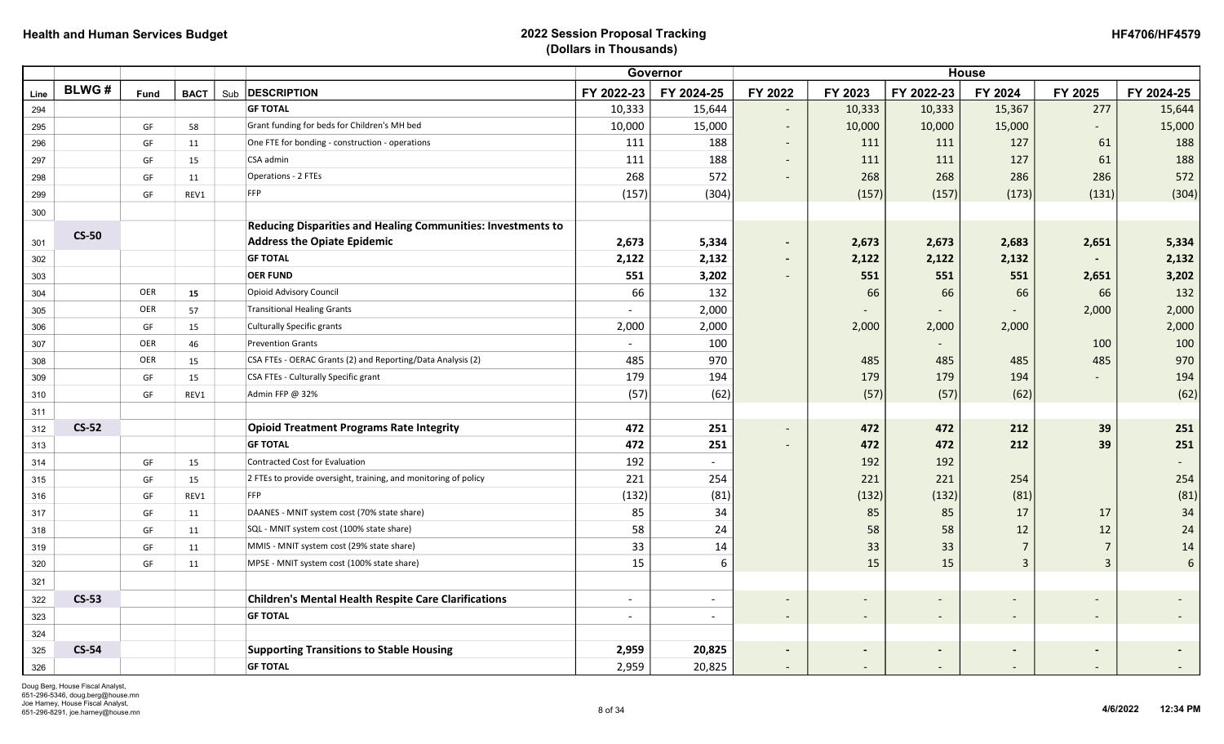|      |              |                        |             |                                                                 |                          | Governor                 | <b>House</b>             |                          |            |                          |                          |                 |
|------|--------------|------------------------|-------------|-----------------------------------------------------------------|--------------------------|--------------------------|--------------------------|--------------------------|------------|--------------------------|--------------------------|-----------------|
| Line | <b>BLWG#</b> | <b>Fund</b>            | <b>BACT</b> | Sub <b>DESCRIPTION</b>                                          | FY 2022-23               | FY 2024-25               | FY 2022                  | FY 2023                  | FY 2022-23 | FY 2024                  | FY 2025                  | FY 2024-25      |
| 294  |              |                        |             | <b>GF TOTAL</b>                                                 | 10,333                   | 15,644                   | $\overline{\phantom{a}}$ | 10,333                   | 10,333     | 15,367                   | 277                      | 15,644          |
| 295  |              | GF                     | 58          | Grant funding for beds for Children's MH bed                    | 10,000                   | 15,000                   | $\overline{\phantom{a}}$ | 10,000                   | 10,000     | 15,000                   | $\overline{\phantom{a}}$ | 15,000          |
| 296  |              | GF                     | 11          | One FTE for bonding - construction - operations                 | 111                      | 188                      | $\overline{\phantom{a}}$ | 111                      | 111        | 127                      | 61                       | 188             |
| 297  |              | GF                     | 15          | CSA admin                                                       | 111                      | 188                      | $\overline{\phantom{a}}$ | 111                      | 111        | 127                      | 61                       | 188             |
| 298  |              | GF                     | 11          | <b>Operations - 2 FTEs</b>                                      | 268                      | 572                      | $\overline{\phantom{a}}$ | 268                      | 268        | 286                      | 286                      | 572             |
| 299  |              | GF                     | REV1        | FFP                                                             | (157)                    | (304)                    |                          | (157)                    | (157)      | (173)                    | (131)                    | (304)           |
| 300  |              |                        |             |                                                                 |                          |                          |                          |                          |            |                          |                          |                 |
|      | <b>CS-50</b> |                        |             | Reducing Disparities and Healing Communities: Investments to    |                          |                          |                          |                          |            |                          |                          |                 |
| 301  |              |                        |             | <b>Address the Opiate Epidemic</b>                              | 2,673                    | 5,334                    | $\blacksquare$           | 2,673                    | 2,673      | 2,683                    | 2,651                    | 5,334           |
| 302  |              |                        |             | <b>GF TOTAL</b>                                                 | 2,122                    | 2,132                    | $\blacksquare$           | 2,122                    | 2,122      | 2,132                    |                          | 2,132           |
| 303  |              |                        |             | <b>OER FUND</b>                                                 | 551                      | 3,202                    |                          | 551                      | 551        | 551                      | 2,651                    | 3,202           |
| 304  |              | OER                    | 15          | <b>Opioid Advisory Council</b>                                  | 66                       | 132                      |                          | 66                       | 66         | 66                       | 66                       | 132             |
| 305  |              | OER                    | 57          | <b>Transitional Healing Grants</b>                              |                          | 2,000                    |                          |                          |            |                          | 2,000                    | 2,000           |
| 306  |              | GF                     | 15          | <b>Culturally Specific grants</b>                               | 2,000                    | 2,000                    |                          | 2,000                    | 2,000      | 2,000                    |                          | 2,000           |
| 307  |              | OER                    | 46          | <b>Prevention Grants</b>                                        | $\overline{\phantom{a}}$ | 100                      |                          |                          |            |                          | 100                      | 100             |
| 308  |              | OER                    | 15          | CSA FTEs - OERAC Grants (2) and Reporting/Data Analysis (2)     | 485                      | 970                      |                          | 485                      | 485        | 485                      | 485                      | 970             |
| 309  |              | GF                     | 15          | CSA FTEs - Culturally Specific grant                            | 179                      | 194                      |                          | 179                      | 179        | 194                      |                          | 194             |
| 310  |              | GF                     | REV1        | Admin FFP @ 32%                                                 | (57)                     | (62)                     |                          | (57)                     | (57)       | (62)                     |                          | (62)            |
| 311  |              |                        |             |                                                                 |                          |                          |                          |                          |            |                          |                          |                 |
| 312  | <b>CS-52</b> |                        |             | <b>Opioid Treatment Programs Rate Integrity</b>                 | 472                      | 251                      | $\overline{\phantom{a}}$ | 472                      | 472        | 212                      | 39                       | 251             |
| 313  |              |                        |             | <b>GF TOTAL</b>                                                 | 472                      | 251                      |                          | 472                      | 472        | 212                      | 39                       | 251             |
| 314  |              | $\mathsf{G}\mathsf{F}$ | 15          | Contracted Cost for Evaluation                                  | 192                      |                          |                          | 192                      | 192        |                          |                          |                 |
| 315  |              | GF                     | 15          | 2 FTEs to provide oversight, training, and monitoring of policy | 221                      | 254                      |                          | 221                      | 221        | 254                      |                          | 254             |
| 316  |              | GF                     | REV1        | FFP                                                             | (132)                    | (81)                     |                          | (132)                    | (132)      | (81)                     |                          | (81)            |
| 317  |              | GF                     | 11          | DAANES - MNIT system cost (70% state share)                     | 85                       | 34                       |                          | 85                       | 85         | 17                       | 17                       | $34\,$          |
| 318  |              | GF                     | 11          | SQL - MNIT system cost (100% state share)                       | 58                       | 24                       |                          | 58                       | 58         | $12\,$                   | 12                       | 24              |
| 319  |              | GF                     | 11          | MMIS - MNIT system cost (29% state share)                       | 33                       | 14                       |                          | 33                       | 33         | $\overline{7}$           | $\overline{7}$           | $14\,$          |
| 320  |              | GF                     | 11          | MPSE - MNIT system cost (100% state share)                      | 15                       | 6                        |                          | 15                       | 15         | 3                        | $\overline{3}$           | $6\phantom{1}6$ |
| 321  |              |                        |             |                                                                 |                          |                          |                          |                          |            |                          |                          |                 |
| 322  | $CS-53$      |                        |             | <b>Children's Mental Health Respite Care Clarifications</b>     | $\overline{\phantom{a}}$ | $\overline{\phantom{a}}$ |                          | $\overline{\phantom{0}}$ |            |                          |                          |                 |
| 323  |              |                        |             | <b>GF TOTAL</b>                                                 | $\overline{a}$           | $\overline{\phantom{a}}$ | $\overline{\phantom{a}}$ | $\overline{\phantom{a}}$ |            | $\overline{\phantom{a}}$ | $\overline{\phantom{a}}$ |                 |
| 324  |              |                        |             |                                                                 |                          |                          |                          |                          |            |                          |                          |                 |
| 325  | <b>CS-54</b> |                        |             | <b>Supporting Transitions to Stable Housing</b>                 | 2,959                    | 20,825                   | $\overline{\phantom{a}}$ | $\blacksquare$           |            | $\overline{\phantom{a}}$ |                          | $\blacksquare$  |
| 326  |              |                        |             | <b>GF TOTAL</b>                                                 | 2,959                    | 20,825                   | $\overline{\phantom{a}}$ |                          |            |                          |                          |                 |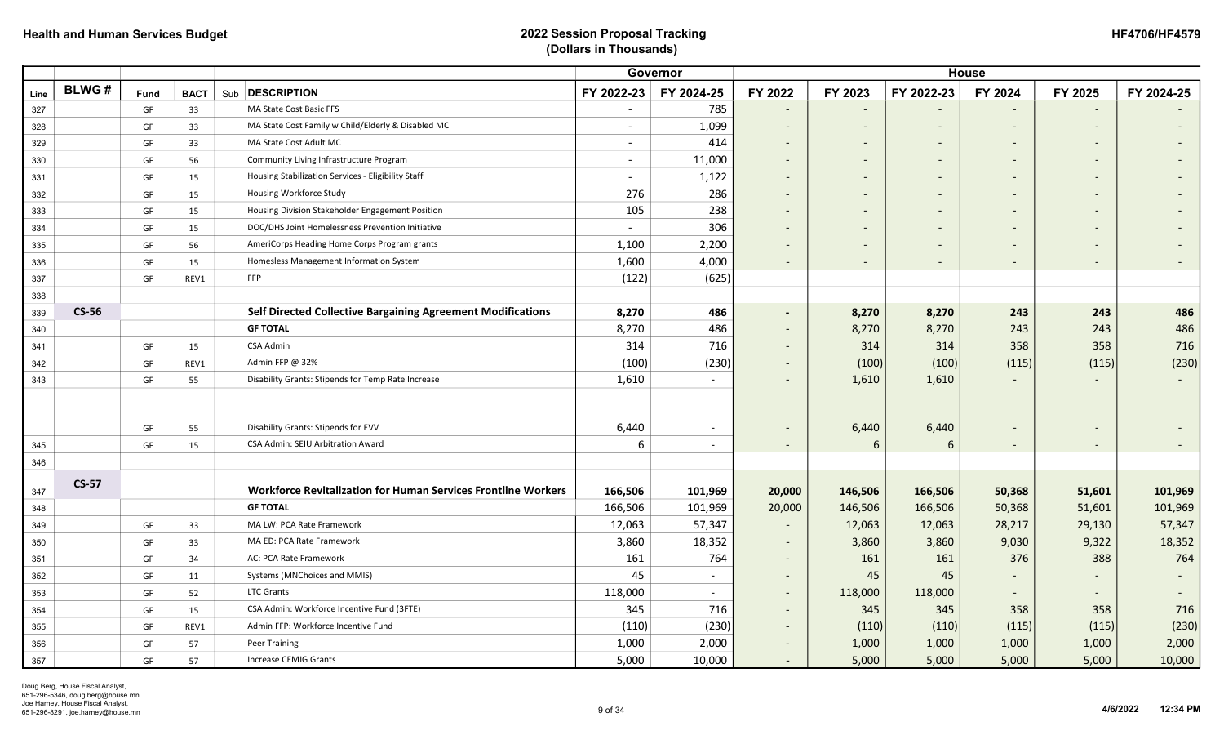| <b>HF4706/HF4579</b> |
|----------------------|
|----------------------|

|            |              |      |                    |                                                                      | Governor                 |                          |                          |                          |                          | <b>House</b>                 |                          |            |  |  |  |  |  |
|------------|--------------|------|--------------------|----------------------------------------------------------------------|--------------------------|--------------------------|--------------------------|--------------------------|--------------------------|------------------------------|--------------------------|------------|--|--|--|--|--|
| Line       | <b>BLWG#</b> | Fund | <b>BACT</b><br>Sub | <b>DESCRIPTION</b>                                                   | FY 2022-23               | FY 2024-25               | FY 2022                  | FY 2023                  | FY 2022-23               | FY 2024                      | FY 2025                  | FY 2024-25 |  |  |  |  |  |
| 327        |              | GF   | 33                 | MA State Cost Basic FFS                                              | $\overline{\phantom{a}}$ | 785                      | $\overline{\phantom{a}}$ |                          |                          |                              |                          |            |  |  |  |  |  |
| 328        |              | GF   | 33                 | MA State Cost Family w Child/Elderly & Disabled MC                   | $\sim$                   | 1,099                    | $\overline{\phantom{a}}$ | $\overline{\phantom{a}}$ | $\overline{\phantom{a}}$ | $\overline{\phantom{a}}$     |                          |            |  |  |  |  |  |
| 329        |              | GF   | 33                 | MA State Cost Adult MC                                               | $\overline{\phantom{a}}$ | 414                      | $\overline{\phantom{a}}$ | $\overline{\phantom{a}}$ | $\overline{\phantom{a}}$ | $\overline{\phantom{a}}$     |                          |            |  |  |  |  |  |
| 330        |              | GF   | 56                 | Community Living Infrastructure Program                              | $\overline{\phantom{a}}$ | 11,000                   |                          | $\overline{\phantom{a}}$ |                          | $\qquad \qquad \blacksquare$ |                          |            |  |  |  |  |  |
| 331        |              | GF   | 15                 | Housing Stabilization Services - Eligibility Staff                   | $\blacksquare$           | 1,122                    |                          |                          |                          |                              |                          |            |  |  |  |  |  |
| 332        |              | GF   | 15                 | Housing Workforce Study                                              | 276                      | 286                      | $\overline{\phantom{0}}$ |                          | $\overline{\phantom{a}}$ |                              |                          |            |  |  |  |  |  |
| 333        |              | GF   | 15                 | Housing Division Stakeholder Engagement Position                     | 105                      | 238                      |                          |                          |                          |                              |                          |            |  |  |  |  |  |
| 334        |              | GF   | 15                 | DOC/DHS Joint Homelessness Prevention Initiative                     | $\overline{\phantom{a}}$ | 306                      | $\overline{\phantom{0}}$ |                          |                          |                              |                          |            |  |  |  |  |  |
| 335        |              | GF   | 56                 | AmeriCorps Heading Home Corps Program grants                         | 1,100                    | 2,200                    | $\overline{\phantom{0}}$ |                          |                          |                              |                          |            |  |  |  |  |  |
| 336        |              | GF   | 15                 | Homesless Management Information System                              | 1,600                    | 4,000                    | $\overline{\phantom{a}}$ |                          |                          |                              |                          |            |  |  |  |  |  |
| 337        |              | GF   | REV1               | FFP                                                                  | (122)                    | (625)                    |                          |                          |                          |                              |                          |            |  |  |  |  |  |
| 338        |              |      |                    |                                                                      |                          |                          |                          |                          |                          |                              |                          |            |  |  |  |  |  |
| 339        | <b>CS-56</b> |      |                    | <b>Self Directed Collective Bargaining Agreement Modifications</b>   | 8,270                    | 486                      | $\sim$                   | 8,270                    | 8,270                    | 243                          | 243                      | 486        |  |  |  |  |  |
| 340        |              |      |                    | <b>GF TOTAL</b>                                                      | 8,270                    | 486                      | $\overline{\phantom{a}}$ | 8,270                    | 8,270                    | 243                          | 243                      | 486        |  |  |  |  |  |
| 341        |              | GF   | 15                 | CSA Admin                                                            | 314                      | 716                      |                          | 314                      | 314                      | 358                          | 358                      | 716        |  |  |  |  |  |
| 342        |              | GF   | REV1               | Admin FFP @ 32%                                                      | (100)                    | (230)                    | $\overline{\phantom{a}}$ | (100)                    | (100)                    | (115)                        | (115)                    | (230)      |  |  |  |  |  |
| 343        |              | GF   | 55                 | Disability Grants: Stipends for Temp Rate Increase                   | 1,610                    | $\overline{\phantom{a}}$ | $\overline{\phantom{0}}$ | 1,610                    | 1,610                    |                              |                          |            |  |  |  |  |  |
|            |              |      |                    |                                                                      |                          |                          |                          |                          |                          |                              |                          |            |  |  |  |  |  |
|            |              |      |                    |                                                                      |                          |                          |                          |                          |                          |                              |                          |            |  |  |  |  |  |
|            |              | GF   | 55                 | Disability Grants: Stipends for EVV                                  | 6,440                    | $\overline{\phantom{a}}$ | $\overline{\phantom{a}}$ | 6,440                    | 6,440                    |                              |                          |            |  |  |  |  |  |
| 345        |              | GF   | 15                 | CSA Admin: SEIU Arbitration Award                                    | 6                        |                          | $\overline{\phantom{a}}$ | 6                        | 6                        | $\overline{\phantom{a}}$     |                          |            |  |  |  |  |  |
| 346        |              |      |                    |                                                                      |                          |                          |                          |                          |                          |                              |                          |            |  |  |  |  |  |
|            | $CS-57$      |      |                    | <b>Workforce Revitalization for Human Services Frontline Workers</b> | 166,506                  |                          |                          | 146,506                  | 166,506                  | 50,368                       | 51,601                   | 101,969    |  |  |  |  |  |
| 347<br>348 |              |      |                    | <b>GF TOTAL</b>                                                      | 166,506                  | 101,969<br>101,969       | 20,000<br>20,000         | 146,506                  | 166,506                  | 50,368                       | 51,601                   | 101,969    |  |  |  |  |  |
| 349        |              | GF   | 33                 | MA LW: PCA Rate Framework                                            | 12,063                   | 57,347                   | $\overline{\phantom{a}}$ | 12,063                   | 12,063                   | 28,217                       | 29,130                   | 57,347     |  |  |  |  |  |
| 350        |              | GF   | 33                 | MA ED: PCA Rate Framework                                            | 3,860                    | 18,352                   | $\sim$                   | 3,860                    | 3,860                    | 9,030                        | 9,322                    | 18,352     |  |  |  |  |  |
|            |              | GF   | 34                 | AC: PCA Rate Framework                                               | 161                      | 764                      | $\sim$                   | 161                      | 161                      | 376                          | 388                      | 764        |  |  |  |  |  |
| 351        |              | GF   | 11                 | Systems (MNChoices and MMIS)                                         | 45                       | $\blacksquare$           | $\sim$                   | 45                       | 45                       |                              |                          |            |  |  |  |  |  |
| 352<br>353 |              | GF   | 52                 | <b>LTC Grants</b>                                                    | 118,000                  | $\overline{\phantom{0}}$ | $\sim$                   | 118,000                  | 118,000                  | $\overline{\phantom{m}}$     | $\overline{\phantom{0}}$ |            |  |  |  |  |  |
| 354        |              | GF   | 15                 | CSA Admin: Workforce Incentive Fund (3FTE)                           | 345                      | 716                      | $\sim$                   | 345                      | 345                      | 358                          | 358                      | 716        |  |  |  |  |  |
| 355        |              | GF   | REV1               | Admin FFP: Workforce Incentive Fund                                  | (110)                    | (230)                    | $\overline{\phantom{a}}$ | (110)                    | (110)                    | (115)                        | (115)                    | (230)      |  |  |  |  |  |
| 356        |              | GF   | 57                 | Peer Training                                                        | 1,000                    | 2,000                    | $\overline{a}$           | 1,000                    | 1,000                    | 1,000                        | 1,000                    | 2,000      |  |  |  |  |  |
| 357        |              | GF   | 57                 | <b>Increase CEMIG Grants</b>                                         | 5,000                    | 10,000                   |                          | 5,000                    | 5,000                    | 5,000                        | 5,000                    | 10,000     |  |  |  |  |  |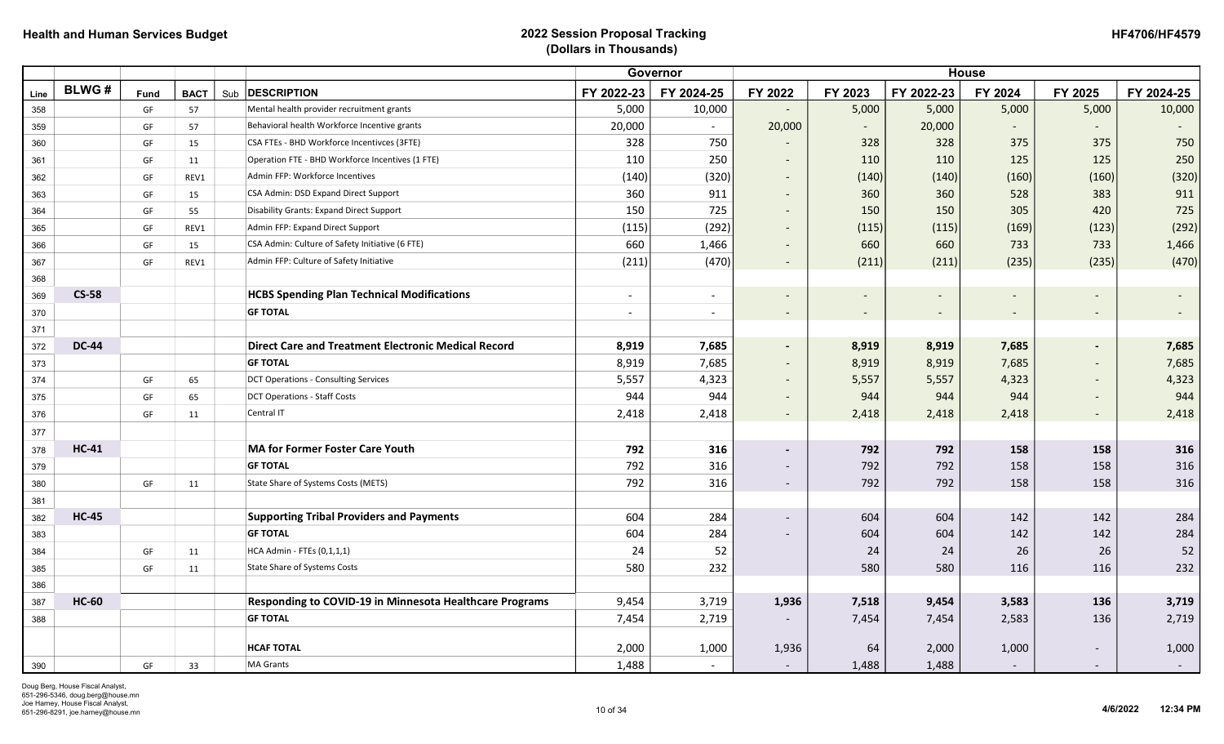| <b>HF4706/HF4579</b> |
|----------------------|
|----------------------|

|      |              |      |                    |                                                            | Governor                 |                          |                          |                          |                          | <b>House</b>             |                          |            |
|------|--------------|------|--------------------|------------------------------------------------------------|--------------------------|--------------------------|--------------------------|--------------------------|--------------------------|--------------------------|--------------------------|------------|
| Line | <b>BLWG#</b> | Fund | <b>BACT</b><br>Sub | <b>DESCRIPTION</b>                                         | FY 2022-23               | FY 2024-25               | FY 2022                  | FY 2023                  | FY 2022-23               | FY 2024                  | FY 2025                  | FY 2024-25 |
| 358  |              | GF   | 57                 | Mental health provider recruitment grants                  | 5,000                    | 10,000                   |                          | 5,000                    | 5,000                    | 5,000                    | 5,000                    | 10,000     |
| 359  |              | GF   | 57                 | Behavioral health Workforce Incentive grants               | 20,000                   |                          | 20,000                   | $\sim$                   | 20,000                   |                          |                          |            |
| 360  |              | GF   | 15                 | CSA FTEs - BHD Workforce Incentivces (3FTE)                | 328                      | 750                      | $\overline{\phantom{a}}$ | 328                      | 328                      | 375                      | 375                      | 750        |
| 361  |              | GF   | 11                 | Operation FTE - BHD Workforce Incentives (1 FTE)           | 110                      | 250                      | $\overline{\phantom{a}}$ | 110                      | 110                      | 125                      | 125                      | 250        |
| 362  |              | GF   | REV1               | Admin FFP: Workforce Incentives                            | (140)                    | (320)                    | $\sim$                   | (140)                    | (140)                    | (160)                    | (160)                    | (320)      |
| 363  |              | GF   | 15                 | CSA Admin: DSD Expand Direct Support                       | 360                      | 911                      | $\sim$                   | 360                      | 360                      | 528                      | 383                      | 911        |
| 364  |              | GF   | 55                 | Disability Grants: Expand Direct Support                   | 150                      | 725                      | $\sim$                   | 150                      | 150                      | 305                      | 420                      | 725        |
| 365  |              | GF   | REV1               | Admin FFP: Expand Direct Support                           | (115)                    | (292)                    | $\sim$                   | (115)                    | (115)                    | (169)                    | (123)                    | (292)      |
| 366  |              | GF   | 15                 | CSA Admin: Culture of Safety Initiative (6 FTE)            | 660                      | 1,466                    | $\overline{\phantom{a}}$ | 660                      | 660                      | 733                      | 733                      | 1,466      |
| 367  |              | GF   | REV1               | Admin FFP: Culture of Safety Initiative                    | (211)                    | (470)                    | $\sim$                   | (211)                    | (211)                    | (235)                    | (235)                    | (470)      |
| 368  |              |      |                    |                                                            |                          |                          |                          |                          |                          |                          |                          |            |
| 369  | <b>CS-58</b> |      |                    | <b>HCBS Spending Plan Technical Modifications</b>          | $\overline{\phantom{a}}$ | $\overline{\phantom{a}}$ |                          |                          |                          |                          |                          |            |
| 370  |              |      |                    | <b>GF TOTAL</b>                                            | $\blacksquare$           | $\overline{\phantom{a}}$ | $\sim$                   | $\overline{\phantom{a}}$ | $\overline{\phantom{a}}$ | $\overline{\phantom{a}}$ | $\overline{\phantom{0}}$ | $\sim$     |
| 371  |              |      |                    |                                                            |                          |                          |                          |                          |                          |                          |                          |            |
| 372  | <b>DC-44</b> |      |                    | <b>Direct Care and Treatment Electronic Medical Record</b> | 8,919                    | 7,685                    | $\sim$                   | 8,919                    | 8,919                    | 7,685                    |                          | 7,685      |
| 373  |              |      |                    | <b>GF TOTAL</b>                                            | 8,919                    | 7,685                    | $\overline{\phantom{a}}$ | 8,919                    | 8,919                    | 7,685                    |                          | 7,685      |
| 374  |              | GF   | 65                 | <b>DCT Operations - Consulting Services</b>                | 5,557                    | 4,323                    | $\sim$                   | 5,557                    | 5,557                    | 4,323                    | -                        | 4,323      |
| 375  |              | GF   | 65                 | <b>DCT Operations - Staff Costs</b>                        | 944                      | 944                      | $\overline{\phantom{a}}$ | 944                      | 944                      | 944                      |                          | 944        |
| 376  |              | GF   | 11                 | Central IT                                                 | 2,418                    | 2,418                    | $\overline{\phantom{a}}$ | 2,418                    | 2,418                    | 2,418                    |                          | 2,418      |
| 377  |              |      |                    |                                                            |                          |                          |                          |                          |                          |                          |                          |            |
| 378  | <b>HC-41</b> |      |                    | <b>MA for Former Foster Care Youth</b>                     | 792                      | 316                      | $\sim$                   | 792                      | 792                      | 158                      | 158                      | 316        |
| 379  |              |      |                    | <b>GF TOTAL</b>                                            | 792                      | 316                      | $\sim$                   | 792                      | 792                      | 158                      | 158                      | 316        |
| 380  |              | GF   | 11                 | <b>State Share of Systems Costs (METS)</b>                 | 792                      | 316                      | $\sim$                   | 792                      | 792                      | 158                      | 158                      | 316        |
| 381  |              |      |                    |                                                            |                          |                          |                          |                          |                          |                          |                          |            |
| 382  | <b>HC-45</b> |      |                    | <b>Supporting Tribal Providers and Payments</b>            | 604                      | 284                      | $\sim$                   | 604                      | 604                      | 142                      | 142                      | 284        |
| 383  |              |      |                    | <b>GF TOTAL</b>                                            | 604                      | 284                      | $\overline{\phantom{a}}$ | 604                      | 604                      | 142                      | 142                      | 284        |
| 384  |              | GF   | 11                 | HCA Admin - FTEs (0,1,1,1)                                 | 24                       | 52                       |                          | 24                       | 24                       | 26                       | 26                       | 52         |
| 385  |              | GF   | 11                 | <b>State Share of Systems Costs</b>                        | 580                      | 232                      |                          | 580                      | 580                      | 116                      | 116                      | 232        |
| 386  |              |      |                    |                                                            |                          |                          |                          |                          |                          |                          |                          |            |
| 387  | <b>HC-60</b> |      |                    | Responding to COVID-19 in Minnesota Healthcare Programs    | 9,454                    | 3,719                    | 1,936                    | 7,518                    | 9,454                    | 3,583                    | 136                      | 3,719      |
| 388  |              |      |                    | <b>GF TOTAL</b>                                            | 7,454                    | 2,719                    | $\overline{a}$           | 7,454                    | 7,454                    | 2,583                    | 136                      | 2,719      |
|      |              |      |                    |                                                            |                          |                          |                          |                          |                          |                          |                          |            |
|      |              |      |                    | <b>HCAF TOTAL</b>                                          | 2,000                    | 1,000                    | 1,936                    | 64                       | 2,000                    | 1,000                    |                          | 1,000      |
| 390  |              | GF   | 33                 | <b>MA Grants</b>                                           | 1,488                    | $\overline{a}$           | $\overline{\phantom{a}}$ | 1,488                    | 1,488                    | $\overline{\phantom{a}}$ |                          |            |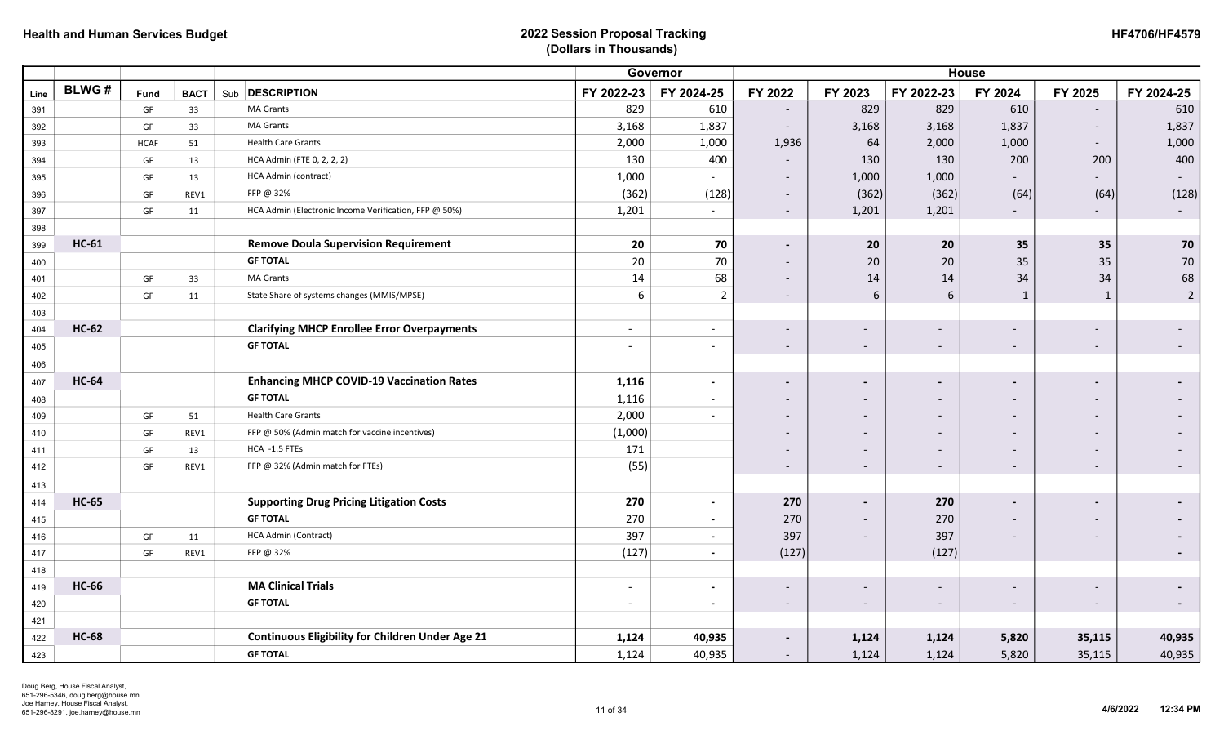| <b>HF4706/HF4579</b> |
|----------------------|
|----------------------|

|      |              |             |             |                                                         | Governor                 |                          |                          |                              | <b>House</b>             |                          |                          |                          |
|------|--------------|-------------|-------------|---------------------------------------------------------|--------------------------|--------------------------|--------------------------|------------------------------|--------------------------|--------------------------|--------------------------|--------------------------|
| Line | <b>BLWG#</b> | Fund        | <b>BACT</b> | Sub <b>DESCRIPTION</b>                                  | FY 2022-23               | FY 2024-25               | FY 2022                  | FY 2023                      | FY 2022-23               | FY 2024                  | FY 2025                  | FY 2024-25               |
| 391  |              | GF          | 33          | <b>MA Grants</b>                                        | 829                      | 610                      | $\sim$                   | 829                          | 829                      | 610                      |                          | 610                      |
| 392  |              | GF          | 33          | <b>MA Grants</b>                                        | 3,168                    | 1,837                    | $\overline{\phantom{a}}$ | 3,168                        | 3,168                    | 1,837                    |                          | 1,837                    |
| 393  |              | <b>HCAF</b> | 51          | <b>Health Care Grants</b>                               | 2,000                    | 1,000                    | 1,936                    | 64                           | 2,000                    | 1,000                    | $\overline{\phantom{a}}$ | 1,000                    |
| 394  |              | GF          | 13          | HCA Admin (FTE 0, 2, 2, 2)                              | 130                      | 400                      | $\overline{\phantom{a}}$ | 130                          | 130                      | 200                      | 200                      | 400                      |
| 395  |              | GF          | 13          | HCA Admin (contract)                                    | 1,000                    |                          | $\overline{\phantom{a}}$ | 1,000                        | 1,000                    |                          |                          | $\overline{\phantom{a}}$ |
| 396  |              | GF          | REV1        | FFP @ 32%                                               | (362)                    | (128)                    | $\overline{\phantom{a}}$ | (362)                        | (362)                    | (64)                     | (64)                     | (128)                    |
| 397  |              | GF          | 11          | HCA Admin (Electronic Income Verification, FFP @ 50%)   | 1,201                    | $\overline{\phantom{a}}$ | $\sim$                   | 1,201                        | 1,201                    | $\overline{\phantom{a}}$ | $\sim$                   | $\sim$                   |
| 398  |              |             |             |                                                         |                          |                          |                          |                              |                          |                          |                          |                          |
| 399  | <b>HC-61</b> |             |             | <b>Remove Doula Supervision Requirement</b>             | 20                       | 70                       | $\sim$                   | 20                           | 20                       | 35                       | 35                       | 70                       |
| 400  |              |             |             | <b>GF TOTAL</b>                                         | 20                       | 70                       | $\overline{\phantom{a}}$ | 20                           | 20                       | 35                       | 35                       | $70\,$                   |
| 401  |              | GF          | 33          | <b>MA Grants</b>                                        | 14                       | 68                       | $\overline{\phantom{a}}$ | 14                           | 14                       | 34                       | 34                       | 68                       |
| 402  |              | GF          | 11          | State Share of systems changes (MMIS/MPSE)              | 6                        | $\overline{2}$           | $\overline{\phantom{a}}$ | 6                            | 6                        | $\mathbf{1}$             | $\mathbf{1}$             | $\overline{2}$           |
| 403  |              |             |             |                                                         |                          |                          |                          |                              |                          |                          |                          |                          |
| 404  | <b>HC-62</b> |             |             | <b>Clarifying MHCP Enrollee Error Overpayments</b>      | $\overline{\phantom{a}}$ | $\overline{\phantom{a}}$ | $\overline{\phantom{a}}$ | $\overline{\phantom{a}}$     | $\overline{\phantom{0}}$ |                          |                          |                          |
| 405  |              |             |             | <b>GF TOTAL</b>                                         | $\overline{\phantom{a}}$ | $\overline{\phantom{a}}$ | $\sim$                   | $\overline{\phantom{a}}$     | $\overline{\phantom{a}}$ | $\overline{\phantom{a}}$ | $\overline{\phantom{a}}$ |                          |
| 406  |              |             |             |                                                         |                          |                          |                          |                              |                          |                          |                          |                          |
| 407  | <b>HC-64</b> |             |             | <b>Enhancing MHCP COVID-19 Vaccination Rates</b>        | 1,116                    | $\overline{\phantom{a}}$ | $\blacksquare$           | $\blacksquare$               |                          |                          |                          |                          |
| 408  |              |             |             | <b>GF TOTAL</b>                                         | 1,116                    | $\overline{\phantom{a}}$ | $\overline{\phantom{a}}$ | $\overline{\phantom{a}}$     |                          |                          |                          |                          |
| 409  |              | GF          | 51          | <b>Health Care Grants</b>                               | 2,000                    |                          | $\overline{\phantom{a}}$ | $\overline{\phantom{0}}$     | $\overline{\phantom{a}}$ |                          |                          |                          |
| 410  |              | GF          | REV1        | FFP @ 50% (Admin match for vaccine incentives)          | (1,000)                  |                          |                          | $\overline{\phantom{a}}$     | $\overline{\phantom{0}}$ |                          |                          |                          |
| 411  |              | GF          | 13          | HCA -1.5 FTEs                                           | 171                      |                          | $\overline{\phantom{a}}$ | $\qquad \qquad \blacksquare$ |                          |                          |                          |                          |
| 412  |              | GF          | REV1        | FFP @ 32% (Admin match for FTEs)                        | (55)                     |                          | $\overline{\phantom{a}}$ | $\overline{\phantom{a}}$     | $\overline{\phantom{a}}$ |                          | $\overline{\phantom{a}}$ |                          |
| 413  |              |             |             |                                                         |                          |                          |                          |                              |                          |                          |                          |                          |
| 414  | <b>HC-65</b> |             |             | <b>Supporting Drug Pricing Litigation Costs</b>         | 270                      | $\overline{\phantom{a}}$ | 270                      | $\blacksquare$               | 270                      |                          |                          |                          |
| 415  |              |             |             | <b>GF TOTAL</b>                                         | 270                      | $\overline{\phantom{a}}$ | 270                      | $\overline{\phantom{0}}$     | 270                      |                          |                          |                          |
| 416  |              | GF          | 11          | HCA Admin (Contract)                                    | 397                      | $\overline{\phantom{a}}$ | 397                      | $\overline{\phantom{a}}$     | 397                      |                          |                          |                          |
| 417  |              | GF          | REV1        | FFP @ 32%                                               | (127)                    | $\blacksquare$           | (127)                    |                              | (127)                    |                          |                          |                          |
| 418  |              |             |             |                                                         |                          |                          |                          |                              |                          |                          |                          |                          |
| 419  | <b>HC-66</b> |             |             | <b>MA Clinical Trials</b>                               | $\overline{\phantom{a}}$ | $\blacksquare$           | $\overline{\phantom{a}}$ | $\overline{\phantom{a}}$     |                          |                          |                          |                          |
| 420  |              |             |             | <b>GF TOTAL</b>                                         | $\sim$                   | $\overline{\phantom{a}}$ | $\sim$                   | $\overline{\phantom{a}}$     | $\overline{\phantom{a}}$ | $\overline{\phantom{a}}$ |                          | $\blacksquare$           |
| 421  |              |             |             |                                                         |                          |                          |                          |                              |                          |                          |                          |                          |
| 422  | <b>HC-68</b> |             |             | <b>Continuous Eligibility for Children Under Age 21</b> | 1,124                    | 40,935                   | $\blacksquare$           | 1,124                        | 1,124                    | 5,820                    | 35,115                   | 40,935                   |
| 423  |              |             |             | <b>GF TOTAL</b>                                         | 1,124                    | 40,935                   | $\overline{\phantom{a}}$ | 1,124                        | 1,124                    | 5,820                    | 35,115                   | 40,935                   |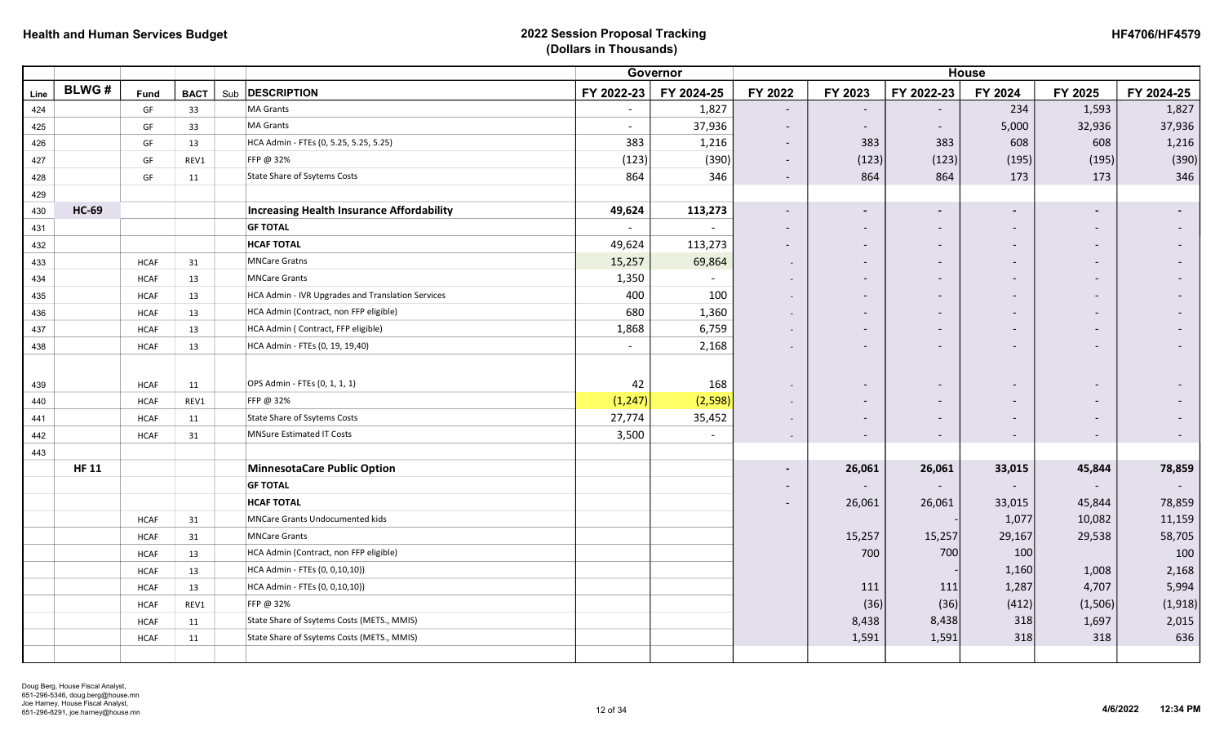| <b>HF4706/HF4579</b> |  |
|----------------------|--|
|----------------------|--|

|      |              |             |             |                                                   |                | Governor   |                          |                          |                          | <b>House</b>             |                          |            |
|------|--------------|-------------|-------------|---------------------------------------------------|----------------|------------|--------------------------|--------------------------|--------------------------|--------------------------|--------------------------|------------|
| Line | <b>BLWG#</b> | Fund        | <b>BACT</b> | Sub <b>DESCRIPTION</b>                            | FY 2022-23     | FY 2024-25 | FY 2022                  | FY 2023                  | FY 2022-23               | FY 2024                  | FY 2025                  | FY 2024-25 |
| 424  |              | GF          | 33          | <b>MA Grants</b>                                  | $\sim$         | 1,827      | $\overline{\phantom{a}}$ |                          |                          | 234                      | 1,593                    | 1,827      |
| 425  |              | GF          | 33          | <b>MA Grants</b>                                  | $\sim$         | 37,936     | $\overline{\phantom{a}}$ |                          | $\overline{\phantom{0}}$ | 5,000                    | 32,936                   | 37,936     |
| 426  |              | GF          | 13          | HCA Admin - FTEs (0, 5.25, 5.25, 5.25)            | 383            | 1,216      | $\overline{\phantom{a}}$ | 383                      | 383                      | 608                      | 608                      | 1,216      |
| 427  |              | GF          | REV1        | FFP @ 32%                                         | (123)          | (390)      | $\sim$                   | (123)                    | (123)                    | (195)                    | (195)                    | (390)      |
| 428  |              | GF          | 11          | State Share of Ssytems Costs                      | 864            | 346        | $\sim$                   | 864                      | 864                      | 173                      | 173                      | 346        |
| 429  |              |             |             |                                                   |                |            |                          |                          |                          |                          |                          |            |
| 430  | <b>HC-69</b> |             |             | <b>Increasing Health Insurance Affordability</b>  | 49,624         | 113,273    | $\overline{\phantom{0}}$ |                          | $\overline{\phantom{0}}$ |                          |                          |            |
| 431  |              |             |             | <b>GF TOTAL</b>                                   | $\blacksquare$ |            |                          |                          | $\overline{\phantom{a}}$ |                          |                          |            |
| 432  |              |             |             | <b>HCAF TOTAL</b>                                 | 49,624         | 113,273    | $\overline{\phantom{a}}$ | $\overline{\phantom{a}}$ | $\overline{\phantom{0}}$ | $\overline{\phantom{a}}$ | $\overline{\phantom{0}}$ |            |
| 433  |              | <b>HCAF</b> | 31          | <b>MNCare Gratns</b>                              | 15,257         | 69,864     |                          |                          | $\overline{\phantom{a}}$ |                          |                          |            |
| 434  |              | <b>HCAF</b> | 13          | <b>MNCare Grants</b>                              | 1,350          |            |                          |                          |                          |                          |                          |            |
| 435  |              | <b>HCAF</b> | 13          | HCA Admin - IVR Upgrades and Translation Services | 400            | 100        |                          |                          | $\overline{\phantom{a}}$ |                          |                          |            |
| 436  |              | <b>HCAF</b> | 13          | HCA Admin (Contract, non FFP eligible)            | 680            | 1,360      |                          |                          | $\overline{\phantom{a}}$ |                          |                          |            |
| 437  |              | <b>HCAF</b> | 13          | HCA Admin ( Contract, FFP eligible)               | 1,868          | 6,759      |                          |                          | $\overline{\phantom{a}}$ |                          |                          |            |
| 438  |              | <b>HCAF</b> | 13          | HCA Admin - FTEs (0, 19, 19,40)                   | $\sim$         | 2,168      |                          |                          | $\overline{\phantom{a}}$ |                          |                          |            |
|      |              |             |             |                                                   |                |            |                          |                          |                          |                          |                          |            |
| 439  |              | <b>HCAF</b> | 11          | OPS Admin - FTEs (0, 1, 1, 1)                     | 42             | 168        | $\sim$                   |                          |                          |                          |                          |            |
| 440  |              | <b>HCAF</b> | REV1        | FFP @ 32%                                         | (1, 247)       | (2,598)    |                          |                          | $\overline{\phantom{0}}$ |                          |                          |            |
| 441  |              | <b>HCAF</b> | 11          | <b>State Share of Ssytems Costs</b>               | 27,774         | 35,452     |                          |                          |                          |                          |                          |            |
| 442  |              | <b>HCAF</b> | 31          | <b>MNSure Estimated IT Costs</b>                  | 3,500          |            | $\sim$                   |                          | $\overline{\phantom{a}}$ |                          | $\overline{\phantom{a}}$ |            |
| 443  |              |             |             |                                                   |                |            |                          |                          |                          |                          |                          |            |
|      | <b>HF 11</b> |             |             | <b>MinnesotaCare Public Option</b>                |                |            | $\overline{\phantom{0}}$ | 26,061                   | 26,061                   | 33,015                   | 45,844                   | 78,859     |
|      |              |             |             | <b>GF TOTAL</b>                                   |                |            |                          |                          |                          |                          |                          |            |
|      |              |             |             | <b>HCAF TOTAL</b>                                 |                |            | $\overline{\phantom{a}}$ | 26,061                   | 26,061                   | 33,015                   | 45,844                   | 78,859     |
|      |              | <b>HCAF</b> | 31          | <b>MNCare Grants Undocumented kids</b>            |                |            |                          |                          |                          | 1,077                    | 10,082                   | 11,159     |
|      |              | <b>HCAF</b> | 31          | <b>MNCare Grants</b>                              |                |            |                          | 15,257                   | 15,257                   | 29,167                   | 29,538                   | 58,705     |
|      |              | <b>HCAF</b> | 13          | HCA Admin (Contract, non FFP eligible)            |                |            |                          | 700                      | 700                      | 100                      |                          | 100        |
|      |              | <b>HCAF</b> | 13          | HCA Admin - FTEs (0, 0,10,10))                    |                |            |                          |                          |                          | 1,160                    | 1,008                    | 2,168      |
|      |              | <b>HCAF</b> | 13          | HCA Admin - FTEs (0, 0,10,10))                    |                |            |                          | 111                      | 111                      | 1,287                    | 4,707                    | 5,994      |
|      |              | <b>HCAF</b> | REV1        | FFP @ 32%                                         |                |            |                          | (36)                     | (36)                     | (412)                    | (1,506)                  | (1, 918)   |
|      |              | <b>HCAF</b> | 11          | State Share of Ssytems Costs (METS., MMIS)        |                |            |                          | 8,438                    | 8,438                    | 318                      | 1,697                    | 2,015      |
|      |              | <b>HCAF</b> | 11          | State Share of Ssytems Costs (METS., MMIS)        |                |            |                          | 1,591                    | 1,591                    | 318                      | 318                      | 636        |
|      |              |             |             |                                                   |                |            |                          |                          |                          |                          |                          |            |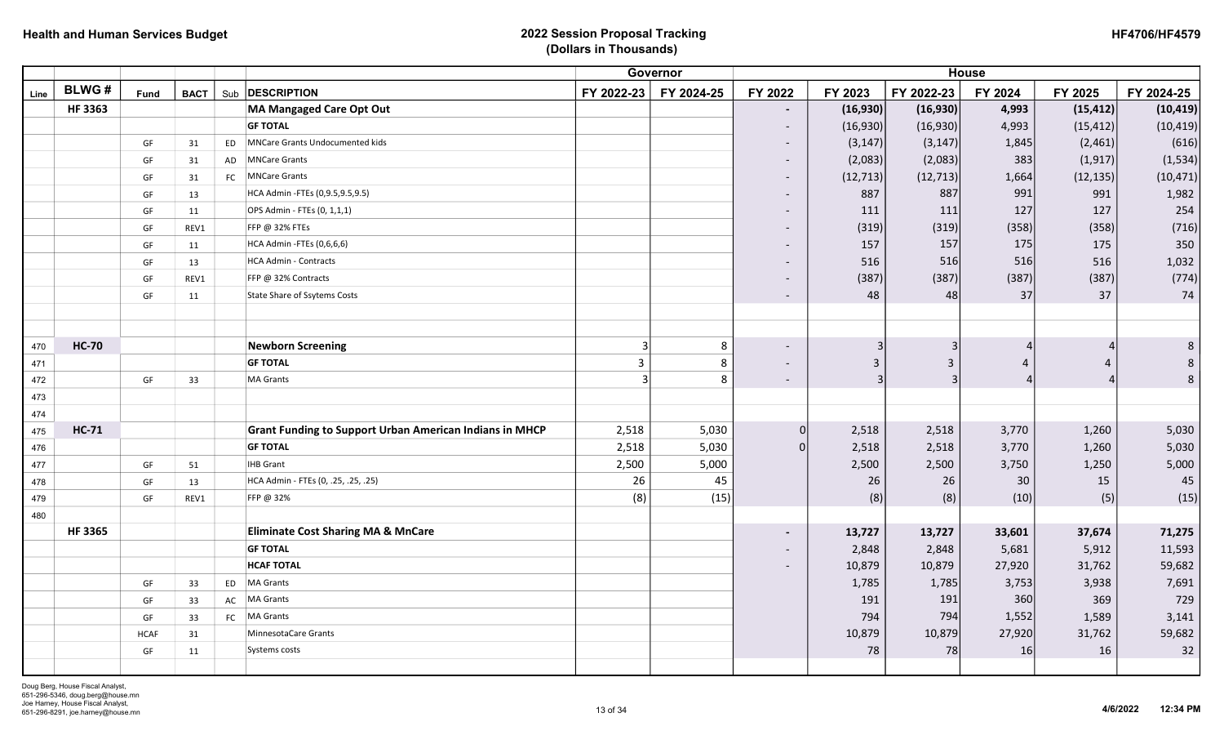| <b>HF4706/HF4579</b> |
|----------------------|
|----------------------|

|      |               |                        |             |     |                                                                |                | Governor   |                          |                |                | <b>House</b> |                |            |
|------|---------------|------------------------|-------------|-----|----------------------------------------------------------------|----------------|------------|--------------------------|----------------|----------------|--------------|----------------|------------|
| Line | <b>BLWG#</b>  | Fund                   | <b>BACT</b> | Sub | <b>DESCRIPTION</b>                                             | FY 2022-23     | FY 2024-25 | FY 2022                  | FY 2023        | FY 2022-23     | FY 2024      | FY 2025        | FY 2024-25 |
|      | <b>HF3363</b> |                        |             |     | <b>MA Mangaged Care Opt Out</b>                                |                |            | $\blacksquare$           | (16,930)       | (16,930)       | 4,993        | (15, 412)      | (10, 419)  |
|      |               |                        |             |     | <b>GF TOTAL</b>                                                |                |            | $\overline{\phantom{a}}$ | (16,930)       | (16,930)       | 4,993        | (15, 412)      | (10, 419)  |
|      |               | GF                     | 31          | ED  | MNCare Grants Undocumented kids                                |                |            | $\overline{\phantom{a}}$ | (3, 147)       | (3, 147)       | 1,845        | (2,461)        | (616)      |
|      |               | GF                     | 31          | AD  | <b>MNCare Grants</b>                                           |                |            | $\overline{\phantom{a}}$ | (2,083)        | (2,083)        | 383          | (1, 917)       | (1, 534)   |
|      |               | GF                     | 31          | FC  | <b>MNCare Grants</b>                                           |                |            | $\overline{\phantom{a}}$ | (12, 713)      | (12, 713)      | 1,664        | (12, 135)      | (10, 471)  |
|      |               | GF                     | 13          |     | HCA Admin - FTEs (0,9.5,9.5,9.5)                               |                |            | $\overline{\phantom{a}}$ | 887            | 887            | 991          | 991            | 1,982      |
|      |               | GF                     | 11          |     | OPS Admin - FTEs (0, 1,1,1)                                    |                |            |                          | 111            | 111            | 127          | 127            | 254        |
|      |               | GF                     | REV1        |     | FFP @ 32% FTEs                                                 |                |            | $\overline{\phantom{a}}$ | (319)          | (319)          | (358)        | (358)          | (716)      |
|      |               | GF                     | 11          |     | HCA Admin -FTEs (0,6,6,6)                                      |                |            | $\overline{\phantom{a}}$ | 157            | 157            | 175          | 175            | 350        |
|      |               | $\mathsf{G}\mathsf{F}$ | 13          |     | <b>HCA Admin - Contracts</b>                                   |                |            | $\overline{\phantom{a}}$ | 516            | 516            | 516          | 516            | 1,032      |
|      |               | $\mathsf{G}\mathsf{F}$ | REV1        |     | FFP @ 32% Contracts                                            |                |            | $\overline{\phantom{a}}$ | (387)          | (387)          | (387)        | (387)          | (774)      |
|      |               | GF                     | 11          |     | <b>State Share of Ssytems Costs</b>                            |                |            | $\overline{\phantom{a}}$ | 48             | 48             | 37           | 37             | 74         |
|      |               |                        |             |     |                                                                |                |            |                          |                |                |              |                |            |
|      |               |                        |             |     |                                                                |                |            |                          |                |                |              |                |            |
| 470  | <b>HC-70</b>  |                        |             |     | <b>Newborn Screening</b>                                       |                | 8          | $\overline{\phantom{a}}$ | 3              | з              |              |                | 8          |
| 471  |               |                        |             |     | <b>GF TOTAL</b>                                                | $\overline{3}$ | 8          | $\overline{\phantom{a}}$ | $\overline{3}$ | $\overline{3}$ | Δ            | $\overline{4}$ | 8          |
| 472  |               | GF                     | 33          |     | <b>MA Grants</b>                                               |                | 8          | $\overline{\phantom{a}}$ | $\overline{3}$ | 3              |              |                | 8          |
| 473  |               |                        |             |     |                                                                |                |            |                          |                |                |              |                |            |
| 474  |               |                        |             |     |                                                                |                |            |                          |                |                |              |                |            |
| 475  | <b>HC-71</b>  |                        |             |     | <b>Grant Funding to Support Urban American Indians in MHCP</b> | 2,518          | 5,030      | $\Omega$                 | 2,518          | 2,518          | 3,770        | 1,260          | 5,030      |
| 476  |               |                        |             |     | <b>GF TOTAL</b>                                                | 2,518          | 5,030      |                          | 2,518          | 2,518          | 3,770        | 1,260          | 5,030      |
| 477  |               | GF                     | 51          |     | <b>IHB Grant</b>                                               | 2,500          | 5,000      |                          | 2,500          | 2,500          | 3,750        | 1,250          | 5,000      |
| 478  |               | GF                     | 13          |     | HCA Admin - FTEs (0, .25, .25, .25)                            | 26             | 45         |                          | 26             | 26             | 30           | 15             | 45         |
| 479  |               | GF                     | REV1        |     | FFP @ 32%                                                      | (8)            | (15)       |                          | (8)            | (8)            | (10)         | (5)            | (15)       |
| 480  |               |                        |             |     |                                                                |                |            |                          |                |                |              |                |            |
|      | <b>HF3365</b> |                        |             |     | <b>Eliminate Cost Sharing MA &amp; MnCare</b>                  |                |            | $\blacksquare$           | 13,727         | 13,727         | 33,601       | 37,674         | 71,275     |
|      |               |                        |             |     | <b>GF TOTAL</b>                                                |                |            | $\overline{\phantom{a}}$ | 2,848          | 2,848          | 5,681        | 5,912          | 11,593     |
|      |               |                        |             |     | <b>HCAF TOTAL</b>                                              |                |            | $\overline{\phantom{a}}$ | 10,879         | 10,879         | 27,920       | 31,762         | 59,682     |
|      |               | $\mathsf{G}\mathsf{F}$ | 33          | ED  | MA Grants                                                      |                |            |                          | 1,785          | 1,785          | 3,753        | 3,938          | 7,691      |
|      |               | GF                     | 33          | AC  | MA Grants                                                      |                |            |                          | 191            | 191            | 360          | 369            | 729        |
|      |               | GF                     | 33          | FC  | MA Grants                                                      |                |            |                          | 794            | 794            | 1,552        | 1,589          | 3,141      |
|      |               | <b>HCAF</b>            | 31          |     | MinnesotaCare Grants                                           |                |            |                          | 10,879         | 10,879         | 27,920       | 31,762         | 59,682     |
|      |               | GF                     | 11          |     | Systems costs                                                  |                |            |                          | 78             | 78             | 16           | 16             | 32         |
|      |               |                        |             |     |                                                                |                |            |                          |                |                |              |                |            |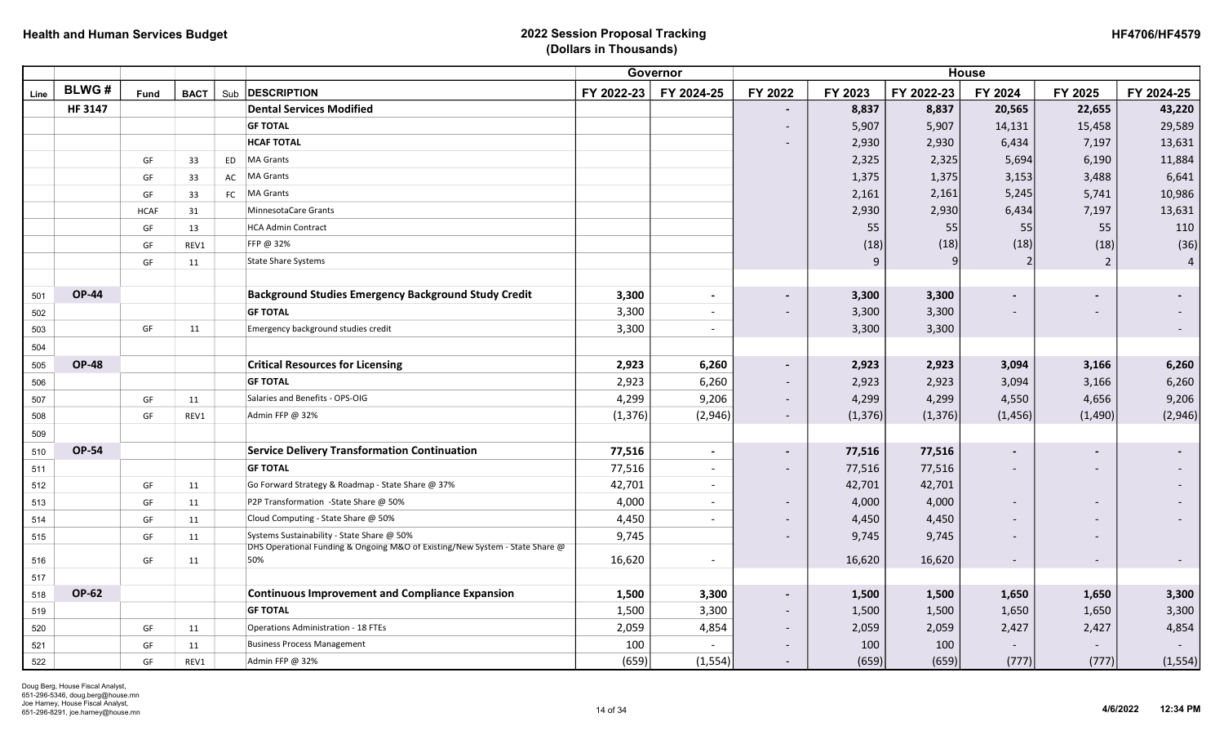| <b>HF4706/HF4579</b> |
|----------------------|
|----------------------|

|            |               |             |             |           |                                                                                     | <b>House</b> |                          |                          |          |            |                          |                |                          |
|------------|---------------|-------------|-------------|-----------|-------------------------------------------------------------------------------------|--------------|--------------------------|--------------------------|----------|------------|--------------------------|----------------|--------------------------|
| Line       | <b>BLWG#</b>  | Fund        | <b>BACT</b> | Sub       | <b>DESCRIPTION</b>                                                                  | FY 2022-23   | FY 2024-25               | FY 2022                  | FY 2023  | FY 2022-23 | FY 2024                  | FY 2025        | FY 2024-25               |
|            | <b>HF3147</b> |             |             |           | <b>Dental Services Modified</b>                                                     |              |                          |                          | 8,837    | 8,837      | 20,565                   | 22,655         | 43,220                   |
|            |               |             |             |           | <b>GF TOTAL</b>                                                                     |              |                          | $\overline{\phantom{a}}$ | 5,907    | 5,907      | 14,131                   | 15,458         | 29,589                   |
|            |               |             |             |           | <b>HCAF TOTAL</b>                                                                   |              |                          |                          | 2,930    | 2,930      | 6,434                    | 7,197          | 13,631                   |
|            |               | GF          | 33          | <b>ED</b> | <b>MA Grants</b>                                                                    |              |                          |                          | 2,325    | 2,325      | 5,694                    | 6,190          | 11,884                   |
|            |               | GF          | 33          | AC        | <b>MA Grants</b>                                                                    |              |                          |                          | 1,375    | 1,375      | 3,153                    | 3,488          | 6,641                    |
|            |               | GF          | 33          | FC        | <b>MA Grants</b>                                                                    |              |                          |                          | 2,161    | 2,161      | 5,245                    | 5,741          | 10,986                   |
|            |               | <b>HCAF</b> | 31          |           | MinnesotaCare Grants                                                                |              |                          |                          | 2,930    | 2,930      | 6,434                    | 7,197          | 13,631                   |
|            |               | GF          | 13          |           | <b>HCA Admin Contract</b>                                                           |              |                          |                          | 55       | 55         | 55                       | 55             | 110                      |
|            |               | GF          | REV1        |           | FFP @ 32%                                                                           |              |                          |                          | (18)     | (18)       | (18)                     | (18)           | (36)                     |
|            |               | GF          | 11          |           | <b>State Share Systems</b>                                                          |              |                          |                          | q        |            | 2                        | $\overline{2}$ | $\overline{4}$           |
|            |               |             |             |           |                                                                                     |              |                          |                          |          |            |                          |                |                          |
| 501        | <b>OP-44</b>  |             |             |           | <b>Background Studies Emergency Background Study Credit</b>                         | 3,300        | $\blacksquare$           |                          | 3,300    | 3,300      |                          |                |                          |
| 502        |               |             |             |           | <b>GF TOTAL</b>                                                                     | 3,300        | $\overline{\phantom{a}}$ |                          | 3,300    | 3,300      |                          |                |                          |
| 503        |               | GF          | 11          |           | Emergency background studies credit                                                 | 3,300        | $\overline{\phantom{a}}$ |                          | 3,300    | 3,300      |                          |                | $\overline{\phantom{a}}$ |
| 504        |               |             |             |           |                                                                                     |              |                          |                          |          |            |                          |                |                          |
| 505        | <b>OP-48</b>  |             |             |           | <b>Critical Resources for Licensing</b>                                             | 2,923        | 6,260                    | $\blacksquare$           | 2,923    | 2,923      | 3,094                    | 3,166          | 6,260                    |
| 506        |               |             |             |           | <b>GF TOTAL</b>                                                                     | 2,923        | 6,260                    | $\overline{\phantom{a}}$ | 2,923    | 2,923      | 3,094                    | 3,166          | 6,260                    |
| 507        |               | GF          | 11          |           | Salaries and Benefits - OPS-OIG                                                     | 4,299        | 9,206                    | $\sim$                   | 4,299    | 4,299      | 4,550                    | 4,656          | 9,206                    |
| 508        |               | GF          | REV1        |           | Admin FFP @ 32%                                                                     | (1, 376)     | (2,946)                  | $\sim$                   | (1, 376) | (1, 376)   | (1, 456)                 | (1,490)        | (2,946)                  |
| 509        |               |             |             |           |                                                                                     |              |                          |                          |          |            |                          |                |                          |
| 510        | <b>OP-54</b>  |             |             |           | <b>Service Delivery Transformation Continuation</b>                                 | 77,516       | $\overline{\phantom{a}}$ | $\blacksquare$           | 77,516   | 77,516     |                          |                |                          |
| 511        |               |             |             |           | <b>GF TOTAL</b>                                                                     | 77,516       | $\blacksquare$           | $\overline{\phantom{0}}$ | 77,516   | 77,516     | $\overline{\phantom{a}}$ |                |                          |
| 512        |               | GF          | 11          |           | Go Forward Strategy & Roadmap - State Share @ 37%                                   | 42,701       | $\blacksquare$           |                          | 42,701   | 42,701     |                          |                |                          |
| 513        |               | GF          | 11          |           | P2P Transformation -State Share @ 50%                                               | 4,000        | $\blacksquare$           |                          | 4,000    | 4,000      |                          |                |                          |
| 514        |               | GF          | 11          |           | Cloud Computing - State Share @ 50%                                                 | 4,450        |                          | $\overline{\phantom{a}}$ | 4,450    | 4,450      | $\overline{\phantom{a}}$ |                |                          |
| 515        |               | GF          | 11          |           | Systems Sustainability - State Share @ 50%                                          | 9,745        |                          |                          | 9,745    | 9,745      |                          |                |                          |
|            |               | GF          |             |           | DHS Operational Funding & Ongoing M&O of Existing/New System - State Share @<br>50% | 16,620       | $\overline{\phantom{a}}$ |                          | 16,620   | 16,620     |                          |                |                          |
| 516        |               |             | 11          |           |                                                                                     |              |                          |                          |          |            | $\overline{\phantom{a}}$ |                | $\sim$                   |
| 517<br>518 | <b>OP-62</b>  |             |             |           | <b>Continuous Improvement and Compliance Expansion</b>                              | 1,500        | 3,300                    | $\sim$                   | 1,500    | 1,500      | 1,650                    | 1,650          | 3,300                    |
| 519        |               |             |             |           | <b>GF TOTAL</b>                                                                     | 1,500        | 3,300                    | $\sim$                   | 1,500    | 1,500      | 1,650                    | 1,650          | 3,300                    |
| 520        |               | GF          | 11          |           | <b>Operations Administration - 18 FTEs</b>                                          | 2,059        | 4,854                    | $\sim$                   | 2,059    | 2,059      | 2,427                    | 2,427          | 4,854                    |
| 521        |               | GF          | 11          |           | <b>Business Process Management</b>                                                  | 100          |                          | $\overline{\phantom{a}}$ | 100      | 100        |                          |                |                          |
| 522        |               | GF          | REV1        |           | Admin FFP @ 32%                                                                     | (659)        | (1, 554)                 |                          | (659)    | (659)      | (777)                    | (777)          | (1, 554)                 |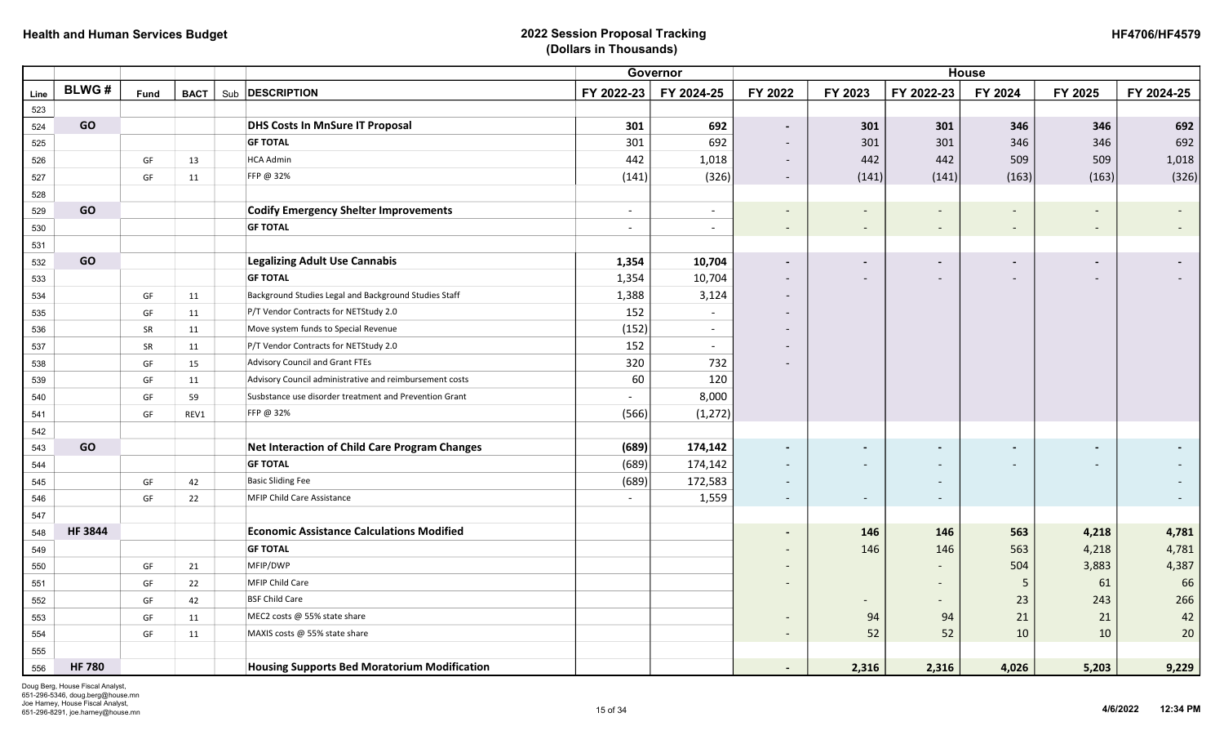|      |               |      |             |                                                         | <b>House</b><br>Governor |                          |                          |                          |                              |                          |                          |            |
|------|---------------|------|-------------|---------------------------------------------------------|--------------------------|--------------------------|--------------------------|--------------------------|------------------------------|--------------------------|--------------------------|------------|
| Line | <b>BLWG#</b>  | Fund | <b>BACT</b> | Sub <b>DESCRIPTION</b>                                  | FY 2022-23               | FY 2024-25               | FY 2022                  | FY 2023                  | FY 2022-23                   | FY 2024                  | FY 2025                  | FY 2024-25 |
| 523  |               |      |             |                                                         |                          |                          |                          |                          |                              |                          |                          |            |
| 524  | GO            |      |             | <b>DHS Costs In MnSure IT Proposal</b>                  | 301                      | 692                      | $\sim$                   | 301                      | 301                          | 346                      | 346                      | 692        |
| 525  |               |      |             | <b>GF TOTAL</b>                                         | 301                      | 692                      | $\overline{\phantom{a}}$ | 301                      | 301                          | 346                      | 346                      | 692        |
| 526  |               | GF   | 13          | <b>HCA Admin</b>                                        | 442                      | 1,018                    | $\overline{\phantom{a}}$ | 442                      | 442                          | 509                      | 509                      | 1,018      |
| 527  |               | GF   | 11          | FFP @ 32%                                               | (141)                    | (326)                    | $\sim$                   | (141)                    | (141)                        | (163)                    | (163)                    | (326)      |
| 528  |               |      |             |                                                         |                          |                          |                          |                          |                              |                          |                          |            |
| 529  | GO            |      |             | <b>Codify Emergency Shelter Improvements</b>            | $\sim$                   | $\overline{\phantom{a}}$ | $\overline{\phantom{a}}$ | $\overline{\phantom{a}}$ | $\overline{\phantom{a}}$     | $\overline{\phantom{a}}$ |                          |            |
| 530  |               |      |             | <b>GF TOTAL</b>                                         | $\sim$                   | $\overline{\phantom{a}}$ | $\overline{\phantom{a}}$ | $\overline{\phantom{a}}$ | $\overline{\phantom{a}}$     |                          | $\overline{\phantom{a}}$ |            |
| 531  |               |      |             |                                                         |                          |                          |                          |                          |                              |                          |                          |            |
| 532  | GO            |      |             | <b>Legalizing Adult Use Cannabis</b>                    | 1,354                    | 10,704                   | $\blacksquare$           | $\blacksquare$           |                              |                          |                          |            |
| 533  |               |      |             | <b>GF TOTAL</b>                                         | 1,354                    | 10,704                   | $\overline{\phantom{0}}$ |                          | $\qquad \qquad \blacksquare$ |                          |                          |            |
| 534  |               | GF   | 11          | Background Studies Legal and Background Studies Staff   | 1,388                    | 3,124                    | $\overline{\phantom{a}}$ |                          |                              |                          |                          |            |
| 535  |               | GF   | 11          | P/T Vendor Contracts for NETStudy 2.0                   | 152                      | $\overline{\phantom{0}}$ |                          |                          |                              |                          |                          |            |
| 536  |               | SR   | 11          | Move system funds to Special Revenue                    | (152)                    | $\overline{\phantom{a}}$ | $\overline{\phantom{a}}$ |                          |                              |                          |                          |            |
| 537  |               | SR   | 11          | P/T Vendor Contracts for NETStudy 2.0                   | 152                      | $\overline{a}$           | $\overline{a}$           |                          |                              |                          |                          |            |
| 538  |               | GF   | 15          | <b>Advisory Council and Grant FTEs</b>                  | 320                      | 732                      |                          |                          |                              |                          |                          |            |
| 539  |               | GF   | 11          | Advisory Council administrative and reimbursement costs | 60                       | 120                      |                          |                          |                              |                          |                          |            |
| 540  |               | GF   | 59          | Susbstance use disorder treatment and Prevention Grant  | $\overline{\phantom{a}}$ | 8,000                    |                          |                          |                              |                          |                          |            |
| 541  |               | GF   | REV1        | FFP @ 32%                                               | (566)                    | (1, 272)                 |                          |                          |                              |                          |                          |            |
| 542  |               |      |             |                                                         |                          |                          |                          |                          |                              |                          |                          |            |
| 543  | GO            |      |             | <b>Net Interaction of Child Care Program Changes</b>    | (689)                    | 174,142                  | $\blacksquare$           | $\overline{\phantom{0}}$ |                              |                          |                          |            |
| 544  |               |      |             | <b>GF TOTAL</b>                                         | (689)                    | 174,142                  | $\overline{\phantom{a}}$ | $\overline{\phantom{0}}$ |                              |                          |                          |            |
| 545  |               | GF   | 42          | <b>Basic Sliding Fee</b>                                | (689)                    | 172,583                  | $\overline{\phantom{a}}$ |                          |                              |                          |                          |            |
| 546  |               | GF   | 22          | <b>MFIP Child Care Assistance</b>                       |                          | 1,559                    | $\sim$                   | $\overline{\phantom{a}}$ | $\overline{\phantom{a}}$     |                          |                          |            |
| 547  |               |      |             |                                                         |                          |                          |                          |                          |                              |                          |                          |            |
| 548  | <b>HF3844</b> |      |             | <b>Economic Assistance Calculations Modified</b>        |                          |                          |                          | 146                      | 146                          | 563                      | 4,218                    | 4,781      |
| 549  |               |      |             | <b>GF TOTAL</b>                                         |                          |                          | $\overline{\phantom{0}}$ | 146                      | 146                          | 563                      | 4,218                    | 4,781      |
| 550  |               | GF   | 21          | MFIP/DWP                                                |                          |                          |                          |                          | $\overline{\phantom{0}}$     | 504                      | 3,883                    | 4,387      |
| 551  |               | GF   | 22          | MFIP Child Care                                         |                          |                          |                          |                          |                              | 5                        | 61                       | 66         |
| 552  |               | GF   | 42          | <b>BSF Child Care</b>                                   |                          |                          |                          | $\overline{\phantom{a}}$ | $\overline{\phantom{a}}$     | 23                       | 243                      | 266        |
| 553  |               | GF   | 11          | MEC2 costs @ 55% state share                            |                          |                          |                          | 94                       | 94                           | 21                       | 21                       | 42         |
| 554  |               | GF   | 11          | MAXIS costs @ 55% state share                           |                          |                          | $\sim$                   | 52                       | 52                           | 10                       | 10                       | 20         |
| 555  |               |      |             |                                                         |                          |                          |                          |                          |                              |                          |                          |            |
| 556  | <b>HF 780</b> |      |             | <b>Housing Supports Bed Moratorium Modification</b>     |                          |                          | $\blacksquare$           | 2,316                    | 2,316                        | 4,026                    | 5,203                    | 9,229      |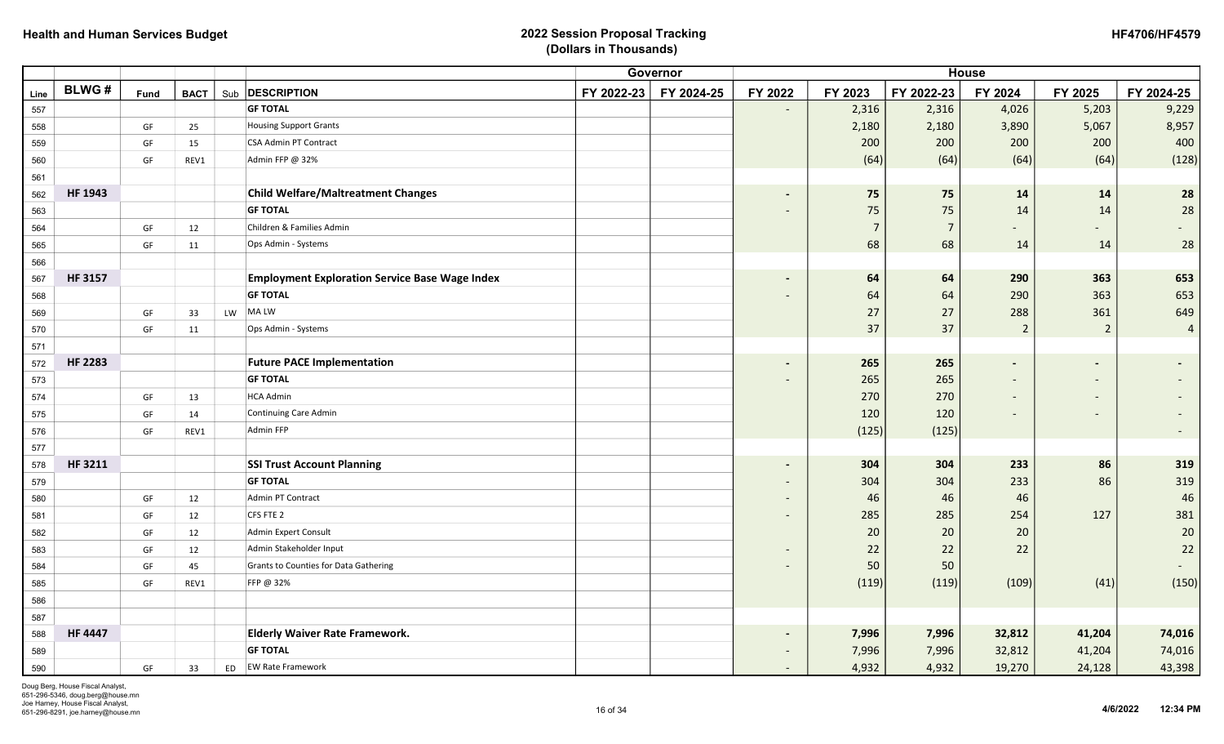|      |                |      |             |                                                       |            |            |                          | <b>House</b>   |                |                          |                          |                          |
|------|----------------|------|-------------|-------------------------------------------------------|------------|------------|--------------------------|----------------|----------------|--------------------------|--------------------------|--------------------------|
| Line | <b>BLWG#</b>   | Fund | <b>BACT</b> | Sub <b>DESCRIPTION</b>                                | FY 2022-23 | FY 2024-25 | FY 2022                  | FY 2023        | FY 2022-23     | FY 2024                  | FY 2025                  | FY 2024-25               |
| 557  |                |      |             | <b>GF TOTAL</b>                                       |            |            | $\overline{\phantom{a}}$ | 2,316          | 2,316          | 4,026                    | 5,203                    | 9,229                    |
| 558  |                | GF   | 25          | <b>Housing Support Grants</b>                         |            |            |                          | 2,180          | 2,180          | 3,890                    | 5,067                    | 8,957                    |
| 559  |                | GF   | 15          | <b>CSA Admin PT Contract</b>                          |            |            |                          | 200            | 200            | 200                      | 200                      | 400                      |
| 560  |                | GF   | REV1        | Admin FFP @ 32%                                       |            |            |                          | (64)           | (64)           | (64)                     | (64)                     | (128)                    |
| 561  |                |      |             |                                                       |            |            |                          |                |                |                          |                          |                          |
| 562  | HF 1943        |      |             | <b>Child Welfare/Maltreatment Changes</b>             |            |            | $\blacksquare$           | 75             | 75             | 14                       | 14                       | 28                       |
| 563  |                |      |             | <b>GF TOTAL</b>                                       |            |            |                          | 75             | 75             | 14                       | 14                       | 28                       |
| 564  |                | GF   | 12          | Children & Families Admin                             |            |            |                          | $\overline{7}$ | $\overline{7}$ |                          |                          |                          |
| 565  |                | GF   | 11          | Ops Admin - Systems                                   |            |            |                          | 68             | 68             | 14                       | 14                       | 28                       |
| 566  |                |      |             |                                                       |            |            |                          |                |                |                          |                          |                          |
| 567  | <b>HF 3157</b> |      |             | <b>Employment Exploration Service Base Wage Index</b> |            |            |                          | 64             | 64             | 290                      | 363                      | 653                      |
| 568  |                |      |             | <b>GF TOTAL</b>                                       |            |            |                          | 64             | 64             | 290                      | 363                      | 653                      |
| 569  |                | GF   | 33          | LW MALW                                               |            |            |                          | 27             | 27             | 288                      | 361                      | 649                      |
| 570  |                | GF   | 11          | Ops Admin - Systems                                   |            |            |                          | 37             | 37             | $\overline{2}$           | $\overline{2}$           | $\overline{4}$           |
| 571  |                |      |             |                                                       |            |            |                          |                |                |                          |                          |                          |
| 572  | <b>HF 2283</b> |      |             | <b>Future PACE Implementation</b>                     |            |            |                          | 265            | 265            |                          |                          |                          |
| 573  |                |      |             | <b>GF TOTAL</b>                                       |            |            |                          | 265            | 265            |                          |                          |                          |
| 574  |                | GF   | 13          | <b>HCA Admin</b>                                      |            |            |                          | 270            | 270            |                          | $\overline{\phantom{a}}$ |                          |
| 575  |                | GF   | 14          | <b>Continuing Care Admin</b>                          |            |            |                          | 120            | 120            | $\overline{\phantom{a}}$ | $\overline{\phantom{a}}$ |                          |
| 576  |                | GF   | REV1        | <b>Admin FFP</b>                                      |            |            |                          | (125)          | (125)          |                          |                          | $\overline{\phantom{a}}$ |
| 577  |                |      |             |                                                       |            |            |                          |                |                |                          |                          |                          |
| 578  | HF 3211        |      |             | <b>SSI Trust Account Planning</b>                     |            |            | $\overline{\phantom{a}}$ | 304            | 304            | 233                      | 86                       | 319                      |
| 579  |                |      |             | <b>GF TOTAL</b>                                       |            |            | $\overline{\phantom{a}}$ | 304            | 304            | 233                      | 86                       | 319                      |
| 580  |                | GF   | 12          | Admin PT Contract                                     |            |            |                          | 46             | 46             | 46                       |                          | $46\,$                   |
| 581  |                | GF   | 12          | CFS FTE 2                                             |            |            |                          | 285            | 285            | 254                      | 127                      | 381                      |
| 582  |                | GF   | 12          | <b>Admin Expert Consult</b>                           |            |            |                          | 20             | 20             | 20                       |                          | 20                       |
| 583  |                | GF   | 12          | Admin Stakeholder Input                               |            |            |                          | 22             | 22             | 22                       |                          | 22                       |
| 584  |                | GF   | 45          | <b>Grants to Counties for Data Gathering</b>          |            |            |                          | 50             | 50             |                          |                          | $\overline{\phantom{a}}$ |
| 585  |                | GF   | REV1        | FFP @ 32%                                             |            |            |                          | (119)          | (119)          | (109)                    | (41)                     | (150)                    |
| 586  |                |      |             |                                                       |            |            |                          |                |                |                          |                          |                          |
| 587  |                |      |             |                                                       |            |            |                          |                |                |                          |                          |                          |
| 588  | <b>HF 4447</b> |      |             | <b>Elderly Waiver Rate Framework.</b>                 |            |            |                          | 7,996          | 7,996          | 32,812                   | 41,204                   | 74,016                   |
| 589  |                |      |             | <b>GF TOTAL</b>                                       |            |            |                          | 7,996          | 7,996          | 32,812                   | 41,204                   | 74,016                   |
| 590  |                | GF   | 33          | ED EW Rate Framework                                  |            |            | $\overline{\phantom{a}}$ | 4,932          | 4,932          | 19,270                   | 24,128                   | 43,398                   |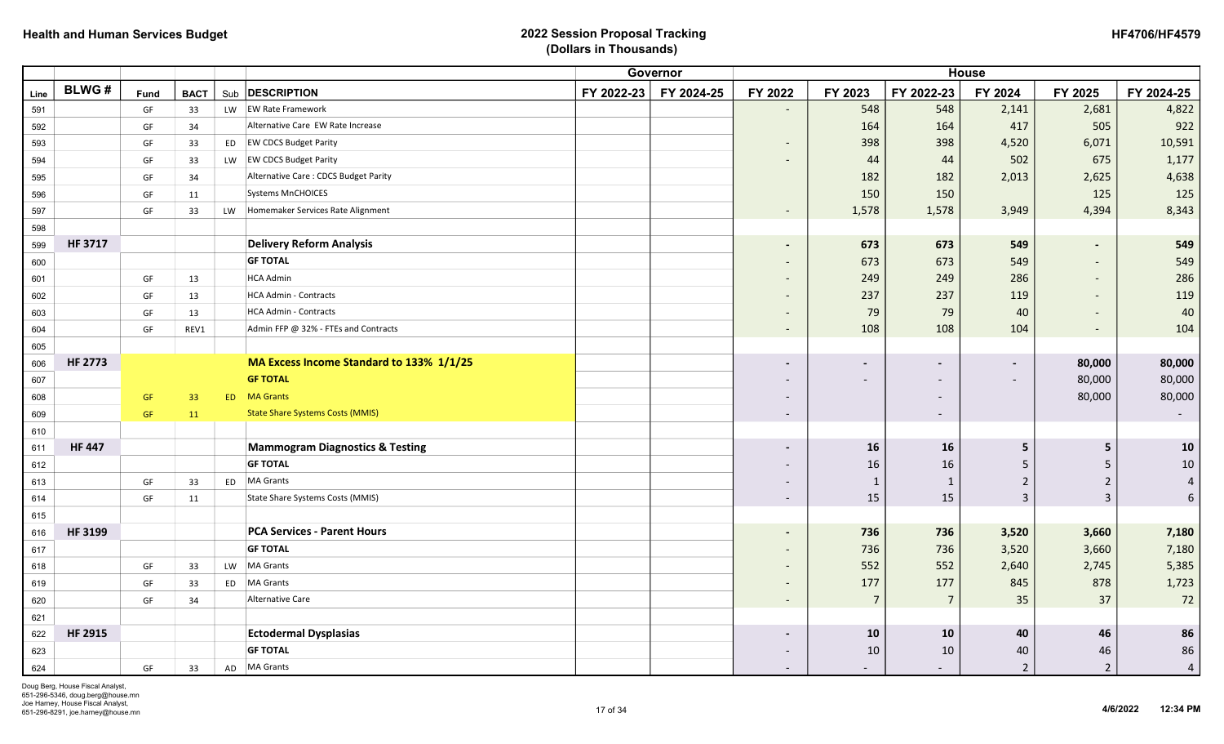|      |                |      |             |           |                                            |            | Governor   |                          |                          |                          | <b>House</b>   |                          |                |
|------|----------------|------|-------------|-----------|--------------------------------------------|------------|------------|--------------------------|--------------------------|--------------------------|----------------|--------------------------|----------------|
| Line | <b>BLWG#</b>   | Fund | <b>BACT</b> |           | Sub <b>DESCRIPTION</b>                     | FY 2022-23 | FY 2024-25 | FY 2022                  | FY 2023                  | FY 2022-23               | FY 2024        | FY 2025                  | FY 2024-25     |
| 591  |                | GF   | 33          |           | LW EW Rate Framework                       |            |            | $\overline{\phantom{a}}$ | 548                      | 548                      | 2,141          | 2,681                    | 4,822          |
| 592  |                | GF   | 34          |           | Alternative Care EW Rate Increase          |            |            |                          | 164                      | 164                      | 417            | 505                      | 922            |
| 593  |                | GF   | 33          |           | ED EW CDCS Budget Parity                   |            |            | $\overline{\phantom{a}}$ | 398                      | 398                      | 4,520          | 6,071                    | 10,591         |
| 594  |                | GF   | 33          |           | LW EW CDCS Budget Parity                   |            |            | $\overline{\phantom{0}}$ | 44                       | 44                       | 502            | 675                      | 1,177          |
| 595  |                | GF   | 34          |           | Alternative Care: CDCS Budget Parity       |            |            |                          | 182                      | 182                      | 2,013          | 2,625                    | 4,638          |
| 596  |                | GF   | 11          |           | <b>Systems MnCHOICES</b>                   |            |            |                          | 150                      | 150                      |                | 125                      | 125            |
| 597  |                | GF   | 33          | <b>LW</b> | Homemaker Services Rate Alignment          |            |            | $\overline{\phantom{a}}$ | 1,578                    | 1,578                    | 3,949          | 4,394                    | 8,343          |
| 598  |                |      |             |           |                                            |            |            |                          |                          |                          |                |                          |                |
| 599  | <b>HF 3717</b> |      |             |           | <b>Delivery Reform Analysis</b>            |            |            | $\blacksquare$           | 673                      | 673                      | 549            |                          | 549            |
| 600  |                |      |             |           | <b>GF TOTAL</b>                            |            |            | $\overline{\phantom{a}}$ | 673                      | 673                      | 549            |                          | 549            |
| 601  |                | GF   | 13          |           | <b>HCA Admin</b>                           |            |            | $\overline{\phantom{a}}$ | 249                      | 249                      | 286            | $\overline{\phantom{a}}$ | 286            |
| 602  |                | GF   | 13          |           | <b>HCA Admin - Contracts</b>               |            |            | $\overline{\phantom{a}}$ | 237                      | 237                      | 119            | $\overline{\phantom{a}}$ | 119            |
| 603  |                | GF   | 13          |           | <b>HCA Admin - Contracts</b>               |            |            | $\overline{\phantom{a}}$ | 79                       | 79                       | 40             | $\overline{\phantom{a}}$ | 40             |
| 604  |                | GF   | REV1        |           | Admin FFP @ 32% - FTEs and Contracts       |            |            | $\overline{\phantom{a}}$ | 108                      | 108                      | 104            | $\overline{\phantom{a}}$ | 104            |
| 605  |                |      |             |           |                                            |            |            |                          |                          |                          |                |                          |                |
| 606  | <b>HF 2773</b> |      |             |           | MA Excess Income Standard to 133% 1/1/25   |            |            | $\overline{\phantom{0}}$ | $\overline{\phantom{a}}$ |                          |                | 80,000                   | 80,000         |
| 607  |                |      |             |           | <b>GF TOTAL</b>                            |            |            |                          |                          |                          |                | 80,000                   | 80,000         |
| 608  |                | GF   | 33          |           | <b>ED</b> MA Grants                        |            |            | $\overline{\phantom{0}}$ |                          | $\overline{\phantom{0}}$ |                | 80,000                   | 80,000         |
| 609  |                | GF   | 11          |           | <b>State Share Systems Costs (MMIS)</b>    |            |            | $\overline{\phantom{a}}$ |                          | $\overline{\phantom{a}}$ |                |                          | $\sim$         |
| 610  |                |      |             |           |                                            |            |            |                          |                          |                          |                |                          |                |
| 611  | <b>HF 447</b>  |      |             |           | <b>Mammogram Diagnostics &amp; Testing</b> |            |            | $\overline{\phantom{a}}$ | 16                       | 16                       | 5              | 5                        | 10             |
| 612  |                |      |             |           | <b>GF TOTAL</b>                            |            |            |                          | 16                       | 16                       | 5              | -5                       | $10\,$         |
| 613  |                | GF   | 33          |           | ED   MA Grants                             |            |            |                          | $\mathbf{1}$             | $\mathbf{1}$             | $\overline{2}$ | $\overline{2}$           | $\overline{4}$ |
| 614  |                | GF   | 11          |           | <b>State Share Systems Costs (MMIS)</b>    |            |            | $\overline{\phantom{a}}$ | 15                       | 15                       | 3              | $\overline{3}$           | $6\phantom{.}$ |
| 615  |                |      |             |           |                                            |            |            |                          |                          |                          |                |                          |                |
| 616  | HF 3199        |      |             |           | <b>PCA Services - Parent Hours</b>         |            |            | $\blacksquare$           | 736                      | 736                      | 3,520          | 3,660                    | 7,180          |
| 617  |                |      |             |           | <b>GF TOTAL</b>                            |            |            | $\overline{\phantom{a}}$ | 736                      | 736                      | 3,520          | 3,660                    | 7,180          |
| 618  |                | GF   | 33          |           | LW MA Grants                               |            |            | $\overline{\phantom{a}}$ | 552                      | 552                      | 2,640          | 2,745                    | 5,385          |
| 619  |                | GF   | 33          | ED        | MA Grants                                  |            |            | $\overline{\phantom{0}}$ | 177                      | 177                      | 845            | 878                      | 1,723          |
| 620  |                | GF   | 34          |           | <b>Alternative Care</b>                    |            |            | $\overline{\phantom{a}}$ | $\overline{7}$           | $\overline{7}$           | 35             | 37                       | 72             |
| 621  |                |      |             |           |                                            |            |            |                          |                          |                          |                |                          |                |
| 622  | <b>HF 2915</b> |      |             |           | <b>Ectodermal Dysplasias</b>               |            |            | -                        | 10                       | 10                       | 40             | 46                       | 86             |
| 623  |                |      |             |           | <b>GF TOTAL</b>                            |            |            |                          | 10                       | 10                       | 40             | 46                       | 86             |
| 624  |                | GF   | 33          |           | AD MA Grants                               |            |            | $\overline{\phantom{a}}$ |                          | $\overline{\phantom{a}}$ | $\overline{2}$ | $\overline{2}$           | $\overline{4}$ |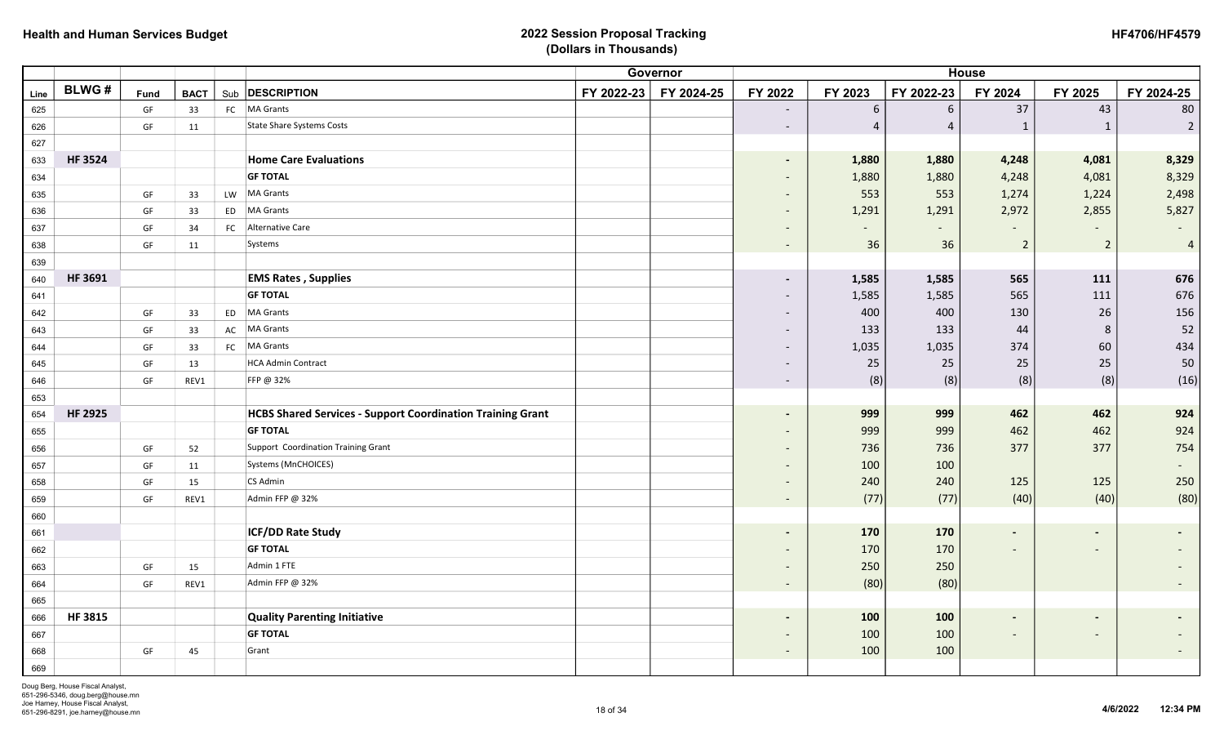| <b>HF4706/HF4579</b> |
|----------------------|
|----------------------|

|      |                |      |             |    |                                                                   | <b>House</b> |            |                          |                |                |                          |                          |                          |
|------|----------------|------|-------------|----|-------------------------------------------------------------------|--------------|------------|--------------------------|----------------|----------------|--------------------------|--------------------------|--------------------------|
| Line | <b>BLWG#</b>   | Fund | <b>BACT</b> |    | Sub <b>DESCRIPTION</b>                                            | FY 2022-23   | FY 2024-25 | FY 2022                  | FY 2023        | FY 2022-23     | FY 2024                  | FY 2025                  | FY 2024-25               |
| 625  |                | GF   | 33          |    | FC   MA Grants                                                    |              |            | $\overline{\phantom{a}}$ | 6              | 6              | 37                       | 43                       | 80                       |
| 626  |                | GF   | 11          |    | <b>State Share Systems Costs</b>                                  |              |            | $\overline{\phantom{a}}$ | $\overline{4}$ | $\overline{4}$ | $\mathbf{1}$             | $\mathbf{1}$             | $\overline{2}$           |
| 627  |                |      |             |    |                                                                   |              |            |                          |                |                |                          |                          |                          |
| 633  | <b>HF3524</b>  |      |             |    | <b>Home Care Evaluations</b>                                      |              |            | $\overline{\phantom{a}}$ | 1,880          | 1,880          | 4,248                    | 4,081                    | 8,329                    |
| 634  |                |      |             |    | <b>GF TOTAL</b>                                                   |              |            | $\overline{\phantom{a}}$ | 1,880          | 1,880          | 4,248                    | 4,081                    | 8,329                    |
| 635  |                | GF   | 33          | LW | <b>MA Grants</b>                                                  |              |            | $\overline{\phantom{a}}$ | 553            | 553            | 1,274                    | 1,224                    | 2,498                    |
| 636  |                | GF   | 33          | ED | <b>MA Grants</b>                                                  |              |            | $\overline{\phantom{a}}$ | 1,291          | 1,291          | 2,972                    | 2,855                    | 5,827                    |
| 637  |                | GF   | 34          |    | FC Alternative Care                                               |              |            | $\overline{\phantom{a}}$ |                | $\sim$         |                          |                          |                          |
| 638  |                | GF   | 11          |    | Systems                                                           |              |            | $\overline{\phantom{a}}$ | 36             | 36             | $\overline{2}$           | $\mathbf 2$              | $\overline{4}$           |
| 639  |                |      |             |    |                                                                   |              |            |                          |                |                |                          |                          |                          |
| 640  | <b>HF 3691</b> |      |             |    | <b>EMS Rates, Supplies</b>                                        |              |            | $\blacksquare$           | 1,585          | 1,585          | 565                      | 111                      | 676                      |
| 641  |                |      |             |    | <b>GF TOTAL</b>                                                   |              |            | $\overline{\phantom{a}}$ | 1,585          | 1,585          | 565                      | 111                      | 676                      |
| 642  |                | GF   | 33          | ED | <b>MA Grants</b>                                                  |              |            | $\overline{\phantom{a}}$ | 400            | 400            | 130                      | 26                       | 156                      |
| 643  |                | GF   | 33          | AC | <b>MA Grants</b>                                                  |              |            | $\overline{\phantom{a}}$ | 133            | 133            | 44                       | 8                        | 52                       |
| 644  |                | GF   | 33          |    | FC MA Grants                                                      |              |            | $\overline{\phantom{a}}$ | 1,035          | 1,035          | 374                      | 60                       | 434                      |
| 645  |                | GF   | 13          |    | <b>HCA Admin Contract</b>                                         |              |            | $\overline{\phantom{a}}$ | 25             | 25             | 25                       | 25                       | 50                       |
| 646  |                | GF   | REV1        |    | FFP @ 32%                                                         |              |            | $\overline{\phantom{a}}$ | (8)            | (8)            | (8)                      | (8)                      | (16)                     |
| 653  |                |      |             |    |                                                                   |              |            |                          |                |                |                          |                          |                          |
| 654  | <b>HF 2925</b> |      |             |    | <b>HCBS Shared Services - Support Coordination Training Grant</b> |              |            | $\overline{\phantom{a}}$ | 999            | 999            | 462                      | 462                      | 924                      |
| 655  |                |      |             |    | <b>GF TOTAL</b>                                                   |              |            | $\overline{\phantom{a}}$ | 999            | 999            | 462                      | 462                      | 924                      |
| 656  |                | GF   | 52          |    | Support Coordination Training Grant                               |              |            | $\overline{\phantom{a}}$ | 736            | 736            | 377                      | 377                      | 754                      |
| 657  |                | GF   | 11          |    | Systems (MnCHOICES)                                               |              |            | $\overline{\phantom{a}}$ | 100            | 100            |                          |                          |                          |
| 658  |                | GF   | 15          |    | CS Admin                                                          |              |            | $\overline{\phantom{a}}$ | 240            | 240            | 125                      | 125                      | 250                      |
| 659  |                | GF   | REV1        |    | Admin FFP @ 32%                                                   |              |            | $\sim$                   | (77)           | (77)           | (40)                     | (40)                     | (80)                     |
| 660  |                |      |             |    |                                                                   |              |            |                          |                |                |                          |                          |                          |
| 661  |                |      |             |    | <b>ICF/DD Rate Study</b>                                          |              |            | -                        | 170            | 170            | $\blacksquare$           | $\overline{\phantom{a}}$ |                          |
| 662  |                |      |             |    | <b>GF TOTAL</b>                                                   |              |            | $\overline{\phantom{a}}$ | 170            | 170            |                          | $\overline{\phantom{a}}$ |                          |
| 663  |                | GF   | 15          |    | Admin 1 FTE                                                       |              |            | $\overline{\phantom{a}}$ | 250            | 250            |                          |                          |                          |
| 664  |                | GF   | REV1        |    | Admin FFP @ 32%                                                   |              |            | $\overline{\phantom{a}}$ | (80)           | (80)           |                          |                          |                          |
| 665  |                |      |             |    |                                                                   |              |            |                          |                |                |                          |                          |                          |
| 666  | <b>HF3815</b>  |      |             |    | <b>Quality Parenting Initiative</b>                               |              |            | $\blacksquare$           | 100            | 100            | $\blacksquare$           | $\blacksquare$           | $\overline{\phantom{0}}$ |
| 667  |                |      |             |    | <b>GF TOTAL</b>                                                   |              |            | $\overline{\phantom{a}}$ | 100            | 100            | $\overline{\phantom{a}}$ | $\overline{\phantom{a}}$ |                          |
| 668  |                | GF   | 45          |    | Grant                                                             |              |            | $\overline{\phantom{a}}$ | 100            | 100            |                          |                          | $\overline{\phantom{a}}$ |
| 669  |                |      |             |    |                                                                   |              |            |                          |                |                |                          |                          |                          |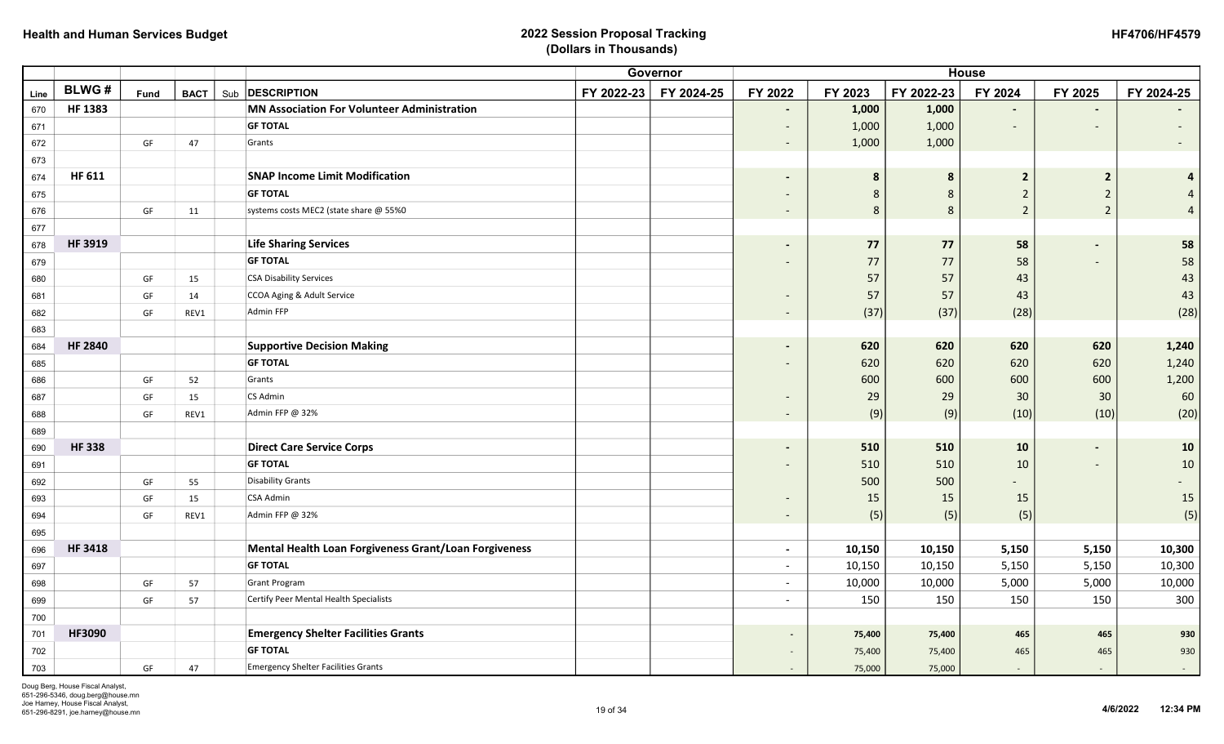| <b>HF4706/HF4579</b> |
|----------------------|
|----------------------|

|      |                |      |             |                                                       |            | Governor   |                          | <b>House</b> |             |                          |                         |            |  |
|------|----------------|------|-------------|-------------------------------------------------------|------------|------------|--------------------------|--------------|-------------|--------------------------|-------------------------|------------|--|
| Line | <b>BLWG#</b>   | Fund | <b>BACT</b> | Sub <b>DESCRIPTION</b>                                | FY 2022-23 | FY 2024-25 | FY 2022                  | FY 2023      | FY 2022-23  | FY 2024                  | FY 2025                 | FY 2024-25 |  |
| 670  | <b>HF 1383</b> |      |             | <b>MN Association For Volunteer Administration</b>    |            |            | $\blacksquare$           | 1,000        | 1,000       | $\blacksquare$           |                         |            |  |
| 671  |                |      |             | <b>GF TOTAL</b>                                       |            |            |                          | 1,000        | 1,000       | $\overline{\phantom{a}}$ |                         |            |  |
| 672  |                | GF   | 47          | Grants                                                |            |            | $\sim$                   | 1,000        | 1,000       |                          |                         |            |  |
| 673  |                |      |             |                                                       |            |            |                          |              |             |                          |                         |            |  |
| 674  | HF 611         |      |             | <b>SNAP Income Limit Modification</b>                 |            |            | $\blacksquare$           | 8            | 8           | $\overline{2}$           | $\overline{\mathbf{c}}$ | 4          |  |
| 675  |                |      |             | <b>GF TOTAL</b>                                       |            |            |                          | 8            | $\,$ 8 $\,$ | $\overline{2}$           | $\overline{2}$          |            |  |
| 676  |                | GF   | 11          | systems costs MEC2 (state share @ 55%0                |            |            | $\sim$                   | 8            | 8           | $\overline{2}$           | $\overline{2}$          |            |  |
| 677  |                |      |             |                                                       |            |            |                          |              |             |                          |                         |            |  |
| 678  | HF 3919        |      |             | <b>Life Sharing Services</b>                          |            |            |                          | 77           | 77          | 58                       |                         | 58         |  |
| 679  |                |      |             | <b>GF TOTAL</b>                                       |            |            |                          | 77           | 77          | 58                       |                         | 58         |  |
| 680  |                | GF   | 15          | <b>CSA Disability Services</b>                        |            |            |                          | 57           | 57          | 43                       |                         | 43         |  |
| 681  |                | GF   | 14          | CCOA Aging & Adult Service                            |            |            |                          | 57           | 57          | 43                       |                         | 43         |  |
| 682  |                | GF   | REV1        | <b>Admin FFP</b>                                      |            |            | $\sim$                   | (37)         | (37)        | (28)                     |                         | (28)       |  |
| 683  |                |      |             |                                                       |            |            |                          |              |             |                          |                         |            |  |
| 684  | <b>HF 2840</b> |      |             | <b>Supportive Decision Making</b>                     |            |            | $\overline{\phantom{a}}$ | 620          | 620         | 620                      | 620                     | 1,240      |  |
| 685  |                |      |             | <b>GF TOTAL</b>                                       |            |            |                          | 620          | 620         | 620                      | 620                     | 1,240      |  |
| 686  |                | GF   | 52          | Grants                                                |            |            |                          | 600          | 600         | 600                      | 600                     | 1,200      |  |
| 687  |                | GF   | 15          | CS Admin                                              |            |            | $\overline{\phantom{a}}$ | 29           | 29          | 30                       | 30                      | 60         |  |
| 688  |                | GF   | REV1        | Admin FFP @ 32%                                       |            |            | $\sim$                   | (9)          | (9)         | (10)                     | (10)                    | (20)       |  |
| 689  |                |      |             |                                                       |            |            |                          |              |             |                          |                         |            |  |
| 690  | <b>HF338</b>   |      |             | <b>Direct Care Service Corps</b>                      |            |            | $\blacksquare$           | 510          | 510         | 10                       |                         | 10         |  |
| 691  |                |      |             | <b>GF TOTAL</b>                                       |            |            |                          | 510          | 510         | 10                       |                         | $10\,$     |  |
| 692  |                | GF   | 55          | <b>Disability Grants</b>                              |            |            |                          | 500          | 500         |                          |                         |            |  |
| 693  |                | GF   | 15          | <b>CSA Admin</b>                                      |            |            | $\overline{\phantom{a}}$ | 15           | 15          | 15                       |                         | 15         |  |
| 694  |                | GF   | REV1        | Admin FFP @ 32%                                       |            |            | $\sim$                   | (5)          | (5)         | (5)                      |                         | (5)        |  |
| 695  |                |      |             |                                                       |            |            |                          |              |             |                          |                         |            |  |
| 696  | <b>HF 3418</b> |      |             | Mental Health Loan Forgiveness Grant/Loan Forgiveness |            |            | $\sim$                   | 10,150       | 10,150      | 5,150                    | 5,150                   | 10,300     |  |
| 697  |                |      |             | <b>GF TOTAL</b>                                       |            |            | $\overline{a}$           | 10,150       | 10,150      | 5,150                    | 5,150                   | 10,300     |  |
| 698  |                | GF   | 57          | <b>Grant Program</b>                                  |            |            | $\overline{a}$           | 10,000       | 10,000      | 5,000                    | 5,000                   | 10,000     |  |
| 699  |                | GF   | 57          | Certify Peer Mental Health Specialists                |            |            | $\overline{a}$           | 150          | 150         | 150                      | 150                     | 300        |  |
| 700  |                |      |             |                                                       |            |            |                          |              |             |                          |                         |            |  |
| 701  | HF3090         |      |             | <b>Emergency Shelter Facilities Grants</b>            |            |            |                          | 75,400       | 75,400      | 465                      | 465                     | 930        |  |
| 702  |                |      |             | <b>GF TOTAL</b>                                       |            |            |                          | 75,400       | 75,400      | 465                      | 465                     | 930        |  |
| 703  |                | GF   | 47          | <b>Emergency Shelter Facilities Grants</b>            |            |            |                          | 75,000       | 75,000      | $\sim$                   | $\sim$                  | $\sim$     |  |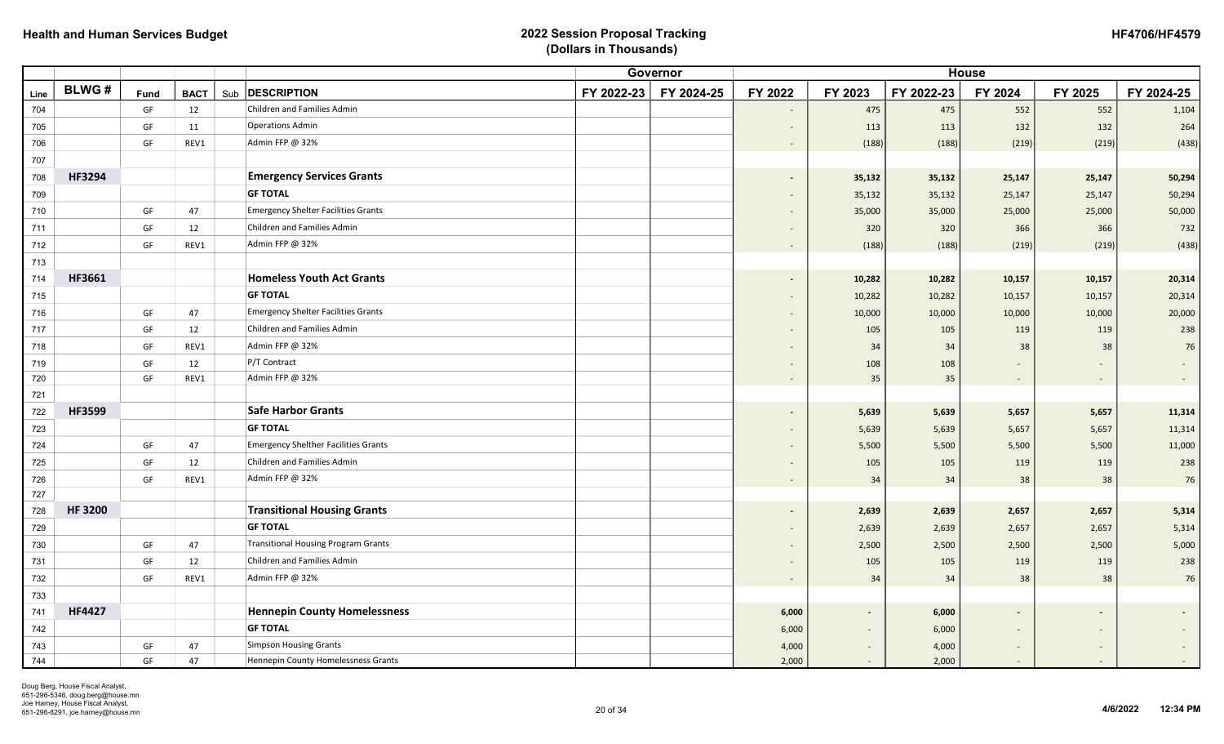| <b>HF4706/HF4579</b> |
|----------------------|
|----------------------|

|      |               |             |             |                                             |            | Governor   |                          |         |            | <b>House</b>   |                          |            |
|------|---------------|-------------|-------------|---------------------------------------------|------------|------------|--------------------------|---------|------------|----------------|--------------------------|------------|
| Line | <b>BLWG#</b>  | <b>Fund</b> | <b>BACT</b> | Sub <b>DESCRIPTION</b>                      | FY 2022-23 | FY 2024-25 | FY 2022                  | FY 2023 | FY 2022-23 | FY 2024        | FY 2025                  | FY 2024-25 |
| 704  |               | GF          | 12          | Children and Families Admin                 |            |            | $\overline{\phantom{a}}$ | 475     | 475        | 552            | 552                      | 1,104      |
| 705  |               | GF          | 11          | <b>Operations Admin</b>                     |            |            | $\overline{\phantom{a}}$ | 113     | 113        | 132            | 132                      | 264        |
| 706  |               | GF          | REV1        | Admin FFP @ 32%                             |            |            | $\overline{\phantom{a}}$ | (188)   | (188)      | (219)          | (219)                    | (438)      |
| 707  |               |             |             |                                             |            |            |                          |         |            |                |                          |            |
| 708  | HF3294        |             |             | <b>Emergency Services Grants</b>            |            |            | $\blacksquare$           | 35,132  | 35,132     | 25,147         | 25,147                   | 50,294     |
| 709  |               |             |             | <b>GF TOTAL</b>                             |            |            | $\blacksquare$           | 35,132  | 35,132     | 25,147         | 25,147                   | 50,294     |
| 710  |               | GF          | 47          | <b>Emergency Shelter Facilities Grants</b>  |            |            | $\sim$                   | 35,000  | 35,000     | 25,000         | 25,000                   | 50,000     |
| 711  |               | GF          | 12          | Children and Families Admin                 |            |            | $\overline{\phantom{a}}$ | 320     | 320        | 366            | 366                      | 732        |
| 712  |               | GF          | REV1        | Admin FFP @ 32%                             |            |            | $\overline{\phantom{a}}$ | (188)   | (188)      | (219)          | (219)                    | (438)      |
| 713  |               |             |             |                                             |            |            |                          |         |            |                |                          |            |
| 714  | HF3661        |             |             | <b>Homeless Youth Act Grants</b>            |            |            | $\overline{\phantom{a}}$ | 10,282  | 10,282     | 10,157         | 10,157                   | 20,314     |
| 715  |               |             |             | <b>GF TOTAL</b>                             |            |            | $\overline{\phantom{a}}$ | 10,282  | 10,282     | 10,157         | 10,157                   | 20,314     |
| 716  |               | GF          | 47          | <b>Emergency Shelter Facilities Grants</b>  |            |            | $\overline{\phantom{a}}$ | 10,000  | 10,000     | 10,000         | 10,000                   | 20,000     |
| 717  |               | GF          | 12          | Children and Families Admin                 |            |            | $\overline{\phantom{a}}$ | 105     | 105        | 119            | 119                      | 238        |
| 718  |               | GF          | REV1        | Admin FFP @ 32%                             |            |            |                          | 34      | 34         | 38             | 38                       | 76         |
| 719  |               | GF          | 12          | P/T Contract                                |            |            | $\overline{\phantom{a}}$ | 108     | 108        |                |                          |            |
| 720  |               | GF          | REV1        | Admin FFP @ 32%                             |            |            | $\overline{\phantom{a}}$ | 35      | 35         | $\sim$         | $\sim$                   |            |
| 721  |               |             |             |                                             |            |            |                          |         |            |                |                          |            |
| 722  | HF3599        |             |             | <b>Safe Harbor Grants</b>                   |            |            | $\blacksquare$           | 5,639   | 5,639      | 5,657          | 5,657                    | 11,314     |
| 723  |               |             |             | <b>GF TOTAL</b>                             |            |            | $\overline{\phantom{a}}$ | 5,639   | 5,639      | 5,657          | 5,657                    | 11,314     |
| 724  |               | GF          | 47          | <b>Emergency Shelther Facilities Grants</b> |            |            | $\overline{\phantom{a}}$ | 5,500   | 5,500      | 5,500          | 5,500                    | 11,000     |
| 725  |               | GF          | 12          | Children and Families Admin                 |            |            | $\overline{\phantom{a}}$ | 105     | 105        | 119            | 119                      | 238        |
| 726  |               | GF          | REV1        | Admin FFP @ 32%                             |            |            | $\blacksquare$           | 34      | 34         | 38             | 38                       | 76         |
| 727  |               |             |             |                                             |            |            |                          |         |            |                |                          |            |
| 728  | <b>HF3200</b> |             |             | <b>Transitional Housing Grants</b>          |            |            | $\blacksquare$           | 2,639   | 2,639      | 2,657          | 2,657                    | 5,314      |
| 729  |               |             |             | <b>GF TOTAL</b>                             |            |            | $\overline{\phantom{a}}$ | 2,639   | 2,639      | 2,657          | 2,657                    | 5,314      |
| 730  |               | GF          | 47          | <b>Transitional Housing Program Grants</b>  |            |            | $\overline{\phantom{a}}$ | 2,500   | 2,500      | 2,500          | 2,500                    | 5,000      |
| 731  |               | GF          | 12          | <b>Children and Families Admin</b>          |            |            | $\blacksquare$           | 105     | 105        | 119            | 119                      | 238        |
| 732  |               | GF          | REV1        | Admin FFP @ 32%                             |            |            | $\overline{\phantom{a}}$ | 34      | 34         | 38             | 38                       | 76         |
| 733  |               |             |             |                                             |            |            |                          |         |            |                |                          |            |
| 741  | <b>HF4427</b> |             |             | <b>Hennepin County Homelessness</b>         |            |            | 6,000                    | $\sim$  | 6,000      | $\blacksquare$ |                          |            |
| 742  |               |             |             | <b>GF TOTAL</b>                             |            |            | 6,000                    |         | 6,000      | $\sim$         |                          |            |
| 743  |               | GF          | 47          | <b>Simpson Housing Grants</b>               |            |            | 4,000                    | $\sim$  | 4,000      | $\sim$         | $\overline{\phantom{a}}$ | $\sim$     |
| 744  |               | GF          | 47          | Hennepin County Homelessness Grants         |            |            | 2,000                    |         | 2,000      |                |                          |            |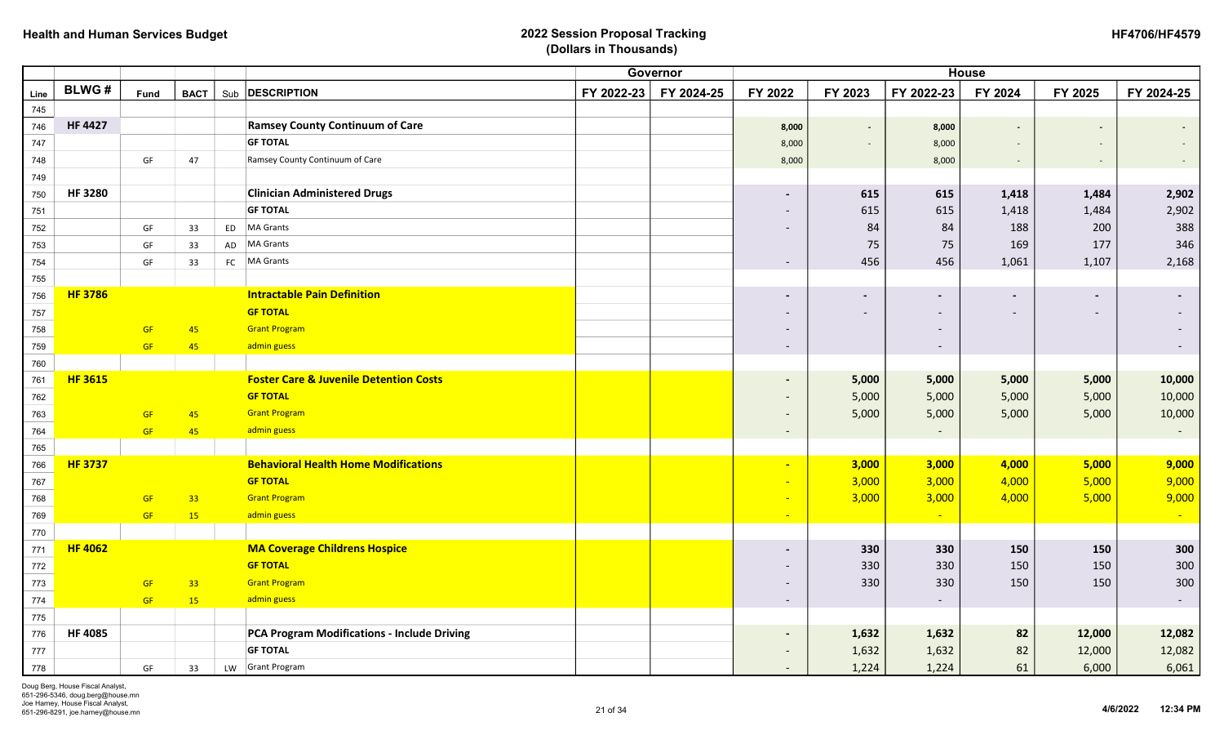|      |                |           |                 |    |                                                   |            | Governor   |                          |                |                          | <b>House</b>             |                          |            |
|------|----------------|-----------|-----------------|----|---------------------------------------------------|------------|------------|--------------------------|----------------|--------------------------|--------------------------|--------------------------|------------|
| Line | <b>BLWG#</b>   | Fund      | <b>BACT</b>     |    | Sub <b>DESCRIPTION</b>                            | FY 2022-23 | FY 2024-25 | FY 2022                  | FY 2023        | FY 2022-23               | FY 2024                  | FY 2025                  | FY 2024-25 |
| 745  |                |           |                 |    |                                                   |            |            |                          |                |                          |                          |                          |            |
| 746  | <b>HF 4427</b> |           |                 |    | <b>Ramsey County Continuum of Care</b>            |            |            | 8,000                    | $\blacksquare$ | 8,000                    |                          | $\sim$                   | $\sim$     |
| 747  |                |           |                 |    | <b>GF TOTAL</b>                                   |            |            | 8,000                    |                | 8,000                    |                          |                          |            |
| 748  |                | GF        | 47              |    | Ramsey County Continuum of Care                   |            |            | 8,000                    |                | 8,000                    |                          |                          |            |
| 749  |                |           |                 |    |                                                   |            |            |                          |                |                          |                          |                          |            |
| 750  | <b>HF3280</b>  |           |                 |    | <b>Clinician Administered Drugs</b>               |            |            | $\overline{\phantom{a}}$ | 615            | 615                      | 1,418                    | 1,484                    | 2,902      |
| 751  |                |           |                 |    | <b>GF TOTAL</b>                                   |            |            | $\overline{\phantom{a}}$ | 615            | 615                      | 1,418                    | 1,484                    | 2,902      |
| 752  |                | GF        | 33              | ED | <b>MA Grants</b>                                  |            |            |                          | 84             | 84                       | 188                      | 200                      | 388        |
| 753  |                | GF        | 33              | AD | <b>MA Grants</b>                                  |            |            |                          | 75             | 75                       | 169                      | 177                      | 346        |
| 754  |                | GF        | 33              | FC | MA Grants                                         |            |            | $\overline{\phantom{a}}$ | 456            | 456                      | 1,061                    | 1,107                    | 2,168      |
| 755  |                |           |                 |    |                                                   |            |            |                          |                |                          |                          |                          |            |
| 756  | <b>HF 3786</b> |           |                 |    | <b>Intractable Pain Definition</b>                |            |            | $\overline{\phantom{a}}$ | $\blacksquare$ |                          | $\overline{\phantom{a}}$ | $\overline{\phantom{a}}$ |            |
| 757  |                |           |                 |    | <b>GF TOTAL</b>                                   |            |            |                          |                | $\overline{\phantom{0}}$ |                          |                          |            |
| 758  |                | <b>GF</b> | 45              |    | <b>Grant Program</b>                              |            |            |                          |                | $\overline{\phantom{0}}$ |                          |                          |            |
| 759  |                | <b>GF</b> | 45              |    | admin guess                                       |            |            | $\overline{\phantom{a}}$ |                |                          |                          |                          |            |
| 760  |                |           |                 |    |                                                   |            |            |                          |                |                          |                          |                          |            |
| 761  | <b>HF 3615</b> |           |                 |    | <b>Foster Care &amp; Juvenile Detention Costs</b> |            |            | $\overline{\phantom{a}}$ | 5,000          | 5,000                    | 5,000                    | 5,000                    | 10,000     |
| 762  |                |           |                 |    | <b>GF TOTAL</b>                                   |            |            |                          | 5,000          | 5,000                    | 5,000                    | 5,000                    | 10,000     |
| 763  |                | <b>GF</b> | 45              |    | <b>Grant Program</b>                              |            |            |                          | 5,000          | 5,000                    | 5,000                    | 5,000                    | 10,000     |
| 764  |                | <b>GF</b> | 45              |    | admin guess                                       |            |            | $\overline{\phantom{a}}$ |                |                          |                          |                          |            |
| 765  |                |           |                 |    |                                                   |            |            |                          |                |                          |                          |                          |            |
| 766  | <b>HF 3737</b> |           |                 |    | <b>Behavioral Health Home Modifications</b>       |            |            | $\blacksquare$           | 3,000          | 3,000                    | 4,000                    | 5,000                    | 9,000      |
| 767  |                |           |                 |    | <b>GF TOTAL</b>                                   |            |            | $\sim$                   | 3,000          | 3,000                    | 4,000                    | 5,000                    | 9,000      |
| 768  |                | <b>GF</b> | 33 <sup>°</sup> |    | <b>Grant Program</b>                              |            |            | $\sim$                   | 3,000          | 3,000                    | 4,000                    | 5,000                    | 9,000      |
| 769  |                | GF        | 15 <sup>°</sup> |    | admin guess                                       |            |            | $\sim$                   |                |                          |                          |                          |            |
| 770  |                |           |                 |    |                                                   |            |            |                          |                |                          |                          |                          |            |
| 771  | <b>HF 4062</b> |           |                 |    | <b>MA Coverage Childrens Hospice</b>              |            |            | $\overline{\phantom{a}}$ | 330            | 330                      | 150                      | 150                      | 300        |
| 772  |                |           |                 |    | <b>GF TOTAL</b>                                   |            |            |                          | 330            | 330                      | 150                      | 150                      | 300        |
| 773  |                | <b>GF</b> | 33 <sup>°</sup> |    | <b>Grant Program</b>                              |            |            |                          | 330            | 330                      | 150                      | 150                      | 300        |
| 774  |                | GF        | 15              |    | admin guess                                       |            |            | $\overline{\phantom{a}}$ |                | $\overline{\phantom{a}}$ |                          |                          | $\sim$     |
| 775  |                |           |                 |    |                                                   |            |            |                          |                |                          |                          |                          |            |
| 776  | <b>HF 4085</b> |           |                 |    | PCA Program Modifications - Include Driving       |            |            |                          | 1,632          | 1,632                    | 82                       | 12,000                   | 12,082     |
| 777  |                |           |                 |    | <b>GF TOTAL</b>                                   |            |            |                          | 1,632          | 1,632                    | 82                       | 12,000                   | 12,082     |
| 778  |                | GF        | 33              |    | LW Grant Program                                  |            |            | $\overline{\phantom{a}}$ | 1,224          | 1,224                    | 61                       | 6,000                    | 6,061      |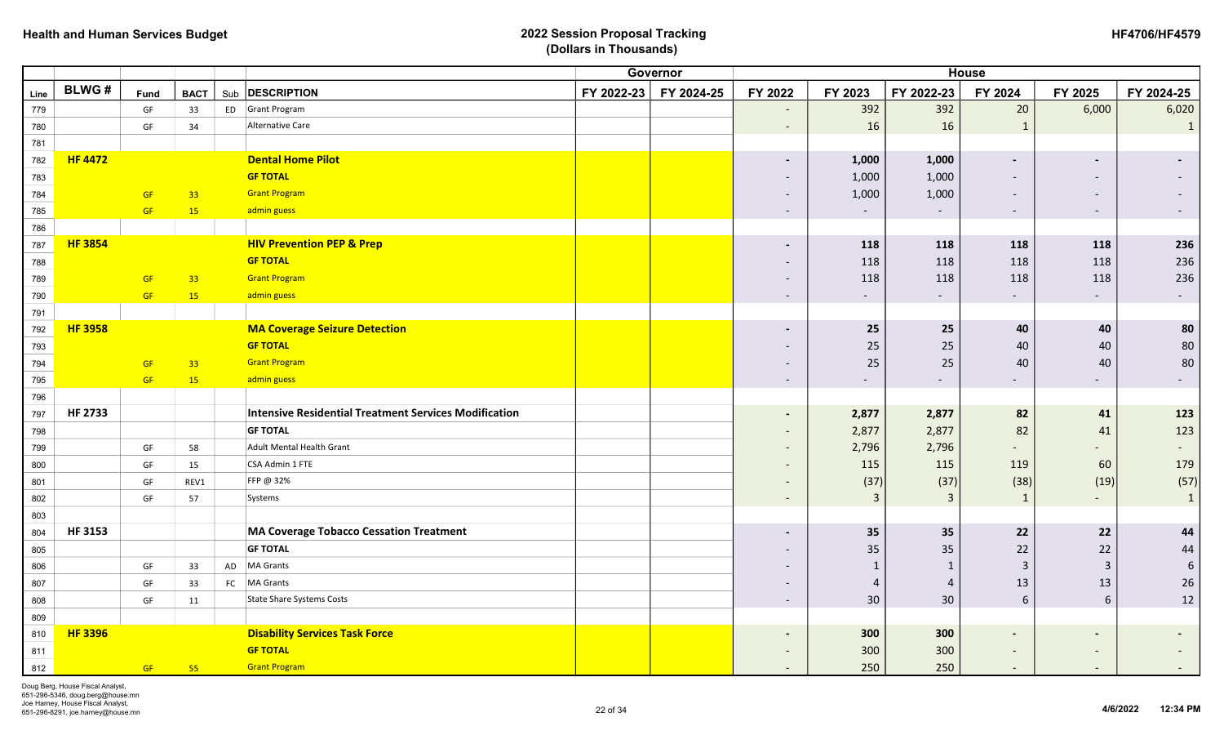|      |                |           |             |    |                                                              |            | Governor   |                              |                          |                          | <b>House</b>             |                              |                          |
|------|----------------|-----------|-------------|----|--------------------------------------------------------------|------------|------------|------------------------------|--------------------------|--------------------------|--------------------------|------------------------------|--------------------------|
| Line | <b>BLWG#</b>   | Fund      | <b>BACT</b> |    | Sub <b>DESCRIPTION</b>                                       | FY 2022-23 | FY 2024-25 | FY 2022                      | FY 2023                  | FY 2022-23               | FY 2024                  | FY 2025                      | FY 2024-25               |
| 779  |                | GF        | 33          |    | ED Grant Program                                             |            |            | $\overline{\phantom{a}}$     | 392                      | 392                      | $20\,$                   | 6,000                        | 6,020                    |
| 780  |                | GF        | 34          |    | Alternative Care                                             |            |            | $\overline{\phantom{a}}$     | 16                       | 16                       | $\mathbf{1}$             |                              | $\mathbf{1}$             |
| 781  |                |           |             |    |                                                              |            |            |                              |                          |                          |                          |                              |                          |
| 782  | <b>HF 4472</b> |           |             |    | <b>Dental Home Pilot</b>                                     |            |            | $\blacksquare$               | 1,000                    | 1,000                    | $\overline{\phantom{a}}$ |                              |                          |
| 783  |                |           |             |    | <b>GF TOTAL</b>                                              |            |            | $\overline{\phantom{a}}$     | 1,000                    | 1,000                    | $\overline{\phantom{a}}$ | $\overline{\phantom{a}}$     |                          |
| 784  |                | <b>GF</b> | 33          |    | <b>Grant Program</b>                                         |            |            | $\overline{\phantom{a}}$     | 1,000                    | 1,000                    | $\overline{\phantom{a}}$ | $\overline{\phantom{a}}$     |                          |
| 785  |                | GF        | <b>15</b>   |    | admin guess                                                  |            |            | $\overline{\phantom{a}}$     | $\overline{\phantom{a}}$ |                          | $\overline{\phantom{a}}$ | $\overline{\phantom{a}}$     | $\overline{\phantom{a}}$ |
| 786  |                |           |             |    |                                                              |            |            |                              |                          |                          |                          |                              |                          |
| 787  | <b>HF 3854</b> |           |             |    | <b>HIV Prevention PEP &amp; Prep</b>                         |            |            | $\blacksquare$               | 118                      | 118                      | 118                      | 118                          | 236                      |
| 788  |                |           |             |    | <b>GF TOTAL</b>                                              |            |            | $\overline{\phantom{a}}$     | 118                      | 118                      | 118                      | 118                          | 236                      |
| 789  |                | GF        | 33          |    | <b>Grant Program</b>                                         |            |            | $\overline{\phantom{a}}$     | 118                      | 118                      | 118                      | 118                          | 236                      |
| 790  |                | GF        | 15          |    | admin guess                                                  |            |            | $\overline{\phantom{a}}$     |                          |                          |                          |                              | $\sim$                   |
| 791  |                |           |             |    |                                                              |            |            |                              |                          |                          |                          |                              |                          |
| 792  | <b>HF 3958</b> |           |             |    | <b>MA Coverage Seizure Detection</b>                         |            |            | $\overline{\phantom{a}}$     | 25                       | 25                       | 40                       | 40                           | 80                       |
| 793  |                |           |             |    | <b>GF TOTAL</b>                                              |            |            | $\overline{\phantom{a}}$     | 25                       | 25                       | 40                       | 40                           | $80\,$                   |
| 794  |                | <b>GF</b> | 33          |    | <b>Grant Program</b>                                         |            |            | $\overline{\phantom{a}}$     | 25                       | 25                       | 40                       | 40                           | 80                       |
| 795  |                | GF        | 15          |    | admin guess                                                  |            |            | $\overline{\phantom{a}}$     | $\overline{\phantom{a}}$ | $\overline{\phantom{a}}$ | $\overline{\phantom{a}}$ | $\overline{\phantom{a}}$     | $-$                      |
| 796  |                |           |             |    |                                                              |            |            |                              |                          |                          |                          |                              |                          |
| 797  | <b>HF 2733</b> |           |             |    | <b>Intensive Residential Treatment Services Modification</b> |            |            | $\blacksquare$               | 2,877                    | 2,877                    | 82                       | 41                           | 123                      |
| 798  |                |           |             |    | <b>GF TOTAL</b>                                              |            |            | $\overline{\phantom{a}}$     | 2,877                    | 2,877                    | 82                       | 41                           | 123                      |
| 799  |                | GF        | 58          |    | Adult Mental Health Grant                                    |            |            | $\overline{\phantom{a}}$     | 2,796                    | 2,796                    |                          | $\overline{\phantom{0}}$     | $\overline{\phantom{a}}$ |
| 800  |                | GF        | 15          |    | CSA Admin 1 FTE                                              |            |            | $\qquad \qquad -$            | 115                      | 115                      | 119                      | 60                           | 179                      |
| 801  |                | GF        | REV1        |    | FFP @ 32%                                                    |            |            | $\overline{\phantom{a}}$     | (37)                     | (37)                     | (38)                     | (19)                         | (57)                     |
| 802  |                | GF        | 57          |    | Systems                                                      |            |            | $\overline{\phantom{a}}$     | $\overline{3}$           | $\mathbf{3}$             | $\mathbf{1}$             | $\overline{\phantom{0}}$     | $\mathbf{1}$             |
| 803  |                |           |             |    |                                                              |            |            |                              |                          |                          |                          |                              |                          |
| 804  | <b>HF 3153</b> |           |             |    | <b>MA Coverage Tobacco Cessation Treatment</b>               |            |            | $\overline{\phantom{a}}$     | 35                       | 35                       | 22                       | 22                           | 44                       |
| 805  |                |           |             |    | <b>GF TOTAL</b>                                              |            |            |                              | 35                       | 35                       | 22                       | 22                           | 44                       |
| 806  |                | GF        | 33          | AD | <b>MA Grants</b>                                             |            |            |                              | $\mathbf{1}$             | $\mathbf{1}$             | $\overline{3}$           | $\mathbf{3}$                 | $\sqrt{6}$               |
| 807  |                | GF        | 33          |    | FC   MA Grants                                               |            |            | $\overline{\phantom{a}}$     | 4                        | $\overline{4}$           | 13                       | 13                           | 26                       |
| 808  |                | GF        | 11          |    | <b>State Share Systems Costs</b>                             |            |            | $\overline{\phantom{a}}$     | 30                       | 30                       | 6                        | $6\phantom{1}$               | 12                       |
| 809  |                |           |             |    |                                                              |            |            |                              |                          |                          |                          |                              |                          |
| 810  | <b>HF 3396</b> |           |             |    | <b>Disability Services Task Force</b>                        |            |            | $\qquad \qquad \blacksquare$ | 300                      | 300                      | $\blacksquare$           |                              |                          |
| 811  |                |           |             |    | <b>GF TOTAL</b>                                              |            |            | $\overline{\phantom{a}}$     | 300                      | 300                      |                          | $\overline{\phantom{0}}$     |                          |
| 812  |                | GF        | 55          |    | <b>Grant Program</b>                                         |            |            | $\overline{\phantom{a}}$     | 250                      | 250                      |                          | $\qquad \qquad \blacksquare$ |                          |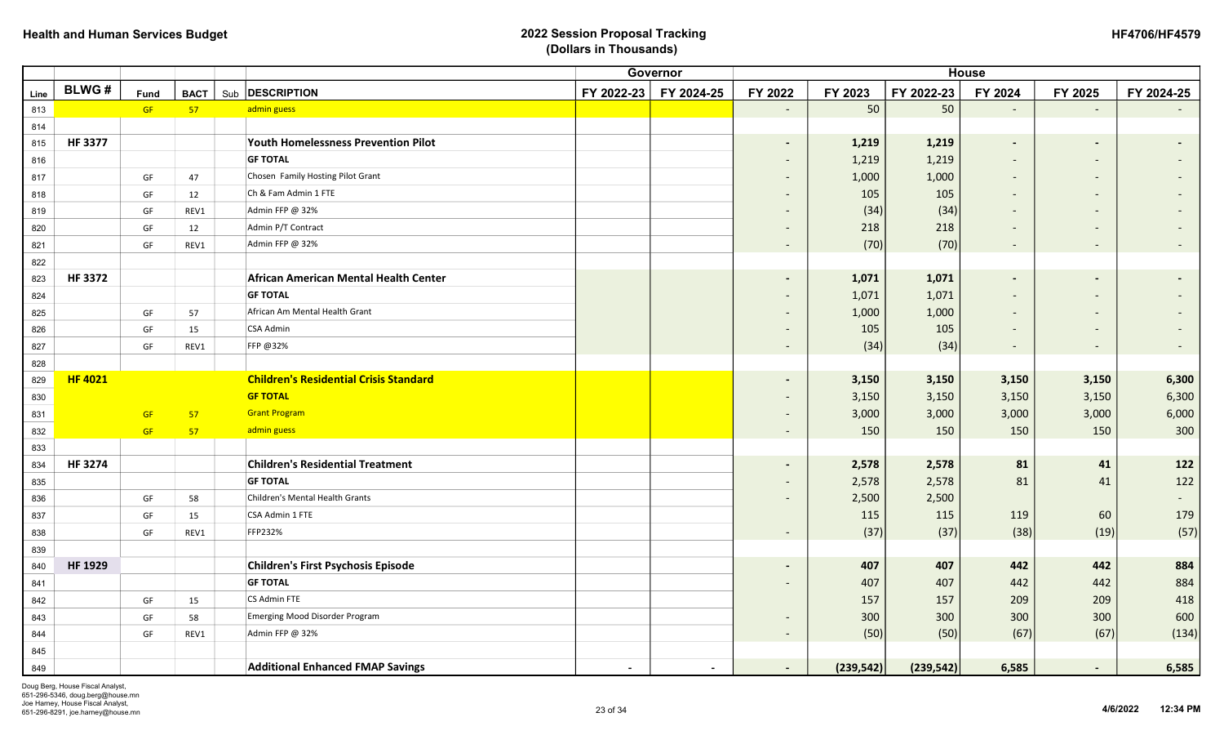| <b>HF4706/HF4579</b> |
|----------------------|
|----------------------|

|      |                |      |             |                                               | Governor   | <b>House</b>   |                          |            |            |                          |                          |            |  |
|------|----------------|------|-------------|-----------------------------------------------|------------|----------------|--------------------------|------------|------------|--------------------------|--------------------------|------------|--|
| Line | <b>BLWG#</b>   | Fund | <b>BACT</b> | Sub <b>DESCRIPTION</b>                        | FY 2022-23 | FY 2024-25     | FY 2022                  | FY 2023    | FY 2022-23 | FY 2024                  | FY 2025                  | FY 2024-25 |  |
| 813  |                | GF   | 57          | admin guess                                   |            |                | $\blacksquare$           | 50         | 50         | $\overline{\phantom{a}}$ | $\overline{a}$           |            |  |
| 814  |                |      |             |                                               |            |                |                          |            |            |                          |                          |            |  |
| 815  | <b>HF 3377</b> |      |             | <b>Youth Homelessness Prevention Pilot</b>    |            |                | $\blacksquare$           | 1,219      | 1,219      | $\overline{\phantom{a}}$ |                          |            |  |
| 816  |                |      |             | <b>GF TOTAL</b>                               |            |                | $\overline{\phantom{a}}$ | 1,219      | 1,219      |                          |                          |            |  |
| 817  |                | GF   | 47          | Chosen Family Hosting Pilot Grant             |            |                | $\overline{\phantom{a}}$ | 1,000      | 1,000      |                          |                          |            |  |
| 818  |                | GF   | 12          | Ch & Fam Admin 1 FTE                          |            |                | $\overline{\phantom{a}}$ | 105        | 105        |                          | $\overline{\phantom{a}}$ |            |  |
| 819  |                | GF   | REV1        | Admin FFP @ 32%                               |            |                | $\overline{\phantom{a}}$ | (34)       | (34)       |                          | $\overline{\phantom{a}}$ |            |  |
| 820  |                | GF   | 12          | Admin P/T Contract                            |            |                | $\overline{\phantom{a}}$ | 218        | 218        |                          |                          |            |  |
| 821  |                | GF   | REV1        | Admin FFP @ 32%                               |            |                | $\overline{\phantom{a}}$ | (70)       | (70)       |                          |                          |            |  |
| 822  |                |      |             |                                               |            |                |                          |            |            |                          |                          |            |  |
| 823  | <b>HF3372</b>  |      |             | African American Mental Health Center         |            |                | $\blacksquare$           | 1,071      | 1,071      | $\overline{\phantom{a}}$ |                          |            |  |
| 824  |                |      |             | <b>GF TOTAL</b>                               |            |                | $\overline{\phantom{a}}$ | 1,071      | 1,071      |                          |                          |            |  |
| 825  |                | GF   | 57          | African Am Mental Health Grant                |            |                | $\overline{\phantom{a}}$ | 1,000      | 1,000      |                          |                          |            |  |
| 826  |                | GF   | 15          | <b>CSA Admin</b>                              |            |                | $\overline{\phantom{a}}$ | 105        | 105        |                          |                          |            |  |
| 827  |                | GF   | REV1        | FFP @32%                                      |            |                | $\sim$                   | (34)       | (34)       | $\overline{\phantom{a}}$ | $\overline{\phantom{a}}$ |            |  |
| 828  |                |      |             |                                               |            |                |                          |            |            |                          |                          |            |  |
| 829  | <b>HF 4021</b> |      |             | <b>Children's Residential Crisis Standard</b> |            |                |                          | 3,150      | 3,150      | 3,150                    | 3,150                    | 6,300      |  |
| 830  |                |      |             | <b>GF TOTAL</b>                               |            |                |                          | 3,150      | 3,150      | 3,150                    | 3,150                    | 6,300      |  |
| 831  |                | GF   | 57          | <b>Grant Program</b>                          |            |                | $\overline{\phantom{a}}$ | 3,000      | 3,000      | 3,000                    | 3,000                    | 6,000      |  |
| 832  |                | GF   | 57          | admin guess                                   |            |                | $\overline{\phantom{a}}$ | 150        | 150        | 150                      | 150                      | 300        |  |
| 833  |                |      |             |                                               |            |                |                          |            |            |                          |                          |            |  |
| 834  | <b>HF3274</b>  |      |             | <b>Children's Residential Treatment</b>       |            |                | $\blacksquare$           | 2,578      | 2,578      | 81                       | 41                       | 122        |  |
| 835  |                |      |             | <b>GF TOTAL</b>                               |            |                | $\overline{\phantom{a}}$ | 2,578      | 2,578      | 81                       | 41                       | 122        |  |
| 836  |                | GF   | 58          | Children's Mental Health Grants               |            |                | $\overline{\phantom{a}}$ | 2,500      | 2,500      |                          |                          |            |  |
| 837  |                | GF   | 15          | CSA Admin 1 FTE                               |            |                |                          | 115        | 115        | 119                      | 60                       | 179        |  |
| 838  |                | GF   | REV1        | FFP232%                                       |            |                | $\overline{\phantom{a}}$ | (37)       | (37)       | (38)                     | (19)                     | (57)       |  |
| 839  |                |      |             |                                               |            |                |                          |            |            |                          |                          |            |  |
| 840  | <b>HF 1929</b> |      |             | <b>Children's First Psychosis Episode</b>     |            |                |                          | 407        | 407        | 442                      | 442                      | 884        |  |
| 841  |                |      |             | <b>GF TOTAL</b>                               |            |                |                          | 407        | 407        | 442                      | 442                      | 884        |  |
| 842  |                | GF   | 15          | CS Admin FTE                                  |            |                |                          | 157        | 157        | 209                      | 209                      | 418        |  |
| 843  |                | GF   | 58          | <b>Emerging Mood Disorder Program</b>         |            |                | $\overline{\phantom{a}}$ | 300        | 300        | 300                      | 300                      | 600        |  |
| 844  |                | GF   | REV1        | Admin FFP @ 32%                               |            |                | $\overline{\phantom{a}}$ | (50)       | (50)       | (67)                     | (67)                     | (134)      |  |
| 845  |                |      |             |                                               |            |                |                          |            |            |                          |                          |            |  |
| 849  |                |      |             | <b>Additional Enhanced FMAP Savings</b>       | $\sim$     | $\blacksquare$ | $\sim$                   | (239, 542) | (239, 542) | 6,585                    | $\sim$                   | 6,585      |  |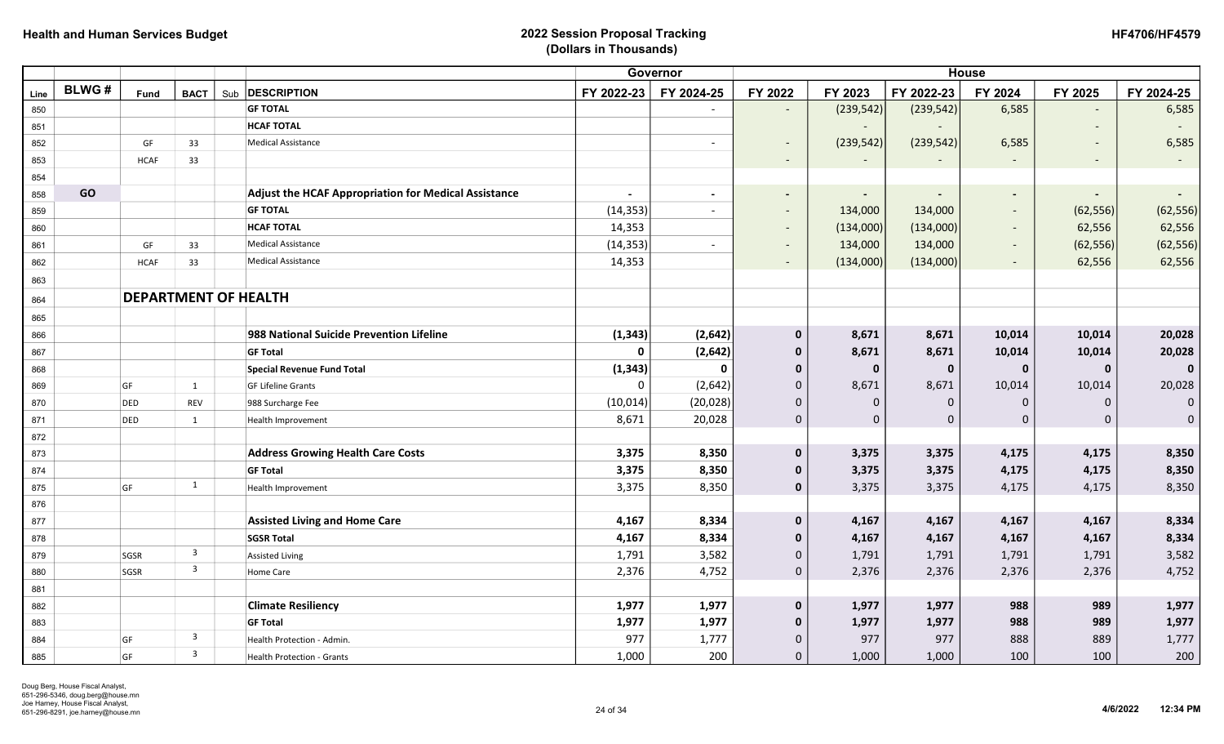|      |              |                             |                         |                                                             |                | Governor                 |                          |                          |                | <b>House</b>             |                          |                          |
|------|--------------|-----------------------------|-------------------------|-------------------------------------------------------------|----------------|--------------------------|--------------------------|--------------------------|----------------|--------------------------|--------------------------|--------------------------|
| Line | <b>BLWG#</b> | Fund                        | <b>BACT</b>             | Sub <b>DESCRIPTION</b>                                      | FY 2022-23     | FY 2024-25               | FY 2022                  | FY 2023                  | FY 2022-23     | FY 2024                  | FY 2025                  | FY 2024-25               |
| 850  |              |                             |                         | <b>GF TOTAL</b>                                             |                |                          | $\overline{\phantom{a}}$ | (239, 542)               | (239, 542)     | 6,585                    |                          | 6,585                    |
| 851  |              |                             |                         | <b>HCAF TOTAL</b>                                           |                |                          |                          |                          |                |                          |                          | $\overline{\phantom{a}}$ |
| 852  |              | GF                          | 33                      | <b>Medical Assistance</b>                                   |                | $\overline{\phantom{a}}$ | $\overline{\phantom{a}}$ | (239, 542)               | (239, 542)     | 6,585                    | $\overline{\phantom{a}}$ | 6,585                    |
| 853  |              | <b>HCAF</b>                 | 33                      |                                                             |                |                          | $\overline{\phantom{a}}$ |                          |                |                          | $\overline{\phantom{a}}$ | $\sim$                   |
| 854  |              |                             |                         |                                                             |                |                          |                          |                          |                |                          |                          |                          |
| 858  | GO           |                             |                         | <b>Adjust the HCAF Appropriation for Medical Assistance</b> | $\blacksquare$ | $\blacksquare$           | $\blacksquare$           | $\overline{\phantom{a}}$ |                | $\blacksquare$           |                          | $\blacksquare$           |
| 859  |              |                             |                         | <b>GF TOTAL</b>                                             | (14, 353)      | $\overline{\phantom{a}}$ | $\overline{\phantom{a}}$ | 134,000                  | 134,000        | $\overline{\phantom{a}}$ | (62, 556)                | (62, 556)                |
| 860  |              |                             |                         | <b>HCAF TOTAL</b>                                           | 14,353         |                          | $\overline{\phantom{a}}$ | (134,000)                | (134,000)      |                          | 62,556                   | 62,556                   |
| 861  |              | GF                          | 33                      | <b>Medical Assistance</b>                                   | (14, 353)      | $\blacksquare$           | $\overline{\phantom{a}}$ | 134,000                  | 134,000        | $\overline{\phantom{a}}$ | (62, 556)                | (62, 556)                |
| 862  |              | <b>HCAF</b>                 | 33                      | <b>Medical Assistance</b>                                   | 14,353         |                          | $\overline{\phantom{a}}$ | (134,000)                | (134,000)      |                          | 62,556                   | 62,556                   |
| 863  |              |                             |                         |                                                             |                |                          |                          |                          |                |                          |                          |                          |
| 864  |              | <b>DEPARTMENT OF HEALTH</b> |                         |                                                             |                |                          |                          |                          |                |                          |                          |                          |
| 865  |              |                             |                         |                                                             |                |                          |                          |                          |                |                          |                          |                          |
| 866  |              |                             |                         | 988 National Suicide Prevention Lifeline                    | (1, 343)       | (2,642)                  | $\mathbf 0$              | 8,671                    | 8,671          | 10,014                   | 10,014                   | 20,028                   |
| 867  |              |                             |                         | <b>GF Total</b>                                             | $\mathbf 0$    | (2, 642)                 | $\mathbf 0$              | 8,671                    | 8,671          | 10,014                   | 10,014                   | 20,028                   |
| 868  |              |                             |                         | <b>Special Revenue Fund Total</b>                           | (1, 343)       | 0                        | $\mathbf 0$              | $\bf{0}$                 | $\mathbf 0$    | $\mathbf 0$              | $\mathbf 0$              | $\mathbf 0$              |
| 869  |              | GF                          | 1                       | <b>GF Lifeline Grants</b>                                   | $\mathbf 0$    | (2,642)                  | $\pmb{0}$                | 8,671                    | 8,671          | 10,014                   | 10,014                   | 20,028                   |
| 870  |              | DED                         | <b>REV</b>              | 988 Surcharge Fee                                           | (10, 014)      | (20, 028)                | $\mathbf{0}$             | $\mathbf{0}$             | $\mathbf{0}$   | $\Omega$                 | $\Omega$                 | $\mathbf 0$              |
| 871  |              | DED                         | $\mathbf{1}$            | Health Improvement                                          | 8,671          | 20,028                   | $\pmb{0}$                | $\mathbf 0$              | $\overline{0}$ | 0                        | $\Omega$                 | $\mathsf{O}\xspace$      |
| 872  |              |                             |                         |                                                             |                |                          |                          |                          |                |                          |                          |                          |
| 873  |              |                             |                         | <b>Address Growing Health Care Costs</b>                    | 3,375          | 8,350                    | $\mathbf 0$              | 3,375                    | 3,375          | 4,175                    | 4,175                    | 8,350                    |
| 874  |              |                             |                         | <b>GF Total</b>                                             | 3,375          | 8,350                    | $\mathbf 0$              | 3,375                    | 3,375          | 4,175                    | 4,175                    | 8,350                    |
| 875  |              | GF                          | 1                       | Health Improvement                                          | 3,375          | 8,350                    | $\mathbf 0$              | 3,375                    | 3,375          | 4,175                    | 4,175                    | 8,350                    |
| 876  |              |                             |                         |                                                             |                |                          |                          |                          |                |                          |                          |                          |
| 877  |              |                             |                         | <b>Assisted Living and Home Care</b>                        | 4,167          | 8,334                    | $\mathbf 0$              | 4,167                    | 4,167          | 4,167                    | 4,167                    | 8,334                    |
| 878  |              |                             |                         | <b>SGSR Total</b>                                           | 4,167          | 8,334                    | $\mathbf 0$              | 4,167                    | 4,167          | 4,167                    | 4,167                    | 8,334                    |
| 879  |              | SGSR                        | $\overline{3}$          | <b>Assisted Living</b>                                      | 1,791          | 3,582                    | $\Omega$                 | 1,791                    | 1,791          | 1,791                    | 1,791                    | 3,582                    |
| 880  |              | SGSR                        | $\overline{\mathbf{3}}$ | Home Care                                                   | 2,376          | 4,752                    | $\mathbf 0$              | 2,376                    | 2,376          | 2,376                    | 2,376                    | 4,752                    |
| 881  |              |                             |                         |                                                             |                |                          |                          |                          |                |                          |                          |                          |
| 882  |              |                             |                         | <b>Climate Resiliency</b>                                   | 1,977          | 1,977                    | $\mathbf 0$              | 1,977                    | 1,977          | 988                      | 989                      | 1,977                    |
| 883  |              |                             |                         | <b>GF Total</b>                                             | 1,977          | 1,977                    | $\mathbf 0$              | 1,977                    | 1,977          | 988                      | 989                      | 1,977                    |
| 884  |              | GF                          | $\overline{\mathbf{3}}$ | Health Protection - Admin.                                  | 977            | 1,777                    | $\Omega$                 | 977                      | 977            | 888                      | 889                      | 1,777                    |
| 885  |              | GF                          | $\overline{3}$          | Health Protection - Grants                                  | 1,000          | 200                      | $\mathbf{0}$             | 1,000                    | 1,000          | 100                      | 100                      | 200                      |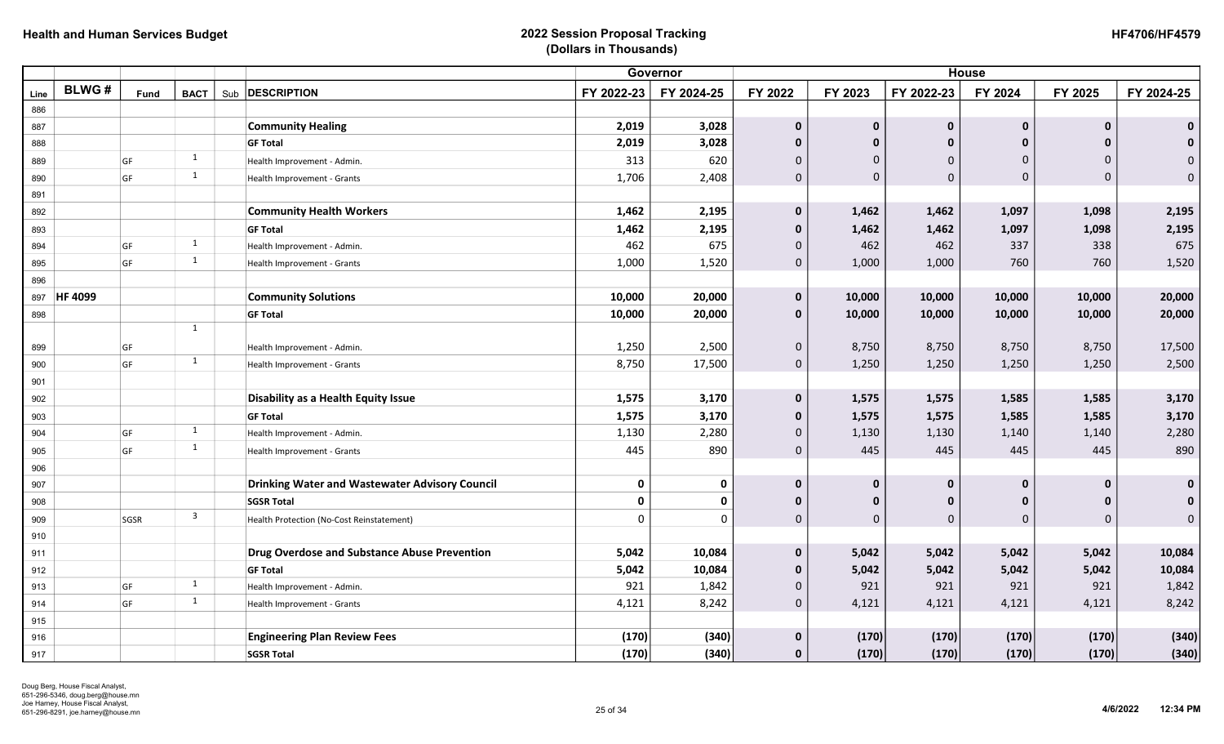|      |                |      |                         |     |                                                       | <b>House</b> |            |              |             |              |              |              |                     |
|------|----------------|------|-------------------------|-----|-------------------------------------------------------|--------------|------------|--------------|-------------|--------------|--------------|--------------|---------------------|
| Line | <b>BLWG#</b>   | Fund | <b>BACT</b>             | Sub | <b>DESCRIPTION</b>                                    | FY 2022-23   | FY 2024-25 | FY 2022      | FY 2023     | FY 2022-23   | FY 2024      | FY 2025      | FY 2024-25          |
| 886  |                |      |                         |     |                                                       |              |            |              |             |              |              |              |                     |
| 887  |                |      |                         |     | <b>Community Healing</b>                              | 2,019        | 3,028      | $\mathbf 0$  | $\mathbf 0$ | $\mathbf 0$  | $\mathbf 0$  | $\mathbf 0$  | $\mathbf 0$         |
| 888  |                |      |                         |     | <b>GF Total</b>                                       | 2,019        | 3,028      | $\mathbf 0$  | $\mathbf 0$ | $\mathbf{0}$ | 0            | $\mathbf 0$  | $\mathbf{0}$        |
| 889  |                | GF   | $\mathbf{1}$            |     | Health Improvement - Admin.                           | 313          | 620        | $\mathbf{0}$ | $\mathbf 0$ | $\Omega$     | $\Omega$     | $\Omega$     | $\mathbf{0}$        |
| 890  |                | GF   | $\mathbf{1}$            |     | Health Improvement - Grants                           | 1,706        | 2,408      | $\pmb{0}$    | $\mathbf 0$ | $\mathbf{0}$ | 0            | $\Omega$     | $\pmb{0}$           |
| 891  |                |      |                         |     |                                                       |              |            |              |             |              |              |              |                     |
| 892  |                |      |                         |     | <b>Community Health Workers</b>                       | 1,462        | 2,195      | $\mathbf 0$  | 1,462       | 1,462        | 1,097        | 1,098        | 2,195               |
| 893  |                |      |                         |     | <b>GF Total</b>                                       | 1,462        | 2,195      | $\mathbf 0$  | 1,462       | 1,462        | 1,097        | 1,098        | 2,195               |
| 894  |                | GF   | $\mathbf{1}$            |     | Health Improvement - Admin.                           | 462          | 675        | $\mathbf 0$  | 462         | 462          | 337          | 338          | 675                 |
| 895  |                | GF   | $\mathbf{1}$            |     | Health Improvement - Grants                           | 1,000        | 1,520      | $\mathbf 0$  | 1,000       | 1,000        | 760          | 760          | 1,520               |
| 896  |                |      |                         |     |                                                       |              |            |              |             |              |              |              |                     |
| 897  | <b>HF 4099</b> |      |                         |     | <b>Community Solutions</b>                            | 10,000       | 20,000     | $\pmb{0}$    | 10,000      | 10,000       | 10,000       | 10,000       | 20,000              |
| 898  |                |      |                         |     | <b>GF Total</b>                                       | 10,000       | 20,000     | $\mathbf{0}$ | 10,000      | 10,000       | 10,000       | 10,000       | 20,000              |
|      |                |      | 1                       |     |                                                       |              |            |              |             |              |              |              |                     |
| 899  |                | GF   |                         |     | Health Improvement - Admin.                           | 1,250        | 2,500      | $\mathbf 0$  | 8,750       | 8,750        | 8,750        | 8,750        | 17,500              |
| 900  |                | GF   | 1                       |     | Health Improvement - Grants                           | 8,750        | 17,500     | $\mathbf 0$  | 1,250       | 1,250        | 1,250        | 1,250        | 2,500               |
| 901  |                |      |                         |     |                                                       |              |            |              |             |              |              |              |                     |
| 902  |                |      |                         |     | Disability as a Health Equity Issue                   | 1,575        | 3,170      | $\mathbf 0$  | 1,575       | 1,575        | 1,585        | 1,585        | 3,170               |
| 903  |                |      |                         |     | <b>GF Total</b>                                       | 1,575        | 3,170      | $\mathbf 0$  | 1,575       | 1,575        | 1,585        | 1,585        | 3,170               |
| 904  |                | GF   | 1                       |     | Health Improvement - Admin.                           | 1,130        | 2,280      | $\mathbf 0$  | 1,130       | 1,130        | 1,140        | 1,140        | 2,280               |
| 905  |                | GF   | $\mathbf{1}$            |     | Health Improvement - Grants                           | 445          | 890        | $\mathbf{0}$ | 445         | 445          | 445          | 445          | 890                 |
| 906  |                |      |                         |     |                                                       |              |            |              |             |              |              |              |                     |
| 907  |                |      |                         |     | <b>Drinking Water and Wastewater Advisory Council</b> | $\mathbf 0$  | 0          | $\mathbf 0$  | $\mathbf 0$ | $\mathbf{0}$ | $\mathbf{0}$ | $\mathbf{0}$ | $\mathbf 0$         |
| 908  |                |      |                         |     | <b>SGSR Total</b>                                     | $\mathbf 0$  | 0          | $\mathbf 0$  | $\mathbf 0$ | $\bf{0}$     | 0            | 0            | $\mathbf 0$         |
| 909  |                | SGSR | $\overline{\mathbf{3}}$ |     | Health Protection (No-Cost Reinstatement)             | $\Omega$     | $\Omega$   | $\mathbf 0$  | $\mathbf 0$ | $\mathbf{0}$ | 0            | $\Omega$     | $\mathsf{O}\xspace$ |
| 910  |                |      |                         |     |                                                       |              |            |              |             |              |              |              |                     |
| 911  |                |      |                         |     | <b>Drug Overdose and Substance Abuse Prevention</b>   | 5,042        | 10,084     | $\mathbf 0$  | 5,042       | 5,042        | 5,042        | 5,042        | 10,084              |
| 912  |                |      |                         |     | <b>GF Total</b>                                       | 5,042        | 10,084     | $\mathbf 0$  | 5,042       | 5,042        | 5,042        | 5,042        | 10,084              |
| 913  |                | GF   | $\mathbf{1}$            |     | Health Improvement - Admin.                           | 921          | 1,842      | $\mathbf 0$  | 921         | 921          | 921          | 921          | 1,842               |
| 914  |                | GF   | 1                       |     | Health Improvement - Grants                           | 4,121        | 8,242      | $\mathsf{O}$ | 4,121       | 4,121        | 4,121        | 4,121        | 8,242               |
| 915  |                |      |                         |     |                                                       |              |            |              |             |              |              |              |                     |
| 916  |                |      |                         |     | <b>Engineering Plan Review Fees</b>                   | (170)        | (340)      | $\bf{0}$     | (170)       | (170)        | (170)        | (170)        | (340)               |
| 917  |                |      |                         |     | <b>SGSR Total</b>                                     | (170)        | (340)      | $\mathbf{0}$ | (170)       | (170)        | (170)        | (170)        | (340)               |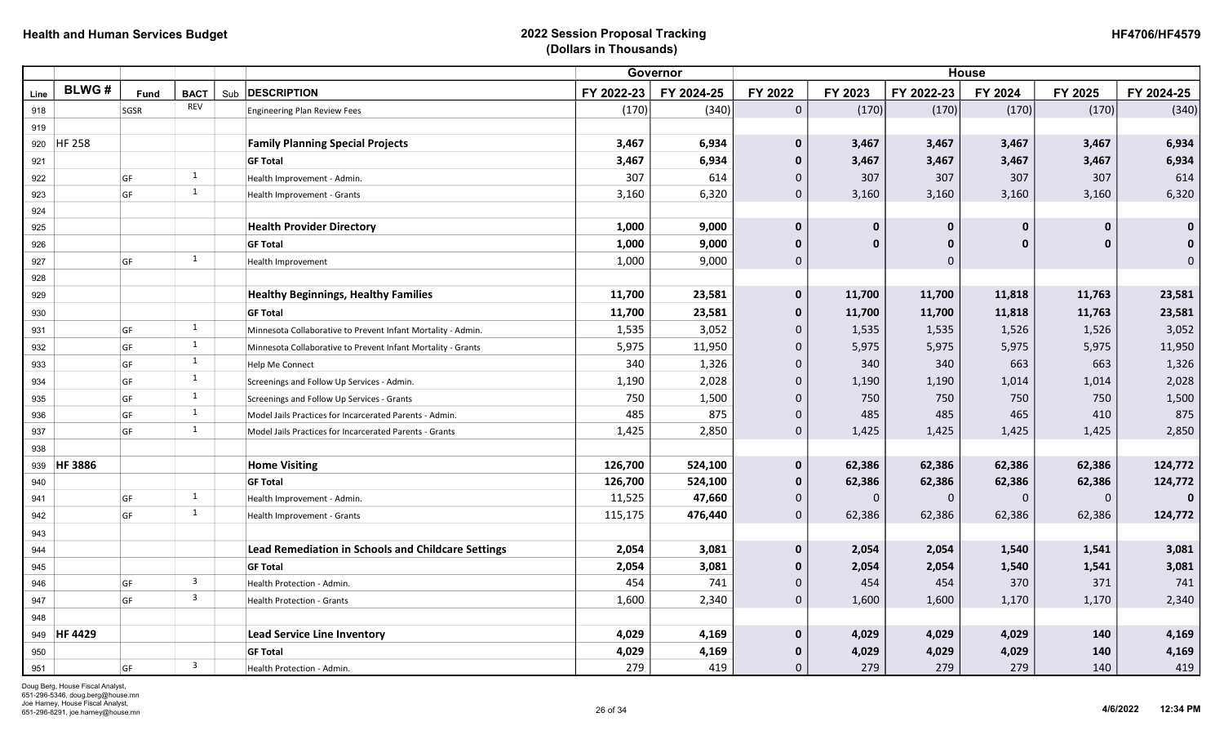| <b>HF4706/HF4579</b> |
|----------------------|
|----------------------|

|      |              |      |                         |     |                                                              | <b>House</b> |            |                     |          |             |             |              |              |
|------|--------------|------|-------------------------|-----|--------------------------------------------------------------|--------------|------------|---------------------|----------|-------------|-------------|--------------|--------------|
| Line | <b>BLWG#</b> | Fund | <b>BACT</b>             | Sub | <b>DESCRIPTION</b>                                           | FY 2022-23   | FY 2024-25 | FY 2022             | FY 2023  | FY 2022-23  | FY 2024     | FY 2025      | FY 2024-25   |
| 918  |              | SGSR | <b>REV</b>              |     | <b>Engineering Plan Review Fees</b>                          | (170)        | (340)      | $\mathsf{O}\xspace$ | (170)    | (170)       | (170)       | (170)        | (340)        |
| 919  |              |      |                         |     |                                                              |              |            |                     |          |             |             |              |              |
|      | 920 HF 258   |      |                         |     | <b>Family Planning Special Projects</b>                      | 3,467        | 6,934      | $\mathbf 0$         | 3,467    | 3,467       | 3,467       | 3,467        | 6,934        |
| 921  |              |      |                         |     | <b>GF Total</b>                                              | 3,467        | 6,934      | $\mathbf{0}$        | 3,467    | 3,467       | 3,467       | 3,467        | 6,934        |
| 922  |              | GF   | 1                       |     | Health Improvement - Admin.                                  | 307          | 614        | 0                   | 307      | 307         | 307         | 307          | 614          |
| 923  |              | GF   | 1                       |     | Health Improvement - Grants                                  | 3,160        | 6,320      | $\overline{0}$      | 3,160    | 3,160       | 3,160       | 3,160        | 6,320        |
| 924  |              |      |                         |     |                                                              |              |            |                     |          |             |             |              |              |
| 925  |              |      |                         |     | <b>Health Provider Directory</b>                             | 1,000        | 9,000      | $\mathbf 0$         | $\bf{0}$ | $\mathbf 0$ | $\bf{0}$    | $\mathbf{0}$ | $\mathbf 0$  |
| 926  |              |      |                         |     | <b>GF Total</b>                                              | 1,000        | 9,000      | $\mathbf{0}$        | $\Omega$ | $\mathbf 0$ | $\Omega$    | $\bf{0}$     | $\mathbf 0$  |
| 927  |              | GF   | 1                       |     | Health Improvement                                           | 1,000        | 9,000      | 0                   |          | $\mathbf 0$ |             |              | $\mathbf 0$  |
| 928  |              |      |                         |     |                                                              |              |            |                     |          |             |             |              |              |
| 929  |              |      |                         |     | <b>Healthy Beginnings, Healthy Families</b>                  | 11,700       | 23,581     | $\mathbf 0$         | 11,700   | 11,700      | 11,818      | 11,763       | 23,581       |
| 930  |              |      |                         |     | <b>GF Total</b>                                              | 11,700       | 23,581     | $\mathbf 0$         | 11,700   | 11,700      | 11,818      | 11,763       | 23,581       |
| 931  |              | GF   | 1                       |     | Minnesota Collaborative to Prevent Infant Mortality - Admin. | 1,535        | 3,052      | 0                   | 1,535    | 1,535       | 1,526       | 1,526        | 3,052        |
| 932  |              | GF   | 1                       |     | Minnesota Collaborative to Prevent Infant Mortality - Grants | 5,975        | 11,950     | $\overline{0}$      | 5,975    | 5,975       | 5,975       | 5,975        | 11,950       |
| 933  |              | GF   | $\mathbf{1}$            |     | <b>Help Me Connect</b>                                       | 340          | 1,326      | 0                   | 340      | 340         | 663         | 663          | 1,326        |
| 934  |              | GF   | 1                       |     | Screenings and Follow Up Services - Admin.                   | 1,190        | 2,028      | 0                   | 1,190    | 1,190       | 1,014       | 1,014        | 2,028        |
| 935  |              | GF   | $\mathbf{1}$            |     | Screenings and Follow Up Services - Grants                   | 750          | 1,500      | $\overline{0}$      | 750      | 750         | 750         | 750          | 1,500        |
| 936  |              | GF   | 1                       |     | Model Jails Practices for Incarcerated Parents - Admin.      | 485          | 875        | 0                   | 485      | 485         | 465         | 410          | 875          |
| 937  |              | GF   | 1                       |     | Model Jails Practices for Incarcerated Parents - Grants      | 1,425        | 2,850      | $\overline{0}$      | 1,425    | 1,425       | 1,425       | 1,425        | 2,850        |
| 938  |              |      |                         |     |                                                              |              |            |                     |          |             |             |              |              |
| 939  | HF 3886      |      |                         |     | <b>Home Visiting</b>                                         | 126,700      | 524,100    | $\pmb{0}$           | 62,386   | 62,386      | 62,386      | 62,386       | 124,772      |
| 940  |              |      |                         |     | <b>GF Total</b>                                              | 126,700      | 524,100    | $\mathbf 0$         | 62,386   | 62,386      | 62,386      | 62,386       | 124,772      |
| 941  |              | GF   | 1                       |     | Health Improvement - Admin.                                  | 11,525       | 47,660     | 0                   | $\Omega$ | $\Omega$    | $\mathbf 0$ | $\Omega$     | $\mathbf{0}$ |
| 942  |              | GF   | $\mathbf{1}$            |     | Health Improvement - Grants                                  | 115,175      | 476,440    | $\mathbf 0$         | 62,386   | 62,386      | 62,386      | 62,386       | 124,772      |
| 943  |              |      |                         |     |                                                              |              |            |                     |          |             |             |              |              |
| 944  |              |      |                         |     | <b>Lead Remediation in Schools and Childcare Settings</b>    | 2,054        | 3,081      | $\mathbf{0}$        | 2,054    | 2,054       | 1,540       | 1,541        | 3,081        |
| 945  |              |      |                         |     | <b>GF Total</b>                                              | 2,054        | 3,081      | $\mathbf 0$         | 2,054    | 2,054       | 1,540       | 1,541        | 3,081        |
| 946  |              | GF   | $\overline{\mathbf{3}}$ |     | Health Protection - Admin.                                   | 454          | 741        | 0                   | 454      | 454         | 370         | 371          | 741          |
| 947  |              | GF   | $\overline{\mathbf{3}}$ |     | Health Protection - Grants                                   | 1,600        | 2,340      | $\mathbf 0$         | 1,600    | 1,600       | 1,170       | 1,170        | 2,340        |
| 948  |              |      |                         |     |                                                              |              |            |                     |          |             |             |              |              |
|      | 949 HF 4429  |      |                         |     | <b>Lead Service Line Inventory</b>                           | 4,029        | 4,169      | $\mathbf 0$         | 4,029    | 4,029       | 4,029       | 140          | 4,169        |
| 950  |              |      |                         |     | <b>GF Total</b>                                              | 4,029        | 4,169      | 0                   | 4,029    | 4,029       | 4,029       | 140          | 4,169        |
| 951  |              | GF   | $\overline{\mathbf{3}}$ |     | Health Protection - Admin.                                   | 279          | 419        | $\overline{0}$      | 279      | 279         | 279         | 140          | 419          |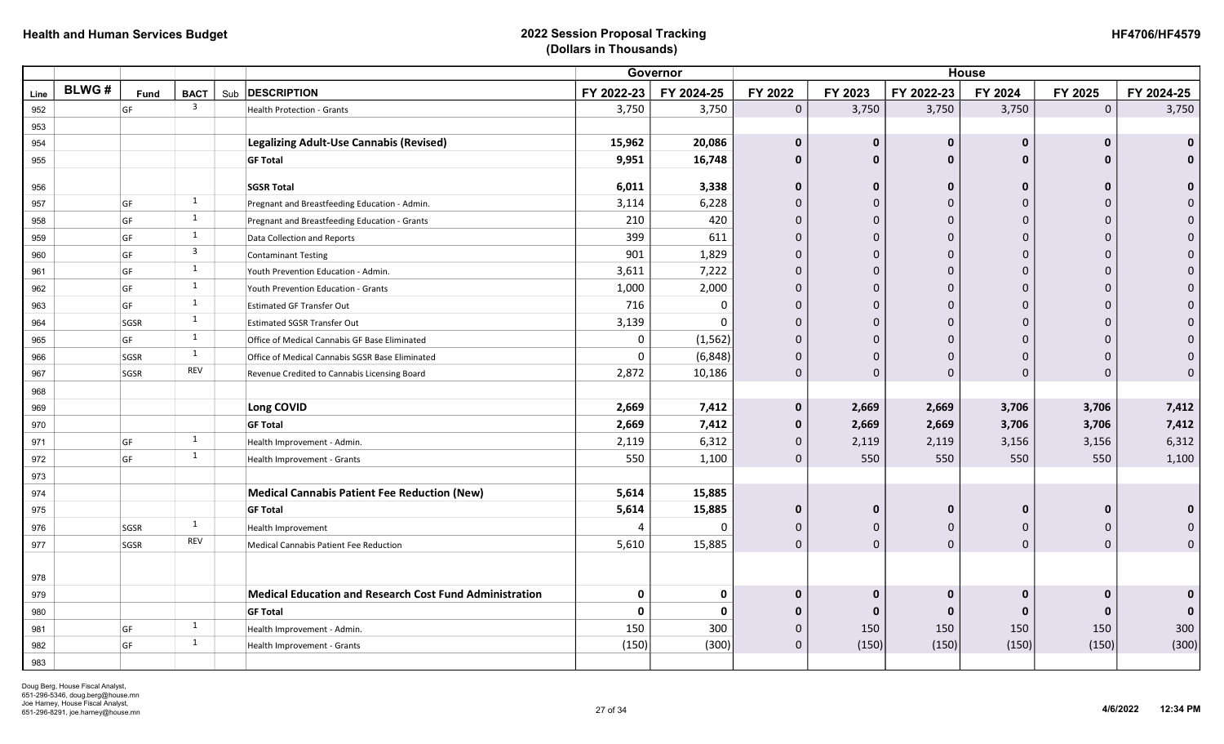|      |              |      |                         |                                                                |              | Governor   |                |              |              | <b>House</b> |                     |              |
|------|--------------|------|-------------------------|----------------------------------------------------------------|--------------|------------|----------------|--------------|--------------|--------------|---------------------|--------------|
| Line | <b>BLWG#</b> | Fund | <b>BACT</b>             | Sub <b>DESCRIPTION</b>                                         | FY 2022-23   | FY 2024-25 | FY 2022        | FY 2023      | FY 2022-23   | FY 2024      | FY 2025             | FY 2024-25   |
| 952  |              | GF   | $\overline{\mathbf{3}}$ | Health Protection - Grants                                     | 3,750        | 3,750      | $\overline{0}$ | 3,750        | 3,750        | 3,750        | $\mathsf{O}\xspace$ | 3,750        |
| 953  |              |      |                         |                                                                |              |            |                |              |              |              |                     |              |
| 954  |              |      |                         | Legalizing Adult-Use Cannabis (Revised)                        | 15,962       | 20,086     | $\mathbf{0}$   | $\bf{0}$     | $\mathbf 0$  | $\Omega$     | $\mathbf 0$         | $\mathbf{0}$ |
| 955  |              |      |                         | <b>GF Total</b>                                                | 9,951        | 16,748     | $\mathbf 0$    | $\mathbf{0}$ | $\mathbf{0}$ | $\Omega$     | $\mathbf{0}$        | $\mathbf{0}$ |
| 956  |              |      |                         | <b>SGSR Total</b>                                              | 6,011        | 3,338      | $\mathbf{0}$   | $\mathbf{0}$ | $\mathbf{0}$ | $\Omega$     | $\bf{0}$            | $\Omega$     |
| 957  |              | GF   | 1                       | Pregnant and Breastfeeding Education - Admin.                  | 3,114        | 6,228      | $\mathbf{0}$   | 0            | $\mathbf{0}$ |              | $\Omega$            |              |
| 958  |              | GF   | 1                       | Pregnant and Breastfeeding Education - Grants                  | 210          | 420        | $\mathbf 0$    | $\mathbf 0$  | $\Omega$     |              | $\mathbf 0$         | $\Omega$     |
| 959  |              | GF   | 1                       | Data Collection and Reports                                    | 399          | 611        | $\mathbf 0$    | $\mathbf 0$  | $\Omega$     |              | $\mathbf 0$         | $\Omega$     |
| 960  |              | GF   | $\overline{3}$          | <b>Contaminant Testing</b>                                     | 901          | 1,829      | $\pmb{0}$      | $\mathbf 0$  | $\mathbf{0}$ |              | $\mathbf 0$         | $\Omega$     |
| 961  |              | GF   | 1                       | Youth Prevention Education - Admin.                            | 3,611        | 7,222      | $\mathbf 0$    | $\pmb{0}$    | $\theta$     | $\Omega$     | $\Omega$            | $\Omega$     |
| 962  |              | GF   | 1                       | Youth Prevention Education - Grants                            | 1,000        | 2,000      | $\mathbf 0$    | $\mathbf 0$  | $\theta$     |              | $\Omega$            | $\Omega$     |
| 963  |              | GF   | 1                       | <b>Estimated GF Transfer Out</b>                               | 716          | $\Omega$   | $\mathbf 0$    | $\pmb{0}$    | $\theta$     |              | $\Omega$            |              |
| 964  |              | SGSR | 1                       | <b>Estimated SGSR Transfer Out</b>                             | 3,139        | $\Omega$   | $\pmb{0}$      | $\mathbf 0$  | $\mathbf{0}$ |              | $\Omega$            | $\Omega$     |
| 965  |              | GF   | 1                       | Office of Medical Cannabis GF Base Eliminated                  | 0            | (1, 562)   | $\mathbf 0$    | $\mathbf 0$  | $\theta$     |              | $\mathbf 0$         |              |
| 966  |              | SGSR | 1                       | Office of Medical Cannabis SGSR Base Eliminated                | 0            | (6, 848)   | $\mathbf 0$    | $\mathbf 0$  | $\Omega$     |              | $\Omega$            |              |
| 967  |              | SGSR | REV                     | Revenue Credited to Cannabis Licensing Board                   | 2,872        | 10,186     | $\mathbf 0$    | $\Omega$     | $\Omega$     | $\Omega$     | $\Omega$            | $\Omega$     |
| 968  |              |      |                         |                                                                |              |            |                |              |              |              |                     |              |
| 969  |              |      |                         | Long COVID                                                     | 2,669        | 7,412      | $\mathbf{0}$   | 2,669        | 2,669        | 3,706        | 3,706               | 7,412        |
| 970  |              |      |                         | <b>GF Total</b>                                                | 2,669        | 7,412      | $\mathbf{0}$   | 2,669        | 2,669        | 3,706        | 3,706               | 7,412        |
| 971  |              | GF   | 1                       | Health Improvement - Admin.                                    | 2,119        | 6,312      | $\mathbf{0}$   | 2,119        | 2,119        | 3,156        | 3,156               | 6,312        |
| 972  |              | GF   | 1                       | Health Improvement - Grants                                    | 550          | 1,100      | $\mathbf 0$    | 550          | 550          | 550          | 550                 | 1,100        |
| 973  |              |      |                         |                                                                |              |            |                |              |              |              |                     |              |
| 974  |              |      |                         | <b>Medical Cannabis Patient Fee Reduction (New)</b>            | 5,614        | 15,885     |                |              |              |              |                     |              |
| 975  |              |      |                         | <b>GF Total</b>                                                | 5,614        | 15,885     | $\mathbf 0$    | 0            | $\mathbf 0$  | 0            | $\mathbf 0$         | $\bf{0}$     |
| 976  |              | SGSR | 1                       | Health Improvement                                             | 4            | $\Omega$   | $\mathbf{0}$   | 0            | $\Omega$     | $\Omega$     | $\Omega$            |              |
| 977  |              | SGSR | REV                     | Medical Cannabis Patient Fee Reduction                         | 5,610        | 15,885     | $\mathbf 0$    | $\mathbf 0$  | $\mathbf 0$  | $\mathbf 0$  | $\mathbf 0$         | $\Omega$     |
|      |              |      |                         |                                                                |              |            |                |              |              |              |                     |              |
| 978  |              |      |                         |                                                                |              |            |                |              |              |              |                     |              |
| 979  |              |      |                         | <b>Medical Education and Research Cost Fund Administration</b> | $\mathbf 0$  | 0          | $\mathbf 0$    | $\bf{0}$     | $\mathbf 0$  |              | $\mathbf 0$         | $\Omega$     |
| 980  |              |      |                         | <b>GF Total</b>                                                | $\mathbf{0}$ | O          | $\mathbf{0}$   | $\bf{0}$     | $\mathbf{0}$ | $\bf{0}$     | $\bf{0}$            |              |
| 981  |              | GF   | 1                       | Health Improvement - Admin.                                    | 150          | 300        | $\mathbf 0$    | 150          | 150          | 150          | 150                 | 300          |
| 982  |              | GF   | 1                       | Health Improvement - Grants                                    | (150)        | (300)      | $\Omega$       | (150)        | (150)        | (150)        | (150)               | (300)        |
| 983  |              |      |                         |                                                                |              |            |                |              |              |              |                     |              |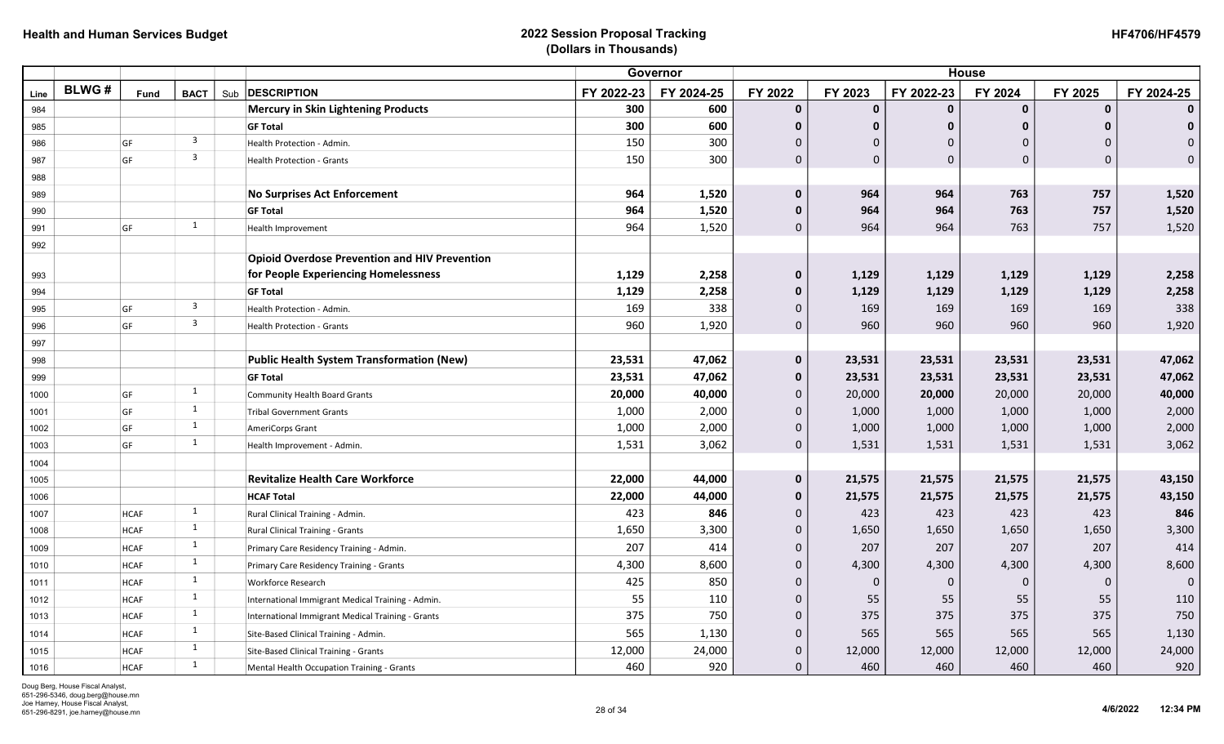|      |              |             |                         |                                                      | Governor   |            | <b>House</b> |              |              |              |              |              |
|------|--------------|-------------|-------------------------|------------------------------------------------------|------------|------------|--------------|--------------|--------------|--------------|--------------|--------------|
| Line | <b>BLWG#</b> | <b>Fund</b> | <b>BACT</b>             | Sub <b>DESCRIPTION</b>                               | FY 2022-23 | FY 2024-25 | FY 2022      | FY 2023      | FY 2022-23   | FY 2024      | FY 2025      | FY 2024-25   |
| 984  |              |             |                         | <b>Mercury in Skin Lightening Products</b>           | 300        | 600        | $\mathbf 0$  | $\mathbf 0$  | $\mathbf{0}$ | $\mathbf 0$  | $\mathbf{0}$ | $\mathbf{0}$ |
| 985  |              |             |                         | <b>GF Total</b>                                      | 300        | 600        | $\mathbf 0$  | $\mathbf 0$  | $\mathbf{0}$ | $\mathbf{0}$ | $\mathbf{0}$ | $\mathbf 0$  |
| 986  |              | GF          | $\overline{\mathbf{3}}$ | Health Protection - Admin.                           | 150        | 300        | $\mathbf{0}$ | $\mathbf{0}$ | $\Omega$     | $\Omega$     | $\Omega$     | $\mathbf{0}$ |
| 987  |              | GF          | $\overline{\mathbf{3}}$ | Health Protection - Grants                           | 150        | 300        | $\mathbf 0$  | $\Omega$     | $\Omega$     | $\mathbf 0$  | $\Omega$     | $\mathbf 0$  |
| 988  |              |             |                         |                                                      |            |            |              |              |              |              |              |              |
| 989  |              |             |                         | <b>No Surprises Act Enforcement</b>                  | 964        | 1,520      | $\pmb{0}$    | 964          | 964          | 763          | 757          | 1,520        |
| 990  |              |             |                         | <b>GF Total</b>                                      | 964        | 1,520      | $\pmb{0}$    | 964          | 964          | 763          | 757          | 1,520        |
| 991  |              | GF          | 1                       | Health Improvement                                   | 964        | 1,520      | $\mathbf{0}$ | 964          | 964          | 763          | 757          | 1,520        |
| 992  |              |             |                         |                                                      |            |            |              |              |              |              |              |              |
|      |              |             |                         | <b>Opioid Overdose Prevention and HIV Prevention</b> |            |            |              |              |              |              |              |              |
| 993  |              |             |                         | for People Experiencing Homelessness                 | 1,129      | 2,258      | $\mathbf 0$  | 1,129        | 1,129        | 1,129        | 1,129        | 2,258        |
| 994  |              |             |                         | <b>GF Total</b>                                      | 1,129      | 2,258      | $\mathbf 0$  | 1,129        | 1,129        | 1,129        | 1,129        | 2,258        |
| 995  |              | GF          | $\overline{\mathbf{3}}$ | Health Protection - Admin.                           | 169        | 338        | $\mathbf 0$  | 169          | 169          | 169          | 169          | 338          |
| 996  |              | GF          | $\overline{3}$          | <b>Health Protection - Grants</b>                    | 960        | 1,920      | $\mathbf{0}$ | 960          | 960          | 960          | 960          | 1,920        |
| 997  |              |             |                         |                                                      |            |            |              |              |              |              |              |              |
| 998  |              |             |                         | <b>Public Health System Transformation (New)</b>     | 23,531     | 47,062     | $\mathbf 0$  | 23,531       | 23,531       | 23,531       | 23,531       | 47,062       |
| 999  |              |             |                         | <b>GF Total</b>                                      | 23,531     | 47,062     | $\mathbf 0$  | 23,531       | 23,531       | 23,531       | 23,531       | 47,062       |
| 1000 |              | GF          | $\mathbf{1}$            | <b>Community Health Board Grants</b>                 | 20,000     | 40,000     | $\mathbf 0$  | 20,000       | 20,000       | 20,000       | 20,000       | 40,000       |
| 1001 |              | GF          | $\mathbf{1}$            | <b>Tribal Government Grants</b>                      | 1,000      | 2,000      | $\mathbf 0$  | 1,000        | 1,000        | 1,000        | 1,000        | 2,000        |
| 1002 |              | GF          | $\mathbf{1}$            | AmeriCorps Grant                                     | 1,000      | 2,000      | $\mathbf 0$  | 1,000        | 1,000        | 1,000        | 1,000        | 2,000        |
| 1003 |              | GF          | 1                       | Health Improvement - Admin.                          | 1,531      | 3,062      | $\mathbf 0$  | 1,531        | 1,531        | 1,531        | 1,531        | 3,062        |
| 1004 |              |             |                         |                                                      |            |            |              |              |              |              |              |              |
| 1005 |              |             |                         | <b>Revitalize Health Care Workforce</b>              | 22,000     | 44,000     | $\mathbf 0$  | 21,575       | 21,575       | 21,575       | 21,575       | 43,150       |
| 1006 |              |             |                         | <b>HCAF Total</b>                                    | 22,000     | 44,000     | $\mathbf 0$  | 21,575       | 21,575       | 21,575       | 21,575       | 43,150       |
| 1007 |              | <b>HCAF</b> | $\mathbf{1}$            | Rural Clinical Training - Admin.                     | 423        | 846        | $\mathbf 0$  | 423          | 423          | 423          | 423          | 846          |
| 1008 |              | <b>HCAF</b> | $\mathbf{1}$            | Rural Clinical Training - Grants                     | 1,650      | 3,300      | $\mathbf 0$  | 1,650        | 1,650        | 1,650        | 1,650        | 3,300        |
| 1009 |              | <b>HCAF</b> | $\mathbf{1}$            | Primary Care Residency Training - Admin.             | 207        | 414        | $\mathbf 0$  | 207          | 207          | 207          | 207          | 414          |
| 1010 |              | <b>HCAF</b> | 1                       | Primary Care Residency Training - Grants             | 4,300      | 8,600      | $\Omega$     | 4,300        | 4,300        | 4,300        | 4,300        | 8,600        |
| 1011 |              | <b>HCAF</b> | $\mathbf{1}$            | <b>Workforce Research</b>                            | 425        | 850        | $\Omega$     | $\Omega$     | $\Omega$     | $\mathbf{0}$ | $\Omega$     | $\mathbf 0$  |
| 1012 |              | <b>HCAF</b> | $\mathbf{1}$            | International Immigrant Medical Training - Admin.    | 55         | 110        | $\mathbf{0}$ | 55           | 55           | 55           | 55           | 110          |
| 1013 |              | <b>HCAF</b> | $\mathbf{1}$            | International Immigrant Medical Training - Grants    | 375        | 750        | $\mathbf{0}$ | 375          | 375          | 375          | 375          | 750          |
| 1014 |              | <b>HCAF</b> | $\mathbf{1}$            | Site-Based Clinical Training - Admin.                | 565        | 1,130      | $\mathbf 0$  | 565          | 565          | 565          | 565          | 1,130        |
| 1015 |              | <b>HCAF</b> | 1                       | Site-Based Clinical Training - Grants                | 12,000     | 24,000     | $\mathbf{0}$ | 12,000       | 12,000       | 12,000       | 12,000       | 24,000       |
| 1016 |              | <b>HCAF</b> | $\mathbf{1}$            | Mental Health Occupation Training - Grants           | 460        | 920        | $\mathbf{0}$ | 460          | 460          | 460          | 460          | 920          |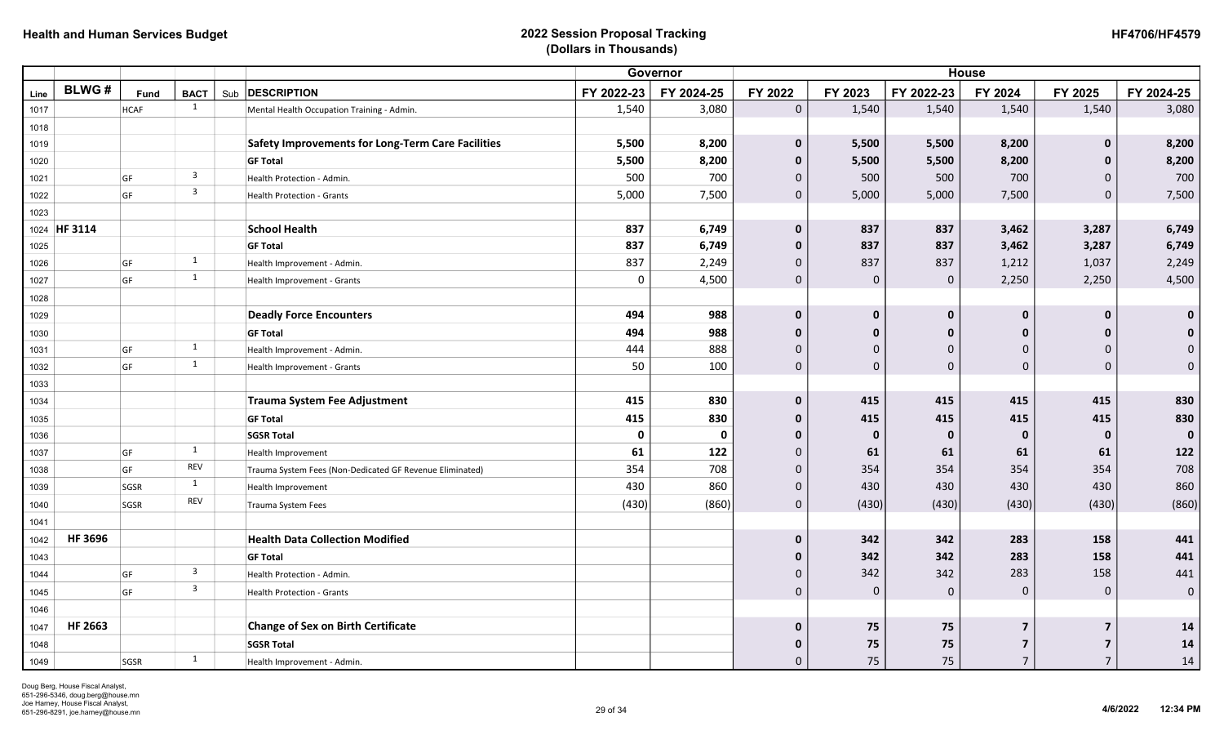| <b>HF4706/HF4579</b> |
|----------------------|
|----------------------|

|      |                |             |                         |                                                          |            | Governor    |              |              |             | <b>House</b>   |                         |              |
|------|----------------|-------------|-------------------------|----------------------------------------------------------|------------|-------------|--------------|--------------|-------------|----------------|-------------------------|--------------|
| Line | <b>BLWG#</b>   | Fund        | <b>BACT</b>             | Sub <b>DESCRIPTION</b>                                   | FY 2022-23 | FY 2024-25  | FY 2022      | FY 2023      | FY 2022-23  | FY 2024        | FY 2025                 | FY 2024-25   |
| 1017 |                | <b>HCAF</b> | 1                       | Mental Health Occupation Training - Admin.               | 1,540      | 3,080       | $\mathbf 0$  | 1,540        | 1,540       | 1,540          | 1,540                   | 3,080        |
| 1018 |                |             |                         |                                                          |            |             |              |              |             |                |                         |              |
| 1019 |                |             |                         | <b>Safety Improvements for Long-Term Care Facilities</b> | 5,500      | 8,200       | $\mathbf{0}$ | 5,500        | 5,500       | 8,200          | $\bf{0}$                | 8,200        |
| 1020 |                |             |                         | <b>GF Total</b>                                          | 5,500      | 8,200       | $\mathbf{0}$ | 5,500        | 5,500       | 8,200          | $\bf{0}$                | 8,200        |
| 1021 |                | GF          | $\overline{\mathbf{3}}$ | Health Protection - Admin.                               | 500        | 700         | $\mathbf{0}$ | 500          | 500         | 700            | $\mathbf 0$             | 700          |
| 1022 |                | GF          | $\overline{\mathbf{3}}$ | <b>Health Protection - Grants</b>                        | 5,000      | 7,500       | $\mathbf 0$  | 5,000        | 5,000       | 7,500          | $\mathbf 0$             | 7,500        |
| 1023 |                |             |                         |                                                          |            |             |              |              |             |                |                         |              |
|      | 1024 HF 3114   |             |                         | <b>School Health</b>                                     | 837        | 6,749       | $\mathbf{0}$ | 837          | 837         | 3,462          | 3,287                   | 6,749        |
| 1025 |                |             |                         | <b>GF Total</b>                                          | 837        | 6,749       | $\mathbf{0}$ | 837          | 837         | 3,462          | 3,287                   | 6,749        |
| 1026 |                | GF          | $\mathbf{1}$            | Health Improvement - Admin.                              | 837        | 2,249       | $\mathbf 0$  | 837          | 837         | 1,212          | 1,037                   | 2,249        |
| 1027 |                | GF          | $\mathbf{1}$            | Health Improvement - Grants                              | 0          | 4,500       | $\mathbf 0$  | $\mathbf 0$  | $\mathbf 0$ | 2,250          | 2,250                   | 4,500        |
| 1028 |                |             |                         |                                                          |            |             |              |              |             |                |                         |              |
| 1029 |                |             |                         | <b>Deadly Force Encounters</b>                           | 494        | 988         | $\mathbf{0}$ | $\mathbf{0}$ | $\mathbf 0$ | $\bf{0}$       | $\mathbf 0$             | $\mathbf{0}$ |
| 1030 |                |             |                         | <b>GF Total</b>                                          | 494        | 988         | $\mathbf{0}$ | $\mathbf{0}$ | 0           | $\Omega$       | $\bf{0}$                | $\mathbf{0}$ |
| 1031 |                | GF          | 1                       | Health Improvement - Admin.                              | 444        | 888         | $\mathbf{0}$ | $\mathbf 0$  | $\Omega$    | $\Omega$       | $\mathbf 0$             | $\mathbf{0}$ |
| 1032 |                | GF          | 1                       | Health Improvement - Grants                              | 50         | 100         | $\mathbf 0$  | $\mathbf 0$  | $\mathbf 0$ | $\mathbf 0$    | $\pmb{0}$               | $\mathbf{0}$ |
| 1033 |                |             |                         |                                                          |            |             |              |              |             |                |                         |              |
| 1034 |                |             |                         | <b>Trauma System Fee Adjustment</b>                      | 415        | 830         | $\mathbf{0}$ | 415          | 415         | 415            | 415                     | 830          |
| 1035 |                |             |                         | <b>GF Total</b>                                          | 415        | 830         | $\mathbf{0}$ | 415          | 415         | 415            | 415                     | 830          |
| 1036 |                |             |                         | <b>SGSR Total</b>                                        | 0          | $\mathbf 0$ | $\mathbf{0}$ | $\mathbf 0$  | 0           | $\mathbf 0$    | $\mathbf 0$             | $\mathbf 0$  |
| 1037 |                | GF          | 1                       | Health Improvement                                       | 61         | 122         | $\mathbf 0$  | 61           | 61          | 61             | 61                      | 122          |
| 1038 |                | GF          | REV                     | Trauma System Fees (Non-Dedicated GF Revenue Eliminated) | 354        | 708         | $\mathbf 0$  | 354          | 354         | 354            | 354                     | 708          |
| 1039 |                | SGSR        | 1                       | Health Improvement                                       | 430        | 860         | $\mathbf{0}$ | 430          | 430         | 430            | 430                     | 860          |
| 1040 |                | SGSR        | REV                     | <b>Trauma System Fees</b>                                | (430)      | (860)       | $\mathbf{0}$ | (430)        | (430)       | (430)          | (430)                   | (860)        |
| 1041 |                |             |                         |                                                          |            |             |              |              |             |                |                         |              |
| 1042 | <b>HF 3696</b> |             |                         | <b>Health Data Collection Modified</b>                   |            |             | $\bf{0}$     | 342          | 342         | 283            | 158                     | 441          |
| 1043 |                |             |                         | <b>GF Total</b>                                          |            |             | $\Omega$     | 342          | 342         | 283            | 158                     | 441          |
| 1044 |                | GF          | $\overline{3}$          | Health Protection - Admin.                               |            |             | $\Omega$     | 342          | 342         | 283            | 158                     | 441          |
| 1045 |                | GF          | $\overline{\mathbf{3}}$ | Health Protection - Grants                               |            |             | $\mathbf{0}$ | $\mathbf 0$  | $\mathbf 0$ | $\mathbf 0$    | $\mathbf 0$             | $\mathbf{0}$ |
| 1046 |                |             |                         |                                                          |            |             |              |              |             |                |                         |              |
| 1047 | <b>HF 2663</b> |             |                         | <b>Change of Sex on Birth Certificate</b>                |            |             | $\mathbf{0}$ | 75           | 75          | 7              | $\overline{\mathbf{z}}$ | 14           |
| 1048 |                |             |                         | <b>SGSR Total</b>                                        |            |             | 0            | 75           | 75          | 7              | $\overline{7}$          | 14           |
| 1049 |                | SGSR        | 1                       | Health Improvement - Admin.                              |            |             | $\mathbf{0}$ | 75           | 75          | $\overline{7}$ | $\overline{7}$          | 14           |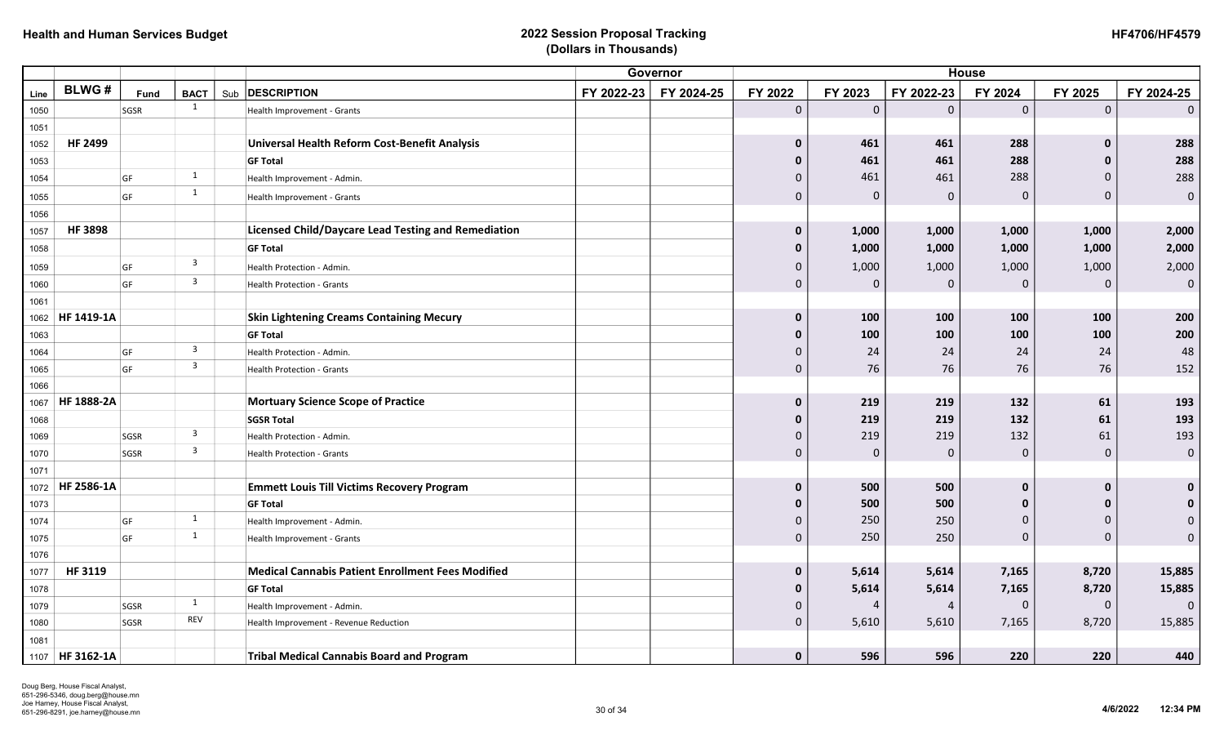|      |                   |      |                         |                                                            |            | Governor   |              |             |             | <b>House</b> |             |              |
|------|-------------------|------|-------------------------|------------------------------------------------------------|------------|------------|--------------|-------------|-------------|--------------|-------------|--------------|
| Line | <b>BLWG#</b>      | Fund | <b>BACT</b>             | Sub <b>DESCRIPTION</b>                                     | FY 2022-23 | FY 2024-25 | FY 2022      | FY 2023     | FY 2022-23  | FY 2024      | FY 2025     | FY 2024-25   |
| 1050 |                   | SGSR | 1                       | Health Improvement - Grants                                |            |            | $\mathbf 0$  | $\mathbf 0$ | $\mathbf 0$ | $\mathbf 0$  | $\mathbf 0$ | $\Omega$     |
| 1051 |                   |      |                         |                                                            |            |            |              |             |             |              |             |              |
| 1052 | <b>HF 2499</b>    |      |                         | Universal Health Reform Cost-Benefit Analysis              |            |            | $\mathbf 0$  | 461         | 461         | 288          | 0           | 288          |
| 1053 |                   |      |                         | <b>GF Total</b>                                            |            |            | $\mathbf 0$  | 461         | 461         | 288          | $\bf{0}$    | 288          |
| 1054 |                   | GF   | 1                       | Health Improvement - Admin.                                |            |            | $\Omega$     | 461         | 461         | 288          | $\Omega$    | 288          |
| 1055 |                   | GF   | $\mathbf{1}$            | Health Improvement - Grants                                |            |            | $\mathbf{0}$ | $\Omega$    | $\mathbf 0$ | $\mathbf 0$  | 0           | $\mathbf 0$  |
| 1056 |                   |      |                         |                                                            |            |            |              |             |             |              |             |              |
| 1057 | <b>HF 3898</b>    |      |                         | <b>Licensed Child/Daycare Lead Testing and Remediation</b> |            |            | $\mathbf 0$  | 1,000       | 1,000       | 1,000        | 1,000       | 2,000        |
| 1058 |                   |      |                         | <b>GF Total</b>                                            |            |            | $\mathbf 0$  | 1,000       | 1,000       | 1,000        | 1,000       | 2,000        |
| 1059 |                   | GF   | $\overline{3}$          | Health Protection - Admin.                                 |            |            | 0            | 1,000       | 1,000       | 1,000        | 1,000       | 2,000        |
| 1060 |                   | GF   | $\overline{\mathbf{3}}$ | Health Protection - Grants                                 |            |            | $\mathbf 0$  | $\Omega$    | $\mathbf 0$ | $\mathbf 0$  | $\Omega$    | $\mathbf{0}$ |
| 1061 |                   |      |                         |                                                            |            |            |              |             |             |              |             |              |
| 1062 | HF 1419-1A        |      |                         | <b>Skin Lightening Creams Containing Mecury</b>            |            |            | $\mathbf{0}$ | 100         | 100         | 100          | 100         | 200          |
| 1063 |                   |      |                         | <b>GF Total</b>                                            |            |            | 0            | 100         | 100         | 100          | 100         | 200          |
| 1064 |                   | GF   | $\overline{3}$          | Health Protection - Admin.                                 |            |            | 0            | 24          | 24          | 24           | 24          | 48           |
| 1065 |                   | GF   | $\overline{3}$          | Health Protection - Grants                                 |            |            | $\mathbf 0$  | 76          | 76          | 76           | 76          | 152          |
| 1066 |                   |      |                         |                                                            |            |            |              |             |             |              |             |              |
| 1067 | HF 1888-2A        |      |                         | <b>Mortuary Science Scope of Practice</b>                  |            |            | $\mathbf 0$  | 219         | 219         | 132          | 61          | 193          |
| 1068 |                   |      |                         | <b>SGSR Total</b>                                          |            |            | 0            | 219         | 219         | 132          | 61          | 193          |
| 1069 |                   | SGSR | $\overline{3}$          | Health Protection - Admin.                                 |            |            | $\Omega$     | 219         | 219         | 132          | 61          | 193          |
| 1070 |                   | SGSR | $\overline{\mathbf{3}}$ | <b>Health Protection - Grants</b>                          |            |            | $\Omega$     | $\Omega$    | 0           | $\Omega$     | $\mathbf 0$ | $\mathbf 0$  |
| 1071 |                   |      |                         |                                                            |            |            |              |             |             |              |             |              |
| 1072 | HF 2586-1A        |      |                         | <b>Emmett Louis Till Victims Recovery Program</b>          |            |            | $\mathbf 0$  | 500         | 500         | O            | $\bf{0}$    | $\mathbf 0$  |
| 1073 |                   |      |                         | <b>GF Total</b>                                            |            |            | $\bf{0}$     | 500         | 500         | $\Omega$     |             | $\mathbf 0$  |
| 1074 |                   | GF   | 1                       | Health Improvement - Admin.                                |            |            | 0            | 250         | 250         | $\Omega$     | $\Omega$    | $\mathbf 0$  |
| 1075 |                   | GF   | 1                       | Health Improvement - Grants                                |            |            | 0            | 250         | 250         | $\Omega$     | $\Omega$    | $\mathbf{0}$ |
| 1076 |                   |      |                         |                                                            |            |            |              |             |             |              |             |              |
| 1077 | HF 3119           |      |                         | <b>Medical Cannabis Patient Enrollment Fees Modified</b>   |            |            | $\bf{0}$     | 5,614       | 5,614       | 7,165        | 8,720       | 15,885       |
| 1078 |                   |      |                         | <b>GF Total</b>                                            |            |            | $\mathbf 0$  | 5,614       | 5,614       | 7,165        | 8,720       | 15,885       |
| 1079 |                   | SGSR | 1                       | Health Improvement - Admin.                                |            |            | $\Omega$     |             | 4           | $\Omega$     | 0           | - 0          |
| 1080 |                   | SGSR | REV                     | Health Improvement - Revenue Reduction                     |            |            | $\mathbf{0}$ | 5,610       | 5,610       | 7,165        | 8,720       | 15,885       |
| 1081 |                   |      |                         |                                                            |            |            |              |             |             |              |             |              |
|      | 1107   HF 3162-1A |      |                         | <b>Tribal Medical Cannabis Board and Program</b>           |            |            | $\mathbf 0$  | 596         | 596         | 220          | 220         | 440          |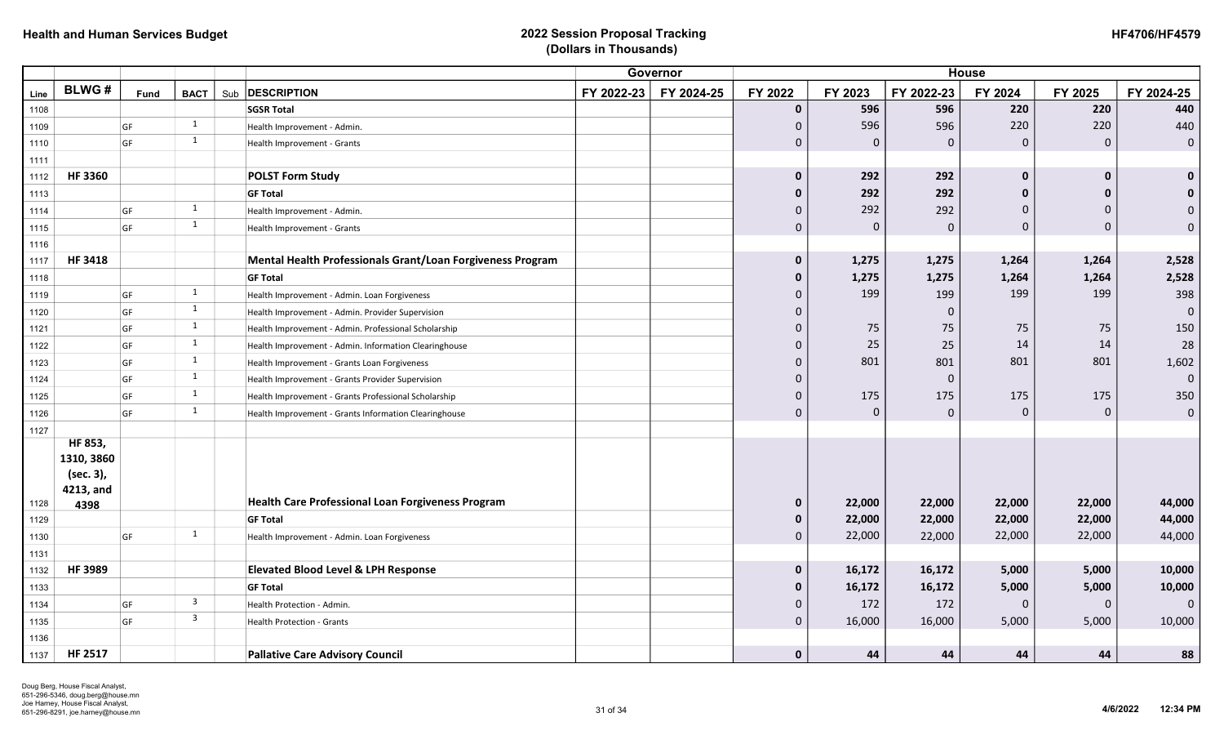|      |                   |                        |                         | <b>House</b><br>Governor                                   |            |            |                |          |             |              |                     |                |
|------|-------------------|------------------------|-------------------------|------------------------------------------------------------|------------|------------|----------------|----------|-------------|--------------|---------------------|----------------|
| Line | <b>BLWG#</b>      | <b>Fund</b>            | <b>BACT</b>             | Sub <b>DESCRIPTION</b>                                     | FY 2022-23 | FY 2024-25 | FY 2022        | FY 2023  | FY 2022-23  | FY 2024      | FY 2025             | FY 2024-25     |
| 1108 |                   |                        |                         | <b>SGSR Total</b>                                          |            |            | $\mathbf 0$    | 596      | 596         | 220          | 220                 | 440            |
| 1109 |                   | GF                     | 1                       | Health Improvement - Admin.                                |            |            | 0              | 596      | 596         | 220          | 220                 | 440            |
| 1110 |                   | GF                     | 1                       | Health Improvement - Grants                                |            |            | 0              | 0        | $\mathbf 0$ | $\mathbf{0}$ | $\mathbf 0$         | $\mathbf{0}$   |
| 1111 |                   |                        |                         |                                                            |            |            |                |          |             |              |                     |                |
| 1112 | <b>HF3360</b>     |                        |                         | <b>POLST Form Study</b>                                    |            |            | $\mathbf 0$    | 292      | 292         | n            | 0                   | $\mathbf 0$    |
| 1113 |                   |                        |                         | <b>GF Total</b>                                            |            |            | 0              | 292      | 292         | n            | 0                   | $\mathbf{0}$   |
| 1114 |                   | GF                     | 1                       | Health Improvement - Admin.                                |            |            | 0              | 292      | 292         | <sup>0</sup> | 0                   | $\Omega$       |
| 1115 |                   | GF                     | 1                       | Health Improvement - Grants                                |            |            | 0              | $\Omega$ | $\mathbf 0$ | $\mathbf 0$  | 0                   | $\mathbf 0$    |
| 1116 |                   |                        |                         |                                                            |            |            |                |          |             |              |                     |                |
| 1117 | <b>HF 3418</b>    |                        |                         | Mental Health Professionals Grant/Loan Forgiveness Program |            |            | $\mathbf 0$    | 1,275    | 1,275       | 1,264        | 1,264               | 2,528          |
| 1118 |                   |                        |                         | <b>GF Total</b>                                            |            |            | 0              | 1,275    | 1,275       | 1,264        | 1,264               | 2,528          |
| 1119 |                   | $\mathsf{G}\mathsf{F}$ | $\mathbf{1}$            | Health Improvement - Admin. Loan Forgiveness               |            |            | $\Omega$       | 199      | 199         | 199          | 199                 | 398            |
| 1120 |                   | GF                     | 1                       | Health Improvement - Admin. Provider Supervision           |            |            | 0              |          | $\mathbf 0$ |              |                     | $\overline{0}$ |
| 1121 |                   | GF                     | 1                       | Health Improvement - Admin. Professional Scholarship       |            |            | $\Omega$       | 75       | 75          | 75           | 75                  | 150            |
| 1122 |                   | GF                     | 1                       | Health Improvement - Admin. Information Clearinghouse      |            |            | $\Omega$       | 25       | 25          | 14           | 14                  | 28             |
| 1123 |                   | GF                     | 1                       | Health Improvement - Grants Loan Forgiveness               |            |            | 0              | 801      | 801         | 801          | 801                 | 1,602          |
| 1124 |                   | GF                     | 1                       | Health Improvement - Grants Provider Supervision           |            |            | $\Omega$       |          | $\mathbf 0$ |              |                     | $\overline{0}$ |
| 1125 |                   | GF                     | 1                       | Health Improvement - Grants Professional Scholarship       |            |            | $\Omega$       | 175      | 175         | 175          | 175                 | 350            |
| 1126 |                   | GF                     | 1                       | Health Improvement - Grants Information Clearinghouse      |            |            | 0              | $\Omega$ | $\mathbf 0$ | $\mathbf 0$  | $\mathsf{O}\xspace$ | $\mathbf 0$    |
| 1127 |                   |                        |                         |                                                            |            |            |                |          |             |              |                     |                |
|      | HF 853,           |                        |                         |                                                            |            |            |                |          |             |              |                     |                |
|      | 1310, 3860        |                        |                         |                                                            |            |            |                |          |             |              |                     |                |
|      | (sec. 3),         |                        |                         |                                                            |            |            |                |          |             |              |                     |                |
| 1128 | 4213, and<br>4398 |                        |                         | <b>Health Care Professional Loan Forgiveness Program</b>   |            |            | $\mathbf 0$    | 22,000   | 22,000      | 22,000       | 22,000              | 44,000         |
| 1129 |                   |                        |                         | <b>GF Total</b>                                            |            |            | $\mathbf 0$    | 22,000   | 22,000      | 22,000       | 22,000              | 44,000         |
| 1130 |                   | GF                     | 1                       | Health Improvement - Admin. Loan Forgiveness               |            |            | 0              | 22,000   | 22,000      | 22,000       | 22,000              | 44,000         |
| 1131 |                   |                        |                         |                                                            |            |            |                |          |             |              |                     |                |
| 1132 | HF 3989           |                        |                         | <b>Elevated Blood Level &amp; LPH Response</b>             |            |            | $\mathbf 0$    | 16,172   | 16,172      | 5,000        | 5,000               | 10,000         |
| 1133 |                   |                        |                         | <b>GF Total</b>                                            |            |            | $\mathbf{0}$   | 16,172   | 16,172      | 5,000        | 5,000               | 10,000         |
| 1134 |                   | GF                     | $\overline{\mathbf{3}}$ | Health Protection - Admin.                                 |            |            | $\Omega$       | 172      | 172         | $\Omega$     | 0                   |                |
| 1135 |                   | GF                     | $\overline{\mathbf{3}}$ | Health Protection - Grants                                 |            |            | $\overline{0}$ | 16,000   | 16,000      | 5,000        | 5,000               | 10,000         |
| 1136 |                   |                        |                         |                                                            |            |            |                |          |             |              |                     |                |
| 1137 | <b>HF 2517</b>    |                        |                         | <b>Pallative Care Advisory Council</b>                     |            |            | $\mathbf 0$    | 44       | 44          | 44           | 44                  | 88             |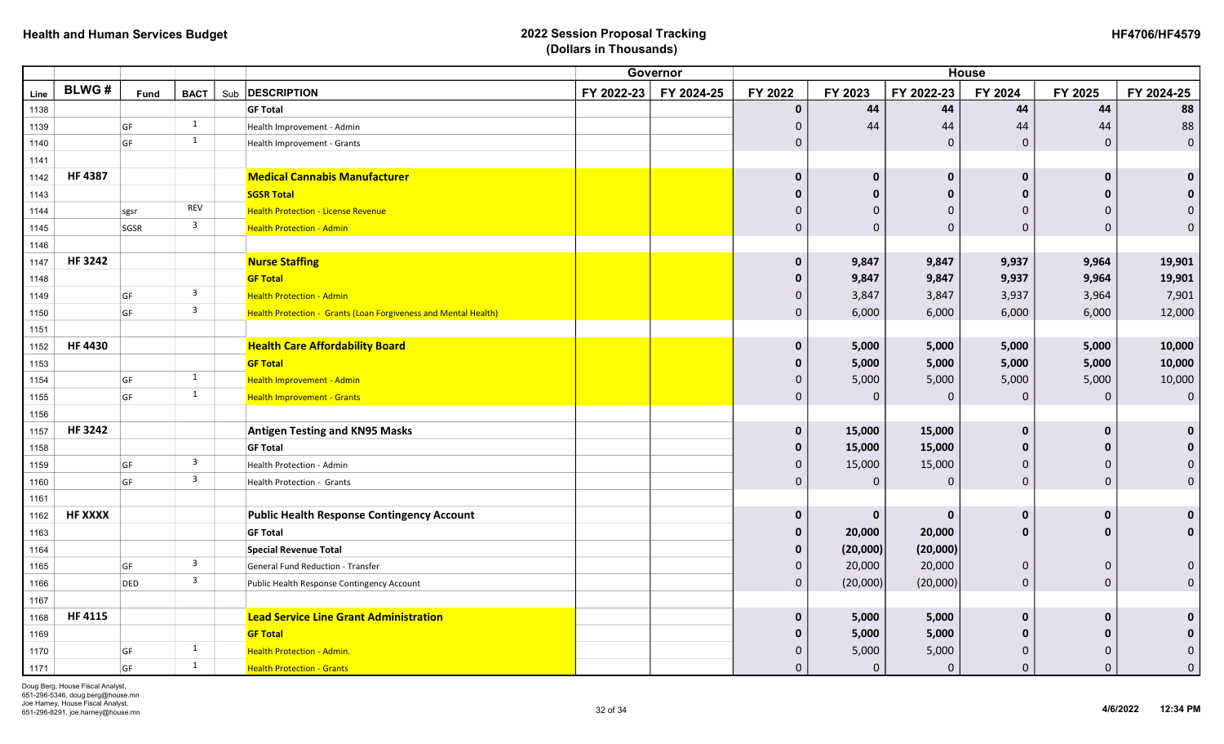|      |                |             |                         | Governor                                                        |            |            | <b>House</b> |              |              |              |              |                     |  |
|------|----------------|-------------|-------------------------|-----------------------------------------------------------------|------------|------------|--------------|--------------|--------------|--------------|--------------|---------------------|--|
| Line | <b>BLWG#</b>   | <b>Fund</b> | <b>BACT</b>             | Sub <b>DESCRIPTION</b>                                          | FY 2022-23 | FY 2024-25 | FY 2022      | FY 2023      | FY 2022-23   | FY 2024      | FY 2025      | FY 2024-25          |  |
| 1138 |                |             |                         | <b>GF Total</b>                                                 |            |            | $\mathbf{0}$ | 44           | 44           | 44           | 44           | 88                  |  |
| 1139 |                | GF          | 1                       | Health Improvement - Admin                                      |            |            | $\mathbf{0}$ | 44           | 44           | 44           | 44           | 88                  |  |
| 1140 |                | GF          | 1                       | Health Improvement - Grants                                     |            |            | $\mathbf{0}$ |              | $\mathbf 0$  | $\mathbf 0$  | $\mathbf 0$  | $\mathbf 0$         |  |
| 1141 |                |             |                         |                                                                 |            |            |              |              |              |              |              |                     |  |
| 1142 | <b>HF4387</b>  |             |                         | <b>Medical Cannabis Manufacturer</b>                            |            |            | $\Omega$     | $\mathbf 0$  | $\mathbf{0}$ | 0            | $\Omega$     | $\mathbf 0$         |  |
| 1143 |                |             |                         | <b>SGSR Total</b>                                               |            |            | ŋ            | O            | $\mathbf{0}$ | $\Omega$     |              | $\mathbf 0$         |  |
| 1144 |                | sgsr        | REV                     | <b>Health Protection - License Revenue</b>                      |            |            | 0            | $\Omega$     | $\Omega$     | $\Omega$     |              | $\Omega$            |  |
| 1145 |                | SGSR        | $\overline{3}$          | <b>Health Protection - Admin</b>                                |            |            | $\mathbf{0}$ | $\Omega$     | $\Omega$     | $\Omega$     | $\Omega$     | $\Omega$            |  |
| 1146 |                |             |                         |                                                                 |            |            |              |              |              |              |              |                     |  |
| 1147 | <b>HF3242</b>  |             |                         | <b>Nurse Staffing</b>                                           |            |            | $\mathbf 0$  | 9,847        | 9,847        | 9,937        | 9,964        | 19,901              |  |
| 1148 |                |             |                         | <b>GF Total</b>                                                 |            |            | $\mathbf{0}$ | 9,847        | 9,847        | 9,937        | 9,964        | 19,901              |  |
| 1149 |                | GF          | $\overline{\mathbf{3}}$ | <b>Health Protection - Admin</b>                                |            |            | $\Omega$     | 3,847        | 3,847        | 3,937        | 3,964        | 7,901               |  |
| 1150 |                | GF          | $\overline{\mathbf{3}}$ | Health Protection - Grants (Loan Forgiveness and Mental Health) |            |            | $\mathbf{0}$ | 6,000        | 6,000        | 6,000        | 6,000        | 12,000              |  |
| 1151 |                |             |                         |                                                                 |            |            |              |              |              |              |              |                     |  |
| 1152 | <b>HF 4430</b> |             |                         | <b>Health Care Affordability Board</b>                          |            |            | $\mathbf 0$  | 5,000        | 5,000        | 5,000        | 5,000        | 10,000              |  |
| 1153 |                |             |                         | <b>GF Total</b>                                                 |            |            | 0            | 5,000        | 5,000        | 5,000        | 5,000        | 10,000              |  |
| 1154 |                | GF          | $\mathbf{1}$            | Health Improvement - Admin                                      |            |            | $\Omega$     | 5,000        | 5,000        | 5,000        | 5,000        | 10,000              |  |
| 1155 |                | GF          | $\mathbf{1}$            | <b>Health Improvement - Grants</b>                              |            |            | $\mathbf{0}$ | $\Omega$     | $\Omega$     | $\mathbf 0$  | $\mathbf{0}$ | $\mathbf 0$         |  |
| 1156 |                |             |                         |                                                                 |            |            |              |              |              |              |              |                     |  |
| 1157 | <b>HF 3242</b> |             |                         | <b>Antigen Testing and KN95 Masks</b>                           |            |            | $\mathbf{0}$ | 15,000       | 15,000       | $\Omega$     | $\Omega$     | $\mathbf 0$         |  |
| 1158 |                |             |                         | <b>GF Total</b>                                                 |            |            | $\bf{0}$     | 15,000       | 15,000       | $\Omega$     |              | $\bf{0}$            |  |
| 1159 |                | GF          | $\overline{\mathbf{3}}$ | Health Protection - Admin                                       |            |            | $\mathbf 0$  | 15,000       | 15,000       | $\Omega$     |              | $\mathbf 0$         |  |
| 1160 |                | GF          | $\overline{\mathbf{3}}$ | Health Protection - Grants                                      |            |            | $\mathbf{0}$ | $\mathbf{0}$ | $\Omega$     | $\mathbf 0$  | $\mathbf{0}$ | $\mathbf 0$         |  |
| 1161 |                |             |                         |                                                                 |            |            |              |              |              |              |              |                     |  |
| 1162 | <b>HF XXXX</b> |             |                         | <b>Public Health Response Contingency Account</b>               |            |            | $\mathbf 0$  | $\mathbf 0$  | $\mathbf{0}$ | $\bf{0}$     | $\Omega$     | $\mathbf 0$         |  |
| 1163 |                |             |                         | <b>GF Total</b>                                                 |            |            | $\mathbf{0}$ | 20,000       | 20,000       | $\mathbf{0}$ |              | $\mathbf 0$         |  |
| 1164 |                |             |                         | <b>Special Revenue Total</b>                                    |            |            | $\mathbf{0}$ | (20,000)     | (20,000)     |              |              |                     |  |
| 1165 |                | GF          | $\overline{\mathbf{3}}$ | General Fund Reduction - Transfer                               |            |            | $\mathbf{0}$ | 20,000       | 20,000       | $\mathbf 0$  | $\Omega$     | $\mathbf 0$         |  |
| 1166 |                | DED         | $\overline{\mathbf{3}}$ | Public Health Response Contingency Account                      |            |            | $\mathbf 0$  | (20,000)     | (20,000)     | $\mathbf 0$  | $\mathbf{0}$ | $\mathsf{O}\xspace$ |  |
| 1167 |                |             |                         |                                                                 |            |            |              |              |              |              |              |                     |  |
| 1168 | <b>HF 4115</b> |             |                         | <b>Lead Service Line Grant Administration</b>                   |            |            | $\mathbf 0$  | 5,000        | 5,000        | 0            | $\bf{0}$     | $\mathbf 0$         |  |
| 1169 |                |             |                         | <b>GF Total</b>                                                 |            |            | $\bf{0}$     | 5,000        | 5,000        | $\bf{0}$     |              | $\mathbf 0$         |  |
| 1170 |                | GF          | $\mathbf{1}$            | <b>Health Protection - Admin.</b>                               |            |            | O            | 5,000        | 5,000        | $\Omega$     |              | $\pmb{0}$           |  |
| 1171 |                | GF          | 1                       | <b>Health Protection - Grants</b>                               |            |            | $\Omega$     | $\mathbf{0}$ | $\Omega$     | $\Omega$     |              | $\Omega$            |  |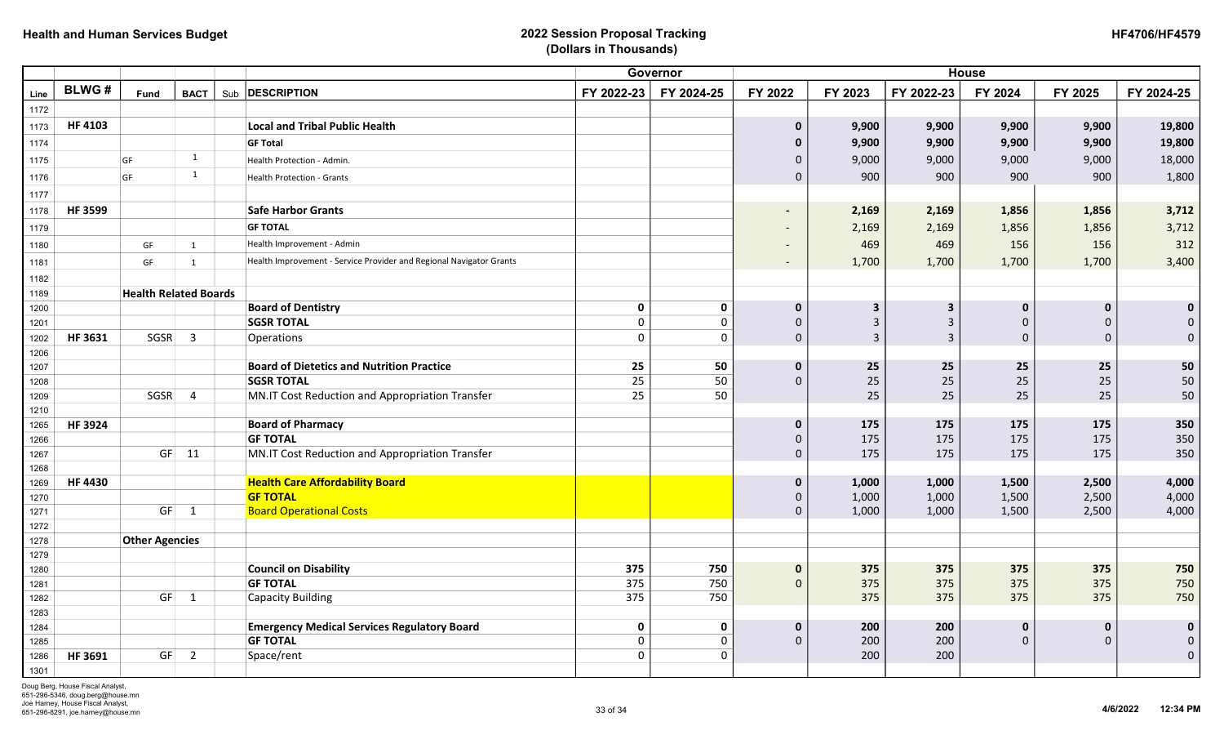| <b>HF4706/HF4579</b> |
|----------------------|
|----------------------|

|      |                              |      |                |                                                                     |             | Governor    | <b>House</b>             |                         |              |              |              |             |  |
|------|------------------------------|------|----------------|---------------------------------------------------------------------|-------------|-------------|--------------------------|-------------------------|--------------|--------------|--------------|-------------|--|
| Line | <b>BLWG#</b>                 | Fund | <b>BACT</b>    | Sub <b>DESCRIPTION</b>                                              | FY 2022-23  | FY 2024-25  | FY 2022                  | FY 2023                 | FY 2022-23   | FY 2024      | FY 2025      | FY 2024-25  |  |
| 1172 |                              |      |                |                                                                     |             |             |                          |                         |              |              |              |             |  |
| 1173 | <b>HF 4103</b>               |      |                | <b>Local and Tribal Public Health</b>                               |             |             | $\mathbf 0$              | 9,900                   | 9,900        | 9,900        | 9,900        | 19,800      |  |
| 1174 |                              |      |                | <b>GF Total</b>                                                     |             |             | $\bf{0}$                 | 9,900                   | 9,900        | 9,900        | 9,900        | 19,800      |  |
| 1175 |                              | GF   | 1              | Health Protection - Admin.                                          |             |             | $\mathbf{0}$             | 9,000                   | 9,000        | 9,000        | 9,000        | 18,000      |  |
| 1176 |                              | GF   | 1              | <b>Health Protection - Grants</b>                                   |             |             | $\mathbf{0}$             | 900                     | 900          | 900          | 900          | 1,800       |  |
| 1177 |                              |      |                |                                                                     |             |             |                          |                         |              |              |              |             |  |
| 1178 | <b>HF 3599</b>               |      |                | <b>Safe Harbor Grants</b>                                           |             |             | $\blacksquare$           | 2,169                   | 2,169        | 1,856        | 1,856        | 3,712       |  |
| 1179 |                              |      |                | <b>GF TOTAL</b>                                                     |             |             | $\overline{\phantom{a}}$ | 2,169                   | 2,169        | 1,856        | 1,856        | 3,712       |  |
| 1180 |                              | GF   | 1              | Health Improvement - Admin                                          |             |             | $\overline{\phantom{a}}$ | 469                     | 469          | 156          | 156          | 312         |  |
| 1181 |                              | GF   | $\mathbf{1}$   | Health Improvement - Service Provider and Regional Navigator Grants |             |             | $\overline{\phantom{a}}$ | 1,700                   | 1,700        | 1,700        | 1,700        | 3,400       |  |
| 1182 |                              |      |                |                                                                     |             |             |                          |                         |              |              |              |             |  |
| 1189 | <b>Health Related Boards</b> |      |                |                                                                     |             |             |                          |                         |              |              |              |             |  |
| 1200 |                              |      |                | <b>Board of Dentistry</b>                                           | 0           | $\mathbf 0$ | $\mathbf{0}$             | $\overline{\mathbf{3}}$ | $\mathbf{3}$ | $\mathbf 0$  | $\mathbf 0$  | $\mathbf 0$ |  |
| 1201 |                              |      |                | <b>SGSR TOTAL</b>                                                   | 0           | $\mathbf 0$ | $\Omega$                 | 3                       | $\mathsf{3}$ | $\Omega$     | $\Omega$     | $\pmb{0}$   |  |
| 1202 | <b>HF 3631</b>               | SGSR | $\overline{3}$ | Operations                                                          | $\Omega$    | $\mathbf 0$ | $\mathsf{O}\xspace$      | 3                       | $\mathbf{3}$ | $\mathbf 0$  | $\mathbf{0}$ | $\mathbf 0$ |  |
| 1206 |                              |      |                |                                                                     |             |             |                          |                         |              |              |              |             |  |
| 1207 |                              |      |                | <b>Board of Dietetics and Nutrition Practice</b>                    | 25          | 50          | $\mathbf 0$              | 25                      | 25           | 25           | 25           | 50          |  |
| 1208 |                              |      |                | <b>SGSR TOTAL</b>                                                   | 25          | 50          | $\Omega$                 | 25                      | 25           | 25           | 25           | ${\bf 50}$  |  |
| 1209 |                              | SGSR | 4              | MN.IT Cost Reduction and Appropriation Transfer                     | 25          | 50          |                          | 25                      | 25           | 25           | 25           | 50          |  |
| 1210 |                              |      |                |                                                                     |             |             |                          |                         |              |              |              |             |  |
| 1265 | <b>HF3924</b>                |      |                | <b>Board of Pharmacy</b>                                            |             |             | $\mathbf 0$              | 175                     | 175          | 175          | 175          | 350         |  |
| 1266 |                              |      |                | <b>GF TOTAL</b>                                                     |             |             | 0                        | 175                     | 175          | 175          | 175          | 350         |  |
| 1267 |                              |      | $GF$ 11        | MN.IT Cost Reduction and Appropriation Transfer                     |             |             | $\mathsf{O}\xspace$      | 175                     | 175          | 175          | 175          | 350         |  |
| 1268 |                              |      |                |                                                                     |             |             |                          |                         |              |              |              |             |  |
| 1269 | <b>HF4430</b>                |      |                | <b>Health Care Affordability Board</b>                              |             |             | $\mathbf{0}$             | 1,000                   | 1,000        | 1,500        | 2,500        | 4,000       |  |
| 1270 |                              |      |                | <b>GF TOTAL</b>                                                     |             |             | 0                        | 1,000                   | 1,000        | 1,500        | 2,500        | 4,000       |  |
| 1271 |                              | GF   | $\overline{1}$ | <b>Board Operational Costs</b>                                      |             |             | $\mathbf{0}$             | 1,000                   | 1,000        | 1,500        | 2,500        | 4,000       |  |
| 1272 |                              |      |                |                                                                     |             |             |                          |                         |              |              |              |             |  |
| 1278 | <b>Other Agencies</b>        |      |                |                                                                     |             |             |                          |                         |              |              |              |             |  |
| 1279 |                              |      |                |                                                                     |             |             |                          |                         |              |              |              |             |  |
| 1280 |                              |      |                | <b>Council on Disability</b>                                        | 375         | 750         | $\mathbf 0$              | 375                     | 375          | 375          | 375          | 750         |  |
| 1281 |                              |      |                | <b>GF TOTAL</b>                                                     | 375         | 750         | $\mathbf{0}$             | 375                     | 375          | 375          | 375          | 750         |  |
| 1282 |                              | GF   | $\mathbf{1}$   | <b>Capacity Building</b>                                            | 375         | 750         |                          | 375                     | 375          | 375          | 375          | 750         |  |
| 1283 |                              |      |                |                                                                     |             |             |                          |                         |              |              |              |             |  |
| 1284 |                              |      |                | <b>Emergency Medical Services Regulatory Board</b>                  | $\mathbf 0$ | $\mathbf 0$ | $\mathbf{0}$             | 200                     | 200          | $\mathbf 0$  | $\mathbf 0$  | $\mathbf 0$ |  |
| 1285 |                              |      |                | <b>GF TOTAL</b>                                                     | 0           | 0           | $\Omega$                 | 200                     | 200          | $\mathbf{0}$ | $\mathbf{0}$ | $\pmb{0}$   |  |
| 1286 | <b>HF 3691</b>               | GF   | $\overline{2}$ | Space/rent                                                          | 0           | $\Omega$    |                          | 200                     | 200          |              |              | $\mathbf 0$ |  |
| 1301 |                              |      |                |                                                                     |             |             |                          |                         |              |              |              |             |  |